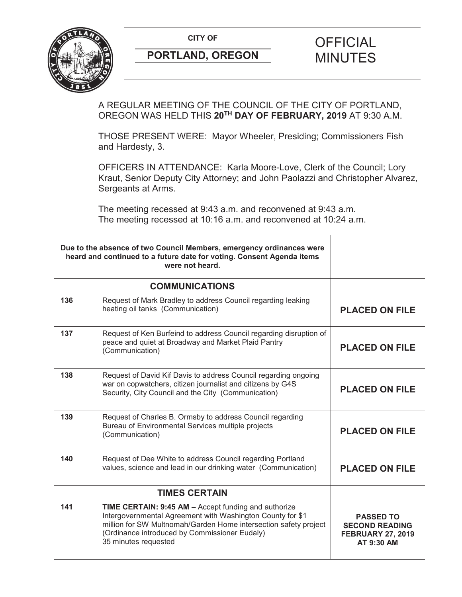**CITY OF CITY OF SALE OF FICIAL** 



# **PORTLAND, OREGON MINUTES**

# A REGULAR MEETING OF THE COUNCIL OF THE CITY OF PORTLAND, OREGON WAS HELD THIS **20TH DAY OF FEBRUARY, 2019** AT 9:30 A.M.

THOSE PRESENT WERE: Mayor Wheeler, Presiding; Commissioners Fish and Hardesty, 3.

OFFICERS IN ATTENDANCE: Karla Moore-Love, Clerk of the Council; Lory Kraut, Senior Deputy City Attorney; and John Paolazzi and Christopher Alvarez, Sergeants at Arms.

The meeting recessed at 9:43 a.m. and reconvened at 9:43 a.m. The meeting recessed at 10:16 a.m. and reconvened at 10:24 a.m.

| Due to the absence of two Council Members, emergency ordinances were<br>heard and continued to a future date for voting. Consent Agenda items<br>were not heard. |                                                                                                                                                                                                                                                                        |                                                                                     |
|------------------------------------------------------------------------------------------------------------------------------------------------------------------|------------------------------------------------------------------------------------------------------------------------------------------------------------------------------------------------------------------------------------------------------------------------|-------------------------------------------------------------------------------------|
|                                                                                                                                                                  | <b>COMMUNICATIONS</b>                                                                                                                                                                                                                                                  |                                                                                     |
| 136                                                                                                                                                              | Request of Mark Bradley to address Council regarding leaking<br>heating oil tanks (Communication)                                                                                                                                                                      | <b>PLACED ON FILE</b>                                                               |
| 137                                                                                                                                                              | Request of Ken Burfeind to address Council regarding disruption of<br>peace and quiet at Broadway and Market Plaid Pantry<br>(Communication)                                                                                                                           | <b>PLACED ON FILE</b>                                                               |
| 138                                                                                                                                                              | Request of David Kif Davis to address Council regarding ongoing<br>war on copwatchers, citizen journalist and citizens by G4S<br>Security, City Council and the City (Communication)                                                                                   | <b>PLACED ON FILE</b>                                                               |
| 139                                                                                                                                                              | Request of Charles B. Ormsby to address Council regarding<br>Bureau of Environmental Services multiple projects<br>(Communication)                                                                                                                                     | <b>PLACED ON FILE</b>                                                               |
| 140                                                                                                                                                              | Request of Dee White to address Council regarding Portland<br>values, science and lead in our drinking water (Communication)                                                                                                                                           | <b>PLACED ON FILE</b>                                                               |
|                                                                                                                                                                  | <b>TIMES CERTAIN</b>                                                                                                                                                                                                                                                   |                                                                                     |
| 141                                                                                                                                                              | <b>TIME CERTAIN: 9:45 AM - Accept funding and authorize</b><br>Intergovernmental Agreement with Washington County for \$1<br>million for SW Multnomah/Garden Home intersection safety project<br>(Ordinance introduced by Commissioner Eudaly)<br>35 minutes requested | <b>PASSED TO</b><br><b>SECOND READING</b><br><b>FEBRUARY 27, 2019</b><br>AT 9:30 AM |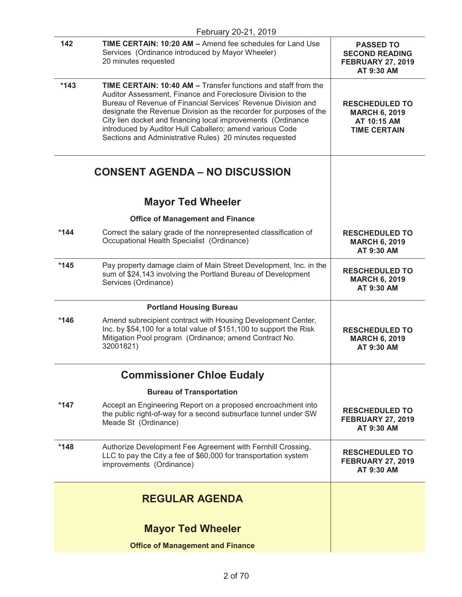|        | February 20-21, 2019                                                                                                                                                                                                                                                                                                                                                                                                                                        |                                                                                     |
|--------|-------------------------------------------------------------------------------------------------------------------------------------------------------------------------------------------------------------------------------------------------------------------------------------------------------------------------------------------------------------------------------------------------------------------------------------------------------------|-------------------------------------------------------------------------------------|
| 142    | <b>TIME CERTAIN: 10:20 AM - Amend fee schedules for Land Use</b><br>Services (Ordinance introduced by Mayor Wheeler)<br>20 minutes requested                                                                                                                                                                                                                                                                                                                | <b>PASSED TO</b><br><b>SECOND READING</b><br><b>FEBRUARY 27, 2019</b><br>AT 9:30 AM |
| $*143$ | TIME CERTAIN: 10:40 AM - Transfer functions and staff from the<br>Auditor Assessment, Finance and Foreclosure Division to the<br>Bureau of Revenue of Financial Services' Revenue Division and<br>designate the Revenue Division as the recorder for purposes of the<br>City lien docket and financing local improvements (Ordinance<br>introduced by Auditor Hull Caballero; amend various Code<br>Sections and Administrative Rules) 20 minutes requested | <b>RESCHEDULED TO</b><br><b>MARCH 6, 2019</b><br>AT 10:15 AM<br><b>TIME CERTAIN</b> |
|        | <b>CONSENT AGENDA - NO DISCUSSION</b>                                                                                                                                                                                                                                                                                                                                                                                                                       |                                                                                     |
|        | <b>Mayor Ted Wheeler</b>                                                                                                                                                                                                                                                                                                                                                                                                                                    |                                                                                     |
|        | <b>Office of Management and Finance</b>                                                                                                                                                                                                                                                                                                                                                                                                                     |                                                                                     |
| $*144$ | Correct the salary grade of the nonrepresented classification of<br>Occupational Health Specialist (Ordinance)                                                                                                                                                                                                                                                                                                                                              | <b>RESCHEDULED TO</b><br><b>MARCH 6, 2019</b><br>AT 9:30 AM                         |
| $*145$ | Pay property damage claim of Main Street Development, Inc. in the<br>sum of \$24,143 involving the Portland Bureau of Development<br>Services (Ordinance)                                                                                                                                                                                                                                                                                                   | <b>RESCHEDULED TO</b><br><b>MARCH 6, 2019</b><br>AT 9:30 AM                         |
|        | <b>Portland Housing Bureau</b>                                                                                                                                                                                                                                                                                                                                                                                                                              |                                                                                     |
| $*146$ | Amend subrecipient contract with Housing Development Center,<br>Inc. by \$54,100 for a total value of \$151,100 to support the Risk<br>Mitigation Pool program (Ordinance; amend Contract No.<br>32001821)                                                                                                                                                                                                                                                  | <b>RESCHEDULED TO</b><br><b>MARCH 6, 2019</b><br>AT 9:30 AM                         |
|        | <b>Commissioner Chloe Eudaly</b>                                                                                                                                                                                                                                                                                                                                                                                                                            |                                                                                     |
|        | <b>Bureau of Transportation</b>                                                                                                                                                                                                                                                                                                                                                                                                                             |                                                                                     |
| $*147$ | Accept an Engineering Report on a proposed encroachment into<br>the public right-of-way for a second subsurface tunnel under SW<br>Meade St (Ordinance)                                                                                                                                                                                                                                                                                                     | <b>RESCHEDULED TO</b><br><b>FEBRUARY 27, 2019</b><br>AT 9:30 AM                     |
| $*148$ | Authorize Development Fee Agreement with Fernhill Crossing,<br>LLC to pay the City a fee of \$60,000 for transportation system<br>improvements (Ordinance)                                                                                                                                                                                                                                                                                                  | <b>RESCHEDULED TO</b><br><b>FEBRUARY 27, 2019</b><br>AT 9:30 AM                     |
|        | <b>REGULAR AGENDA</b>                                                                                                                                                                                                                                                                                                                                                                                                                                       |                                                                                     |
|        | <b>Mayor Ted Wheeler</b>                                                                                                                                                                                                                                                                                                                                                                                                                                    |                                                                                     |
|        | <b>Office of Management and Finance</b>                                                                                                                                                                                                                                                                                                                                                                                                                     |                                                                                     |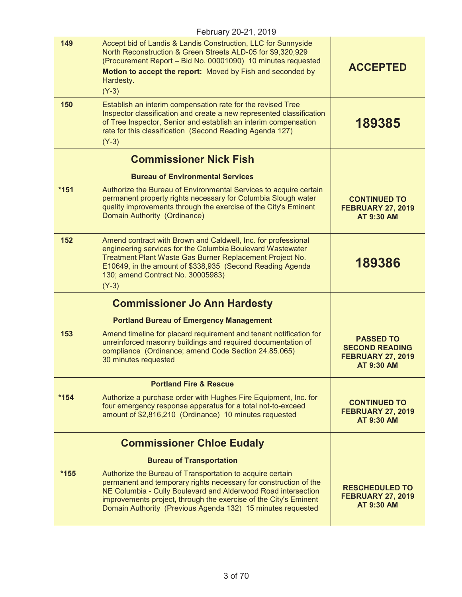|        | February 20-21, 2019                                                                                                                                                                                                                                                                                                              |                                                                                     |
|--------|-----------------------------------------------------------------------------------------------------------------------------------------------------------------------------------------------------------------------------------------------------------------------------------------------------------------------------------|-------------------------------------------------------------------------------------|
| 149    | Accept bid of Landis & Landis Construction, LLC for Sunnyside<br>North Reconstruction & Green Streets ALD-05 for \$9,320,929<br>(Procurement Report - Bid No. 00001090) 10 minutes requested<br>Motion to accept the report: Moved by Fish and seconded by<br>Hardesty.<br>$(Y-3)$                                                | <b>ACCEPTED</b>                                                                     |
| 150    | Establish an interim compensation rate for the revised Tree<br>Inspector classification and create a new represented classification<br>of Tree Inspector, Senior and establish an interim compensation<br>rate for this classification (Second Reading Agenda 127)<br>$(Y-3)$                                                     | 189385                                                                              |
|        | <b>Commissioner Nick Fish</b>                                                                                                                                                                                                                                                                                                     |                                                                                     |
|        | <b>Bureau of Environmental Services</b>                                                                                                                                                                                                                                                                                           |                                                                                     |
| $*151$ | Authorize the Bureau of Environmental Services to acquire certain<br>permanent property rights necessary for Columbia Slough water<br>quality improvements through the exercise of the City's Eminent<br>Domain Authority (Ordinance)                                                                                             | <b>CONTINUED TO</b><br><b>FEBRUARY 27, 2019</b><br><b>AT 9:30 AM</b>                |
| 152    | Amend contract with Brown and Caldwell, Inc. for professional<br>engineering services for the Columbia Boulevard Wastewater<br>Treatment Plant Waste Gas Burner Replacement Project No.<br>E10649, in the amount of \$338,935 (Second Reading Agenda<br>130; amend Contract No. 30005983)<br>$(Y-3)$                              | 189386                                                                              |
|        | <b>Commissioner Jo Ann Hardesty</b>                                                                                                                                                                                                                                                                                               |                                                                                     |
|        | <b>Portland Bureau of Emergency Management</b>                                                                                                                                                                                                                                                                                    |                                                                                     |
| 153    | Amend timeline for placard requirement and tenant notification for<br>unreinforced masonry buildings and required documentation of<br>compliance (Ordinance; amend Code Section 24.85.065)<br>30 minutes requested                                                                                                                | <b>PASSED TO</b><br><b>SECOND READING</b><br><b>FEBRUARY 27, 2019</b><br>AT 9:30 AM |
|        | <b>Portland Fire &amp; Rescue</b>                                                                                                                                                                                                                                                                                                 |                                                                                     |
| $*154$ | Authorize a purchase order with Hughes Fire Equipment, Inc. for<br>four emergency response apparatus for a total not-to-exceed<br>amount of \$2,816,210 (Ordinance) 10 minutes requested                                                                                                                                          | <b>CONTINUED TO</b><br><b>FEBRUARY 27, 2019</b><br>AT 9:30 AM                       |
|        | <b>Commissioner Chloe Eudaly</b>                                                                                                                                                                                                                                                                                                  |                                                                                     |
|        | <b>Bureau of Transportation</b>                                                                                                                                                                                                                                                                                                   |                                                                                     |
| $*155$ | Authorize the Bureau of Transportation to acquire certain<br>permanent and temporary rights necessary for construction of the<br>NE Columbia - Cully Boulevard and Alderwood Road intersection<br>improvements project, through the exercise of the City's Eminent<br>Domain Authority (Previous Agenda 132) 15 minutes requested | <b>RESCHEDULED TO</b><br><b>FEBRUARY 27, 2019</b><br><b>AT 9:30 AM</b>              |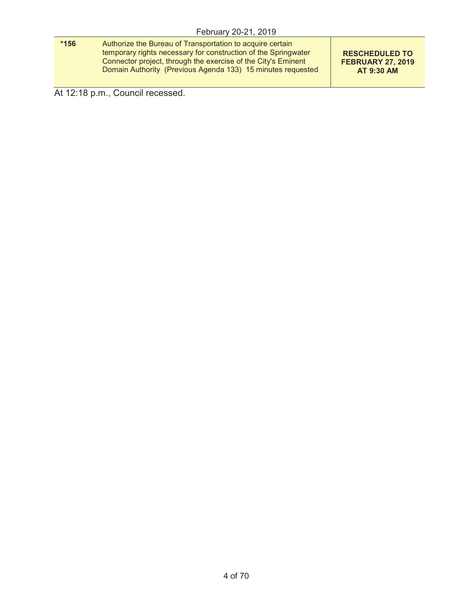| $*156$ | Authorize the Bureau of Transportation to acquire certain                                                                       |                                                   |
|--------|---------------------------------------------------------------------------------------------------------------------------------|---------------------------------------------------|
|        | temporary rights necessary for construction of the Springwater<br>Connector project, through the exercise of the City's Eminent | <b>RESCHEDULED TO</b><br><b>FEBRUARY 27, 2019</b> |
|        | Domain Authority (Previous Agenda 133) 15 minutes requested                                                                     | AT 9:30 AM                                        |

At 12:18 p.m., Council recessed.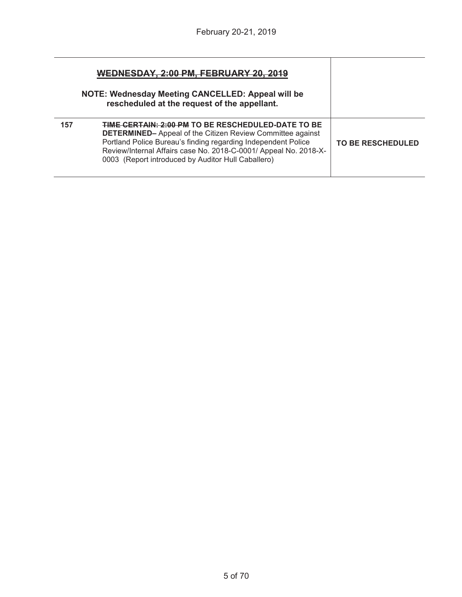| WEDNESDAY, 2:00 PM, FEBRUARY 20, 2019<br>NOTE: Wednesday Meeting CANCELLED: Appeal will be<br>rescheduled at the request of the appellant. |                                                                                                                                                                                                                                                                                                                           |                          |
|--------------------------------------------------------------------------------------------------------------------------------------------|---------------------------------------------------------------------------------------------------------------------------------------------------------------------------------------------------------------------------------------------------------------------------------------------------------------------------|--------------------------|
| 157                                                                                                                                        | <b>TIME CERTAIN: 2:00 PM TO BE RESCHEDULED-DATE TO BE</b><br><b>DETERMINED-</b> Appeal of the Citizen Review Committee against<br>Portland Police Bureau's finding regarding Independent Police<br>Review/Internal Affairs case No. 2018-C-0001/ Appeal No. 2018-X-<br>0003 (Report introduced by Auditor Hull Caballero) | <b>TO BE RESCHEDULED</b> |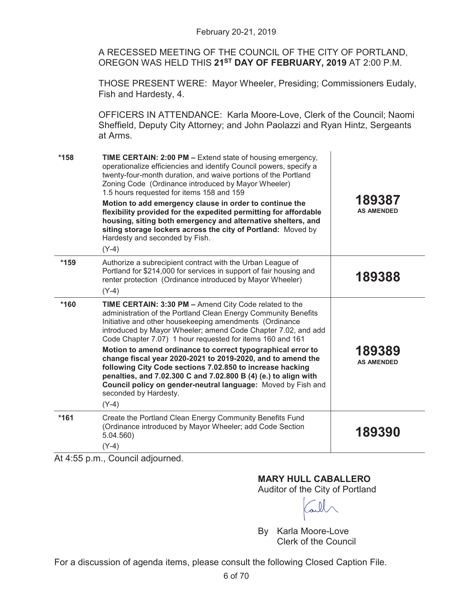A RECESSED MEETING OF THE COUNCIL OF THE CITY OF PORTLAND, OREGON WAS HELD THIS **21ST DAY OF FEBRUARY, 2019** AT 2:00 P.M.

THOSE PRESENT WERE: Mayor Wheeler, Presiding; Commissioners Eudaly, Fish and Hardesty, 4.

OFFICERS IN ATTENDANCE: Karla Moore-Love, Clerk of the Council; Naomi Sheffield, Deputy City Attorney; and John Paolazzi and Ryan Hintz, Sergeants at Arms.

| $*158$ | <b>TIME CERTAIN: 2:00 PM - Extend state of housing emergency,</b><br>operationalize efficiencies and identify Council powers, specify a<br>twenty-four-month duration, and waive portions of the Portland<br>Zoning Code (Ordinance introduced by Mayor Wheeler)<br>1.5 hours requested for items 158 and 159<br>Motion to add emergency clause in order to continue the<br>flexibility provided for the expedited permitting for affordable<br>housing, siting both emergency and alternative shelters, and<br>siting storage lockers across the city of Portland: Moved by<br>Hardesty and seconded by Fish.<br>$(Y-4)$                                                | 189387<br><b>AS AMENDED</b> |
|--------|--------------------------------------------------------------------------------------------------------------------------------------------------------------------------------------------------------------------------------------------------------------------------------------------------------------------------------------------------------------------------------------------------------------------------------------------------------------------------------------------------------------------------------------------------------------------------------------------------------------------------------------------------------------------------|-----------------------------|
| $*159$ | Authorize a subrecipient contract with the Urban League of<br>Portland for \$214,000 for services in support of fair housing and<br>renter protection (Ordinance introduced by Mayor Wheeler)<br>$(Y-4)$                                                                                                                                                                                                                                                                                                                                                                                                                                                                 | 189388                      |
| *160   | TIME CERTAIN: 3:30 PM - Amend City Code related to the<br>administration of the Portland Clean Energy Community Benefits<br>Initiative and other housekeeping amendments (Ordinance<br>introduced by Mayor Wheeler; amend Code Chapter 7.02, and add<br>Code Chapter 7.07) 1 hour requested for items 160 and 161<br>Motion to amend ordinance to correct typographical error to<br>change fiscal year 2020-2021 to 2019-2020, and to amend the<br>following City Code sections 7.02.850 to increase hacking<br>penalties, and 7.02.300 C and 7.02.800 B (4) (e.) to align with<br>Council policy on gender-neutral language: Moved by Fish and<br>seconded by Hardesty. | 189389<br><b>AS AMENDED</b> |
| $*161$ | $(Y-4)$<br>Create the Portland Clean Energy Community Benefits Fund<br>(Ordinance introduced by Mayor Wheeler; add Code Section<br>5.04.560<br>$(Y-4)$                                                                                                                                                                                                                                                                                                                                                                                                                                                                                                                   | 189390                      |

At 4:55 p.m., Council adjourned.

# **MARY HULL CABALLERO**

Auditor of the City of Portland

By Karla Moore-Love Clerk of the Council

For a discussion of agenda items, please consult the following Closed Caption File.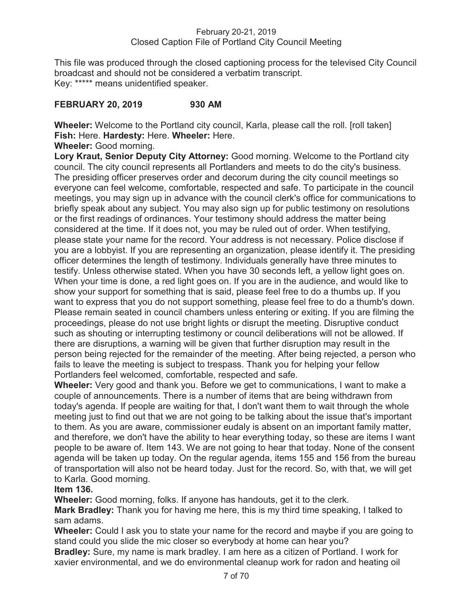### February 20-21, 2019 Closed Caption File of Portland City Council Meeting

This file was produced through the closed captioning process for the televised City Council broadcast and should not be considered a verbatim transcript. Key: \*\*\*\*\* means unidentified speaker.

# **FEBRUARY 20, 2019 930 AM**

**Wheeler:** Welcome to the Portland city council, Karla, please call the roll. [roll taken] **Fish:** Here. **Hardesty:** Here. **Wheeler:** Here.

**Wheeler:** Good morning.

**Lory Kraut, Senior Deputy City Attorney:** Good morning. Welcome to the Portland city council. The city council represents all Portlanders and meets to do the city's business. The presiding officer preserves order and decorum during the city council meetings so everyone can feel welcome, comfortable, respected and safe. To participate in the council meetings, you may sign up in advance with the council clerk's office for communications to briefly speak about any subject. You may also sign up for public testimony on resolutions or the first readings of ordinances. Your testimony should address the matter being considered at the time. If it does not, you may be ruled out of order. When testifying, please state your name for the record. Your address is not necessary. Police disclose if you are a lobbyist. If you are representing an organization, please identify it. The presiding officer determines the length of testimony. Individuals generally have three minutes to testify. Unless otherwise stated. When you have 30 seconds left, a yellow light goes on. When your time is done, a red light goes on. If you are in the audience, and would like to show your support for something that is said, please feel free to do a thumbs up. If you want to express that you do not support something, please feel free to do a thumb's down. Please remain seated in council chambers unless entering or exiting. If you are filming the proceedings, please do not use bright lights or disrupt the meeting. Disruptive conduct such as shouting or interrupting testimony or council deliberations will not be allowed. If there are disruptions, a warning will be given that further disruption may result in the person being rejected for the remainder of the meeting. After being rejected, a person who fails to leave the meeting is subject to trespass. Thank you for helping your fellow Portlanders feel welcomed, comfortable, respected and safe.

**Wheeler:** Very good and thank you. Before we get to communications, I want to make a couple of announcements. There is a number of items that are being withdrawn from today's agenda. If people are waiting for that, I don't want them to wait through the whole meeting just to find out that we are not going to be talking about the issue that's important to them. As you are aware, commissioner eudaly is absent on an important family matter, and therefore, we don't have the ability to hear everything today, so these are items I want people to be aware of. Item 143. We are not going to hear that today. None of the consent agenda will be taken up today. On the regular agenda, items 155 and 156 from the bureau of transportation will also not be heard today. Just for the record. So, with that, we will get to Karla. Good morning.

# **Item 136.**

**Wheeler:** Good morning, folks. If anyone has handouts, get it to the clerk.

**Mark Bradley:** Thank you for having me here, this is my third time speaking, I talked to sam adams.

**Wheeler:** Could I ask you to state your name for the record and maybe if you are going to stand could you slide the mic closer so everybody at home can hear you?

**Bradley:** Sure, my name is mark bradley. I am here as a citizen of Portland. I work for xavier environmental, and we do environmental cleanup work for radon and heating oil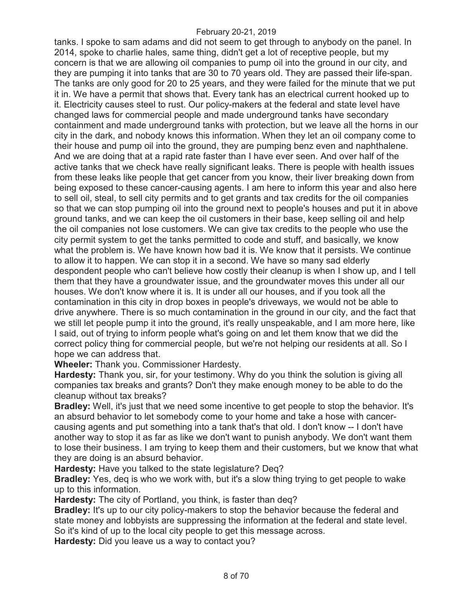tanks. I spoke to sam adams and did not seem to get through to anybody on the panel. In 2014, spoke to charlie hales, same thing, didn't get a lot of receptive people, but my concern is that we are allowing oil companies to pump oil into the ground in our city, and they are pumping it into tanks that are 30 to 70 years old. They are passed their life-span. The tanks are only good for 20 to 25 years, and they were failed for the minute that we put it in. We have a permit that shows that. Every tank has an electrical current hooked up to it. Electricity causes steel to rust. Our policy-makers at the federal and state level have changed laws for commercial people and made underground tanks have secondary containment and made underground tanks with protection, but we leave all the horns in our city in the dark, and nobody knows this information. When they let an oil company come to their house and pump oil into the ground, they are pumping benz even and naphthalene. And we are doing that at a rapid rate faster than I have ever seen. And over half of the active tanks that we check have really significant leaks. There is people with health issues from these leaks like people that get cancer from you know, their liver breaking down from being exposed to these cancer-causing agents. I am here to inform this year and also here to sell oil, steal, to sell city permits and to get grants and tax credits for the oil companies so that we can stop pumping oil into the ground next to people's houses and put it in above ground tanks, and we can keep the oil customers in their base, keep selling oil and help the oil companies not lose customers. We can give tax credits to the people who use the city permit system to get the tanks permitted to code and stuff, and basically, we know what the problem is. We have known how bad it is. We know that it persists. We continue to allow it to happen. We can stop it in a second. We have so many sad elderly despondent people who can't believe how costly their cleanup is when I show up, and I tell them that they have a groundwater issue, and the groundwater moves this under all our houses. We don't know where it is. It is under all our houses, and if you took all the contamination in this city in drop boxes in people's driveways, we would not be able to drive anywhere. There is so much contamination in the ground in our city, and the fact that we still let people pump it into the ground, it's really unspeakable, and I am more here, like I said, out of trying to inform people what's going on and let them know that we did the correct policy thing for commercial people, but we're not helping our residents at all. So I hope we can address that.

**Wheeler:** Thank you. Commissioner Hardesty.

**Hardesty:** Thank you, sir, for your testimony. Why do you think the solution is giving all companies tax breaks and grants? Don't they make enough money to be able to do the cleanup without tax breaks?

**Bradley:** Well, it's just that we need some incentive to get people to stop the behavior. It's an absurd behavior to let somebody come to your home and take a hose with cancercausing agents and put something into a tank that's that old. I don't know -- I don't have another way to stop it as far as like we don't want to punish anybody. We don't want them to lose their business. I am trying to keep them and their customers, but we know that what they are doing is an absurd behavior.

**Hardesty:** Have you talked to the state legislature? Deq?

**Bradley:** Yes, deq is who we work with, but it's a slow thing trying to get people to wake up to this information.

**Hardesty:** The city of Portland, you think, is faster than deq?

**Bradley:** It's up to our city policy-makers to stop the behavior because the federal and state money and lobbyists are suppressing the information at the federal and state level. So it's kind of up to the local city people to get this message across.

**Hardesty:** Did you leave us a way to contact you?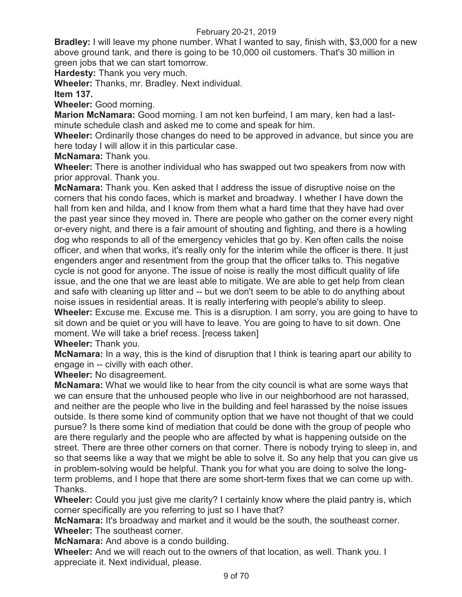**Bradley:** I will leave my phone number. What I wanted to say, finish with, \$3,000 for a new above ground tank, and there is going to be 10,000 oil customers. That's 30 million in green jobs that we can start tomorrow.

**Hardesty:** Thank you very much.

**Wheeler:** Thanks, mr. Bradley. Next individual.

**Item 137.** 

**Wheeler:** Good morning.

**Marion McNamara:** Good morning. I am not ken burfeind, I am mary, ken had a lastminute schedule clash and asked me to come and speak for him.

**Wheeler:** Ordinarily those changes do need to be approved in advance, but since you are here today I will allow it in this particular case.

**McNamara:** Thank you.

**Wheeler:** There is another individual who has swapped out two speakers from now with prior approval. Thank you.

**McNamara:** Thank you. Ken asked that I address the issue of disruptive noise on the corners that his condo faces, which is market and broadway. I whether I have down the hall from ken and hilda, and I know from them what a hard time that they have had over the past year since they moved in. There are people who gather on the corner every night or-every night, and there is a fair amount of shouting and fighting, and there is a howling dog who responds to all of the emergency vehicles that go by. Ken often calls the noise officer, and when that works, it's really only for the interim while the officer is there. It just engenders anger and resentment from the group that the officer talks to. This negative cycle is not good for anyone. The issue of noise is really the most difficult quality of life issue, and the one that we are least able to mitigate. We are able to get help from clean and safe with cleaning up litter and -- but we don't seem to be able to do anything about noise issues in residential areas. It is really interfering with people's ability to sleep. **Wheeler:** Excuse me. Excuse me. This is a disruption. I am sorry, you are going to have to sit down and be quiet or you will have to leave. You are going to have to sit down. One moment. We will take a brief recess. [recess taken]

**Wheeler:** Thank you.

**McNamara:** In a way, this is the kind of disruption that I think is tearing apart our ability to engage in -- civilly with each other.

**Wheeler:** No disagreement.

**McNamara:** What we would like to hear from the city council is what are some ways that we can ensure that the unhoused people who live in our neighborhood are not harassed, and neither are the people who live in the building and feel harassed by the noise issues outside. Is there some kind of community option that we have not thought of that we could pursue? Is there some kind of mediation that could be done with the group of people who are there regularly and the people who are affected by what is happening outside on the street. There are three other corners on that corner. There is nobody trying to sleep in, and so that seems like a way that we might be able to solve it. So any help that you can give us in problem-solving would be helpful. Thank you for what you are doing to solve the longterm problems, and I hope that there are some short-term fixes that we can come up with. Thanks.

**Wheeler:** Could you just give me clarity? I certainly know where the plaid pantry is, which corner specifically are you referring to just so I have that?

**McNamara:** It's broadway and market and it would be the south, the southeast corner. **Wheeler:** The southeast corner.

**McNamara:** And above is a condo building.

**Wheeler:** And we will reach out to the owners of that location, as well. Thank you. I appreciate it. Next individual, please.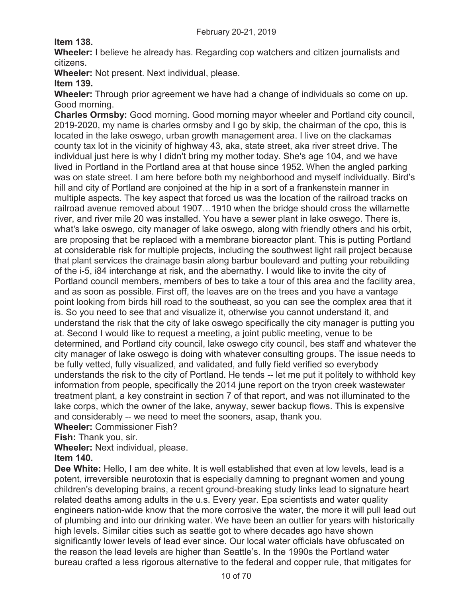**Item 138.** 

**Wheeler:** I believe he already has. Regarding cop watchers and citizen journalists and citizens.

**Wheeler:** Not present. Next individual, please.

**Item 139.** 

**Wheeler:** Through prior agreement we have had a change of individuals so come on up. Good morning.

**Charles Ormsby:** Good morning. Good morning mayor wheeler and Portland city council, 2019-2020, my name is charles ormsby and I go by skip, the chairman of the cpo, this is located in the lake oswego, urban growth management area. I live on the clackamas county tax lot in the vicinity of highway 43, aka, state street, aka river street drive. The individual just here is why I didn't bring my mother today. She's age 104, and we have lived in Portland in the Portland area at that house since 1952. When the angled parking was on state street. I am here before both my neighborhood and myself individually. Bird's hill and city of Portland are conjoined at the hip in a sort of a frankenstein manner in multiple aspects. The key aspect that forced us was the location of the railroad tracks on railroad avenue removed about 1907…1910 when the bridge should cross the willamette river, and river mile 20 was installed. You have a sewer plant in lake oswego. There is, what's lake oswego, city manager of lake oswego, along with friendly others and his orbit, are proposing that be replaced with a membrane bioreactor plant. This is putting Portland at considerable risk for multiple projects, including the southwest light rail project because that plant services the drainage basin along barbur boulevard and putting your rebuilding of the i-5, i84 interchange at risk, and the abernathy. I would like to invite the city of Portland council members, members of bes to take a tour of this area and the facility area, and as soon as possible. First off, the leaves are on the trees and you have a vantage point looking from birds hill road to the southeast, so you can see the complex area that it is. So you need to see that and visualize it, otherwise you cannot understand it, and understand the risk that the city of lake oswego specifically the city manager is putting you at. Second I would like to request a meeting, a joint public meeting, venue to be determined, and Portland city council, lake oswego city council, bes staff and whatever the city manager of lake oswego is doing with whatever consulting groups. The issue needs to be fully vetted, fully visualized, and validated, and fully field verified so everybody understands the risk to the city of Portland. He tends -- let me put it politely to withhold key information from people, specifically the 2014 june report on the tryon creek wastewater treatment plant, a key constraint in section 7 of that report, and was not illuminated to the lake corps, which the owner of the lake, anyway, sewer backup flows. This is expensive and considerably -- we need to meet the sooners, asap, thank you.

**Wheeler:** Commissioner Fish?

**Fish:** Thank you, sir.

**Wheeler:** Next individual, please.

# **Item 140.**

**Dee White:** Hello, I am dee white. It is well established that even at low levels, lead is a potent, irreversible neurotoxin that is especially damning to pregnant women and young children's developing brains, a recent ground-breaking study links lead to signature heart related deaths among adults in the u.s. Every year. Epa scientists and water quality engineers nation-wide know that the more corrosive the water, the more it will pull lead out of plumbing and into our drinking water. We have been an outlier for years with historically high levels. Similar cities such as seattle got to where decades ago have shown significantly lower levels of lead ever since. Our local water officials have obfuscated on the reason the lead levels are higher than Seattle's. In the 1990s the Portland water bureau crafted a less rigorous alternative to the federal and copper rule, that mitigates for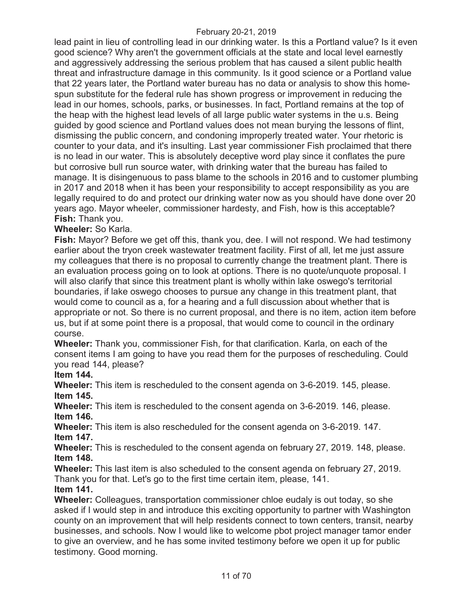lead paint in lieu of controlling lead in our drinking water. Is this a Portland value? Is it even good science? Why aren't the government officials at the state and local level earnestly and aggressively addressing the serious problem that has caused a silent public health threat and infrastructure damage in this community. Is it good science or a Portland value that 22 years later, the Portland water bureau has no data or analysis to show this homespun substitute for the federal rule has shown progress or improvement in reducing the lead in our homes, schools, parks, or businesses. In fact, Portland remains at the top of the heap with the highest lead levels of all large public water systems in the u.s. Being guided by good science and Portland values does not mean burying the lessons of flint, dismissing the public concern, and condoning improperly treated water. Your rhetoric is counter to your data, and it's insulting. Last year commissioner Fish proclaimed that there is no lead in our water. This is absolutely deceptive word play since it conflates the pure but corrosive bull run source water, with drinking water that the bureau has failed to manage. It is disingenuous to pass blame to the schools in 2016 and to customer plumbing in 2017 and 2018 when it has been your responsibility to accept responsibility as you are legally required to do and protect our drinking water now as you should have done over 20 years ago. Mayor wheeler, commissioner hardesty, and Fish, how is this acceptable? **Fish:** Thank you.

# **Wheeler:** So Karla.

**Fish:** Mayor? Before we get off this, thank you, dee. I will not respond. We had testimony earlier about the tryon creek wastewater treatment facility. First of all, let me just assure my colleagues that there is no proposal to currently change the treatment plant. There is an evaluation process going on to look at options. There is no quote/unquote proposal. I will also clarify that since this treatment plant is wholly within lake oswego's territorial boundaries, if lake oswego chooses to pursue any change in this treatment plant, that would come to council as a, for a hearing and a full discussion about whether that is appropriate or not. So there is no current proposal, and there is no item, action item before us, but if at some point there is a proposal, that would come to council in the ordinary course.

**Wheeler:** Thank you, commissioner Fish, for that clarification. Karla, on each of the consent items I am going to have you read them for the purposes of rescheduling. Could you read 144, please?

**Item 144.** 

**Wheeler:** This item is rescheduled to the consent agenda on 3-6-2019. 145, please. **Item 145.** 

**Wheeler:** This item is rescheduled to the consent agenda on 3-6-2019. 146, please. **Item 146.** 

**Wheeler:** This item is also rescheduled for the consent agenda on 3-6-2019. 147. **Item 147.** 

**Wheeler:** This is rescheduled to the consent agenda on february 27, 2019. 148, please. **Item 148.** 

**Wheeler:** This last item is also scheduled to the consent agenda on february 27, 2019. Thank you for that. Let's go to the first time certain item, please, 141.

**Item 141.** 

**Wheeler:** Colleagues, transportation commissioner chloe eudaly is out today, so she asked if I would step in and introduce this exciting opportunity to partner with Washington county on an improvement that will help residents connect to town centers, transit, nearby businesses, and schools. Now I would like to welcome pbot project manager tamor ender to give an overview, and he has some invited testimony before we open it up for public testimony. Good morning.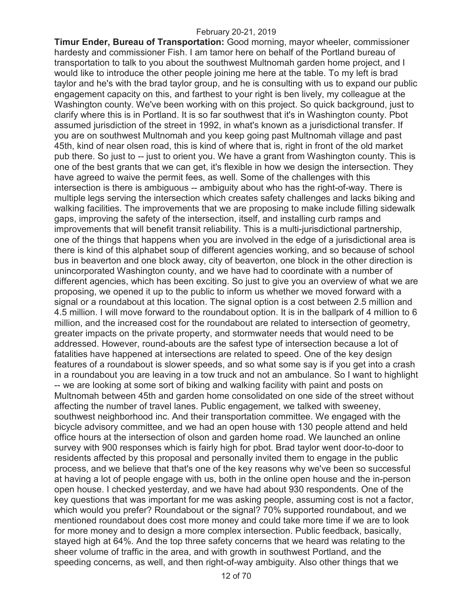**Timur Ender, Bureau of Transportation:** Good morning, mayor wheeler, commissioner hardesty and commissioner Fish. I am tamor here on behalf of the Portland bureau of transportation to talk to you about the southwest Multnomah garden home project, and I would like to introduce the other people joining me here at the table. To my left is brad taylor and he's with the brad taylor group, and he is consulting with us to expand our public engagement capacity on this, and farthest to your right is ben lively, my colleague at the Washington county. We've been working with on this project. So quick background, just to clarify where this is in Portland. It is so far southwest that it's in Washington county. Pbot assumed jurisdiction of the street in 1992, in what's known as a jurisdictional transfer. If you are on southwest Multnomah and you keep going past Multnomah village and past 45th, kind of near olsen road, this is kind of where that is, right in front of the old market pub there. So just to -- just to orient you. We have a grant from Washington county. This is one of the best grants that we can get, it's flexible in how we design the intersection. They have agreed to waive the permit fees, as well. Some of the challenges with this intersection is there is ambiguous -- ambiguity about who has the right-of-way. There is multiple legs serving the intersection which creates safety challenges and lacks biking and walking facilities. The improvements that we are proposing to make include filling sidewalk gaps, improving the safety of the intersection, itself, and installing curb ramps and improvements that will benefit transit reliability. This is a multi-jurisdictional partnership, one of the things that happens when you are involved in the edge of a jurisdictional area is there is kind of this alphabet soup of different agencies working, and so because of school bus in beaverton and one block away, city of beaverton, one block in the other direction is unincorporated Washington county, and we have had to coordinate with a number of different agencies, which has been exciting. So just to give you an overview of what we are proposing, we opened it up to the public to inform us whether we moved forward with a signal or a roundabout at this location. The signal option is a cost between 2.5 million and 4.5 million. I will move forward to the roundabout option. It is in the ballpark of 4 million to 6 million, and the increased cost for the roundabout are related to intersection of geometry, greater impacts on the private property, and stormwater needs that would need to be addressed. However, round-abouts are the safest type of intersection because a lot of fatalities have happened at intersections are related to speed. One of the key design features of a roundabout is slower speeds, and so what some say is if you get into a crash in a roundabout you are leaving in a tow truck and not an ambulance. So I want to highlight -- we are looking at some sort of biking and walking facility with paint and posts on Multnomah between 45th and garden home consolidated on one side of the street without affecting the number of travel lanes. Public engagement, we talked with sweeney, southwest neighborhood inc. And their transportation committee. We engaged with the bicycle advisory committee, and we had an open house with 130 people attend and held office hours at the intersection of olson and garden home road. We launched an online survey with 900 responses which is fairly high for pbot. Brad taylor went door-to-door to residents affected by this proposal and personally invited them to engage in the public process, and we believe that that's one of the key reasons why we've been so successful at having a lot of people engage with us, both in the online open house and the in-person open house. I checked yesterday, and we have had about 930 respondents. One of the key questions that was important for me was asking people, assuming cost is not a factor, which would you prefer? Roundabout or the signal? 70% supported roundabout, and we mentioned roundabout does cost more money and could take more time if we are to look for more money and to design a more complex intersection. Public feedback, basically, stayed high at 64%. And the top three safety concerns that we heard was relating to the sheer volume of traffic in the area, and with growth in southwest Portland, and the speeding concerns, as well, and then right-of-way ambiguity. Also other things that we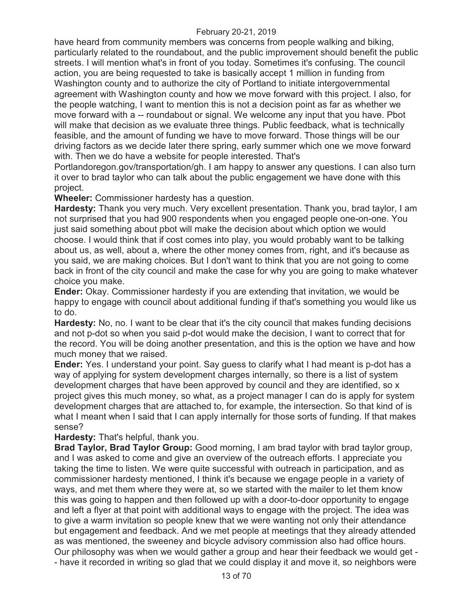have heard from community members was concerns from people walking and biking, particularly related to the roundabout, and the public improvement should benefit the public streets. I will mention what's in front of you today. Sometimes it's confusing. The council action, you are being requested to take is basically accept 1 million in funding from Washington county and to authorize the city of Portland to initiate intergovernmental agreement with Washington county and how we move forward with this project. I also, for the people watching, I want to mention this is not a decision point as far as whether we move forward with a -- roundabout or signal. We welcome any input that you have. Pbot will make that decision as we evaluate three things. Public feedback, what is technically feasible, and the amount of funding we have to move forward. Those things will be our driving factors as we decide later there spring, early summer which one we move forward with. Then we do have a website for people interested. That's

Portlandoregon.gov/transportation/gh. I am happy to answer any questions. I can also turn it over to brad taylor who can talk about the public engagement we have done with this project.

**Wheeler:** Commissioner hardesty has a question.

**Hardesty:** Thank you very much. Very excellent presentation. Thank you, brad taylor, I am not surprised that you had 900 respondents when you engaged people one-on-one. You just said something about pbot will make the decision about which option we would choose. I would think that if cost comes into play, you would probably want to be talking about us, as well, about a, where the other money comes from, right, and it's because as you said, we are making choices. But I don't want to think that you are not going to come back in front of the city council and make the case for why you are going to make whatever choice you make.

**Ender:** Okay. Commissioner hardesty if you are extending that invitation, we would be happy to engage with council about additional funding if that's something you would like us to do.

**Hardesty:** No, no. I want to be clear that it's the city council that makes funding decisions and not p-dot so when you said p-dot would make the decision, I want to correct that for the record. You will be doing another presentation, and this is the option we have and how much money that we raised.

**Ender:** Yes. I understand your point. Say guess to clarify what I had meant is p-dot has a way of applying for system development charges internally, so there is a list of system development charges that have been approved by council and they are identified, so x project gives this much money, so what, as a project manager I can do is apply for system development charges that are attached to, for example, the intersection. So that kind of is what I meant when I said that I can apply internally for those sorts of funding. If that makes sense?

**Hardesty:** That's helpful, thank you.

**Brad Taylor, Brad Taylor Group:** Good morning, I am brad taylor with brad taylor group, and I was asked to come and give an overview of the outreach efforts. I appreciate you taking the time to listen. We were quite successful with outreach in participation, and as commissioner hardesty mentioned, I think it's because we engage people in a variety of ways, and met them where they were at, so we started with the mailer to let them know this was going to happen and then followed up with a door-to-door opportunity to engage and left a flyer at that point with additional ways to engage with the project. The idea was to give a warm invitation so people knew that we were wanting not only their attendance but engagement and feedback. And we met people at meetings that they already attended as was mentioned, the sweeney and bicycle advisory commission also had office hours. Our philosophy was when we would gather a group and hear their feedback we would get - - have it recorded in writing so glad that we could display it and move it, so neighbors were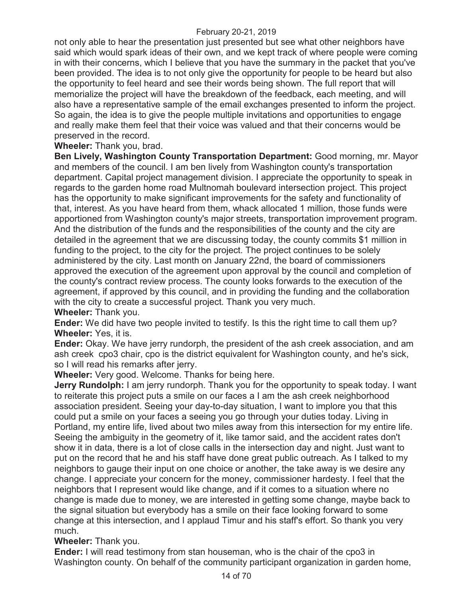not only able to hear the presentation just presented but see what other neighbors have said which would spark ideas of their own, and we kept track of where people were coming in with their concerns, which I believe that you have the summary in the packet that you've been provided. The idea is to not only give the opportunity for people to be heard but also the opportunity to feel heard and see their words being shown. The full report that will memorialize the project will have the breakdown of the feedback, each meeting, and will also have a representative sample of the email exchanges presented to inform the project. So again, the idea is to give the people multiple invitations and opportunities to engage and really make them feel that their voice was valued and that their concerns would be preserved in the record.

# **Wheeler:** Thank you, brad.

**Ben Lively, Washington County Transportation Department:** Good morning, mr. Mayor and members of the council. I am ben lively from Washington county's transportation department. Capital project management division. I appreciate the opportunity to speak in regards to the garden home road Multnomah boulevard intersection project. This project has the opportunity to make significant improvements for the safety and functionality of that, interest. As you have heard from them, whack allocated 1 million, those funds were apportioned from Washington county's major streets, transportation improvement program. And the distribution of the funds and the responsibilities of the county and the city are detailed in the agreement that we are discussing today, the county commits \$1 million in funding to the project, to the city for the project. The project continues to be solely administered by the city. Last month on January 22nd, the board of commissioners approved the execution of the agreement upon approval by the council and completion of the county's contract review process. The county looks forwards to the execution of the agreement, if approved by this council, and in providing the funding and the collaboration with the city to create a successful project. Thank you very much. **Wheeler:** Thank you.

**Ender:** We did have two people invited to testify. Is this the right time to call them up? **Wheeler:** Yes, it is.

**Ender:** Okay. We have jerry rundorph, the president of the ash creek association, and am ash creek cpo3 chair, cpo is the district equivalent for Washington county, and he's sick, so I will read his remarks after jerry.

**Wheeler:** Very good. Welcome. Thanks for being here.

**Jerry Rundolph:** I am jerry rundorph. Thank you for the opportunity to speak today. I want to reiterate this project puts a smile on our faces a I am the ash creek neighborhood association president. Seeing your day-to-day situation, I want to implore you that this could put a smile on your faces a seeing you go through your duties today. Living in Portland, my entire life, lived about two miles away from this intersection for my entire life. Seeing the ambiguity in the geometry of it, like tamor said, and the accident rates don't show it in data, there is a lot of close calls in the intersection day and night. Just want to put on the record that he and his staff have done great public outreach. As I talked to my neighbors to gauge their input on one choice or another, the take away is we desire any change. I appreciate your concern for the money, commissioner hardesty. I feel that the neighbors that I represent would like change, and if it comes to a situation where no change is made due to money, we are interested in getting some change, maybe back to the signal situation but everybody has a smile on their face looking forward to some change at this intersection, and I applaud Timur and his staff's effort. So thank you very much.

**Wheeler:** Thank you.

**Ender:** I will read testimony from stan houseman, who is the chair of the cpo3 in Washington county. On behalf of the community participant organization in garden home,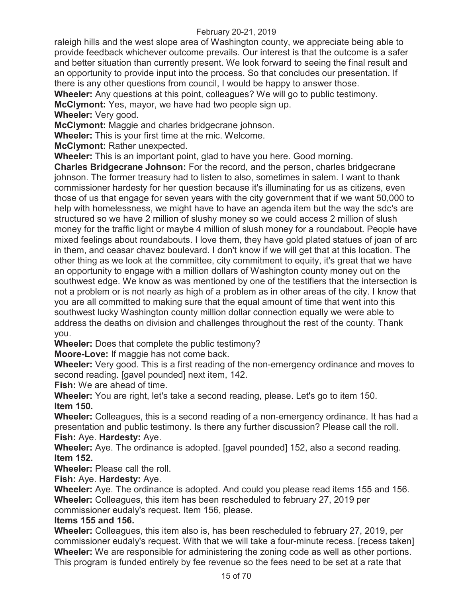raleigh hills and the west slope area of Washington county, we appreciate being able to provide feedback whichever outcome prevails. Our interest is that the outcome is a safer and better situation than currently present. We look forward to seeing the final result and an opportunity to provide input into the process. So that concludes our presentation. If there is any other questions from council, I would be happy to answer those.

**Wheeler:** Any questions at this point, colleagues? We will go to public testimony.

**McClymont:** Yes, mayor, we have had two people sign up.

**Wheeler:** Very good.

**McClymont:** Maggie and charles bridgecrane johnson.

**Wheeler:** This is your first time at the mic. Welcome.

**McClymont:** Rather unexpected.

**Wheeler:** This is an important point, glad to have you here. Good morning.

**Charles Bridgecrane Johnson:** For the record, and the person, charles bridgecrane johnson. The former treasury had to listen to also, sometimes in salem. I want to thank commissioner hardesty for her question because it's illuminating for us as citizens, even those of us that engage for seven years with the city government that if we want 50,000 to help with homelessness, we might have to have an agenda item but the way the sdc's are structured so we have 2 million of slushy money so we could access 2 million of slush money for the traffic light or maybe 4 million of slush money for a roundabout. People have mixed feelings about roundabouts. I love them, they have gold plated statues of joan of arc in them, and ceasar chavez boulevard. I don't know if we will get that at this location. The other thing as we look at the committee, city commitment to equity, it's great that we have an opportunity to engage with a million dollars of Washington county money out on the southwest edge. We know as was mentioned by one of the testifiers that the intersection is not a problem or is not nearly as high of a problem as in other areas of the city. I know that you are all committed to making sure that the equal amount of time that went into this southwest lucky Washington county million dollar connection equally we were able to address the deaths on division and challenges throughout the rest of the county. Thank you.

**Wheeler:** Does that complete the public testimony?

**Moore-Love:** If maggie has not come back.

**Wheeler:** Very good. This is a first reading of the non-emergency ordinance and moves to second reading. [gavel pounded] next item, 142.

**Fish:** We are ahead of time.

**Wheeler:** You are right, let's take a second reading, please. Let's go to item 150. **Item 150.** 

**Wheeler:** Colleagues, this is a second reading of a non-emergency ordinance. It has had a presentation and public testimony. Is there any further discussion? Please call the roll. **Fish:** Aye. **Hardesty:** Aye.

**Wheeler:** Aye. The ordinance is adopted. [gavel pounded] 152, also a second reading. **Item 152.** 

**Wheeler:** Please call the roll.

**Fish:** Aye. **Hardesty:** Aye.

**Wheeler:** Aye. The ordinance is adopted. And could you please read items 155 and 156. **Wheeler:** Colleagues, this item has been rescheduled to february 27, 2019 per commissioner eudaly's request. Item 156, please.

# **Items 155 and 156.**

**Wheeler:** Colleagues, this item also is, has been rescheduled to february 27, 2019, per commissioner eudaly's request. With that we will take a four-minute recess. [recess taken] **Wheeler:** We are responsible for administering the zoning code as well as other portions. This program is funded entirely by fee revenue so the fees need to be set at a rate that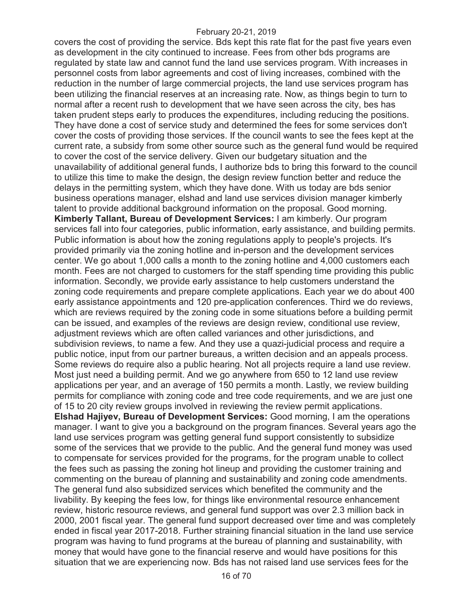covers the cost of providing the service. Bds kept this rate flat for the past five years even as development in the city continued to increase. Fees from other bds programs are regulated by state law and cannot fund the land use services program. With increases in personnel costs from labor agreements and cost of living increases, combined with the reduction in the number of large commercial projects, the land use services program has been utilizing the financial reserves at an increasing rate. Now, as things begin to turn to normal after a recent rush to development that we have seen across the city, bes has taken prudent steps early to produces the expenditures, including reducing the positions. They have done a cost of service study and determined the fees for some services don't cover the costs of providing those services. If the council wants to see the fees kept at the current rate, a subsidy from some other source such as the general fund would be required to cover the cost of the service delivery. Given our budgetary situation and the unavailability of additional general funds, I authorize bds to bring this forward to the council to utilize this time to make the design, the design review function better and reduce the delays in the permitting system, which they have done. With us today are bds senior business operations manager, elshad and land use services division manager kimberly talent to provide additional background information on the proposal. Good morning. **Kimberly Tallant, Bureau of Development Services:** I am kimberly. Our program services fall into four categories, public information, early assistance, and building permits. Public information is about how the zoning regulations apply to people's projects. It's provided primarily via the zoning hotline and in-person and the development services center. We go about 1,000 calls a month to the zoning hotline and 4,000 customers each month. Fees are not charged to customers for the staff spending time providing this public information. Secondly, we provide early assistance to help customers understand the zoning code requirements and prepare complete applications. Each year we do about 400 early assistance appointments and 120 pre-application conferences. Third we do reviews, which are reviews required by the zoning code in some situations before a building permit can be issued, and examples of the reviews are design review, conditional use review, adjustment reviews which are often called variances and other jurisdictions, and subdivision reviews, to name a few. And they use a quazi-judicial process and require a public notice, input from our partner bureaus, a written decision and an appeals process. Some reviews do require also a public hearing. Not all projects require a land use review. Most just need a building permit. And we go anywhere from 650 to 12 land use review applications per year, and an average of 150 permits a month. Lastly, we review building permits for compliance with zoning code and tree code requirements, and we are just one of 15 to 20 city review groups involved in reviewing the review permit applications. **Elshad Hajiyev, Bureau of Development Services:** Good morning, I am the operations manager. I want to give you a background on the program finances. Several years ago the land use services program was getting general fund support consistently to subsidize some of the services that we provide to the public. And the general fund money was used to compensate for services provided for the programs, for the program unable to collect the fees such as passing the zoning hot lineup and providing the customer training and commenting on the bureau of planning and sustainability and zoning code amendments. The general fund also subsidized services which benefited the community and the livability. By keeping the fees low, for things like environmental resource enhancement review, historic resource reviews, and general fund support was over 2.3 million back in 2000, 2001 fiscal year. The general fund support decreased over time and was completely ended in fiscal year 2017-2018. Further straining financial situation in the land use service program was having to fund programs at the bureau of planning and sustainability, with money that would have gone to the financial reserve and would have positions for this situation that we are experiencing now. Bds has not raised land use services fees for the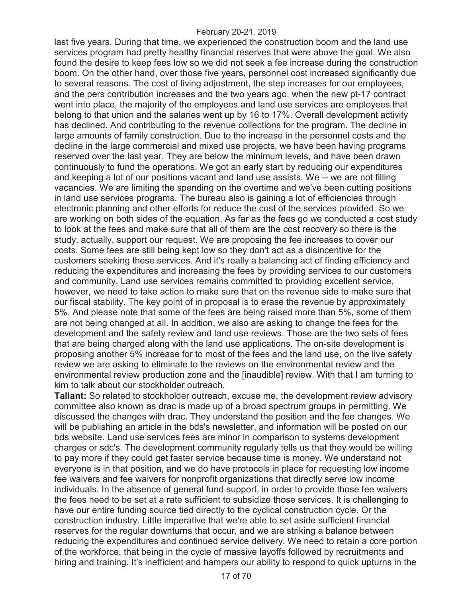last five years. During that time, we experienced the construction boom and the land use services program had pretty healthy financial reserves that were above the goal. We also found the desire to keep fees low so we did not seek a fee increase during the construction boom. On the other hand, over those five years, personnel cost increased significantly due to several reasons. The cost of living adjustment, the step increases for our employees, and the pers contribution increases and the two years ago, when the new pt-17 contract went into place, the majority of the employees and land use services are employees that belong to that union and the salaries went up by 16 to 17%. Overall development activity has declined. And contributing to the revenue collections for the program. The decline in large amounts of family construction. Due to the increase in the personnel costs and the decline in the large commercial and mixed use projects, we have been having programs reserved over the last year. They are below the minimum levels, and have been drawn continuously to fund the operations. We got an early start by reducing our expenditures and keeping a lot of our positions vacant and land use assists. We -- we are not filling vacancies. We are limiting the spending on the overtime and we've been cutting positions in land use services programs. The bureau also is gaining a lot of efficiencies through electronic planning and other efforts for reduce the cost of the services provided. So we are working on both sides of the equation. As far as the fees go we conducted a cost study to look at the fees and make sure that all of them are the cost recovery so there is the study, actually, support our request. We are proposing the fee increases to cover our costs. Some fees are still being kept low so they don't act as a disincentive for the customers seeking these services. And it's really a balancing act of finding efficiency and reducing the expenditures and increasing the fees by providing services to our customers and community. Land use services remains committed to providing excellent service, however, we need to take action to make sure that on the revenue side to make sure that our fiscal stability. The key point of in proposal is to erase the revenue by approximately 5%. And please note that some of the fees are being raised more than 5%, some of them are not being changed at all. In addition, we also are asking to change the fees for the development and the safety review and land use reviews. Those are the two sets of fees that are being charged along with the land use applications. The on-site development is proposing another 5% increase for to most of the fees and the land use, on the live safety review we are asking to eliminate to the reviews on the environmental review and the environmental review production zone and the [inaudible] review. With that I am turning to kim to talk about our stockholder outreach.

**Tallant:** So related to stockholder outreach, excuse me, the development review advisory committee also known as drac is made up of a broad spectrum groups in permitting. We discussed the changes with drac. They understand the position and the fee changes. We will be publishing an article in the bds's newsletter, and information will be posted on our bds website. Land use services fees are minor in comparison to systems development charges or sdc's. The development community regularly tells us that they would be willing to pay more if they could get faster service because time is money. We understand not everyone is in that position, and we do have protocols in place for requesting low income fee waivers and fee waivers for nonprofit organizations that directly serve low income individuals. In the absence of general fund support, in order to provide those fee waivers the fees need to be set at a rate sufficient to subsidize those services. It is challenging to have our entire funding source tied directly to the cyclical construction cycle. Or the construction industry. Little imperative that we're able to set aside sufficient financial reserves for the regular downturns that occur, and we are striking a balance between reducing the expenditures and continued service delivery. We need to retain a core portion of the workforce, that being in the cycle of massive layoffs followed by recruitments and hiring and training. It's inefficient and hampers our ability to respond to quick upturns in the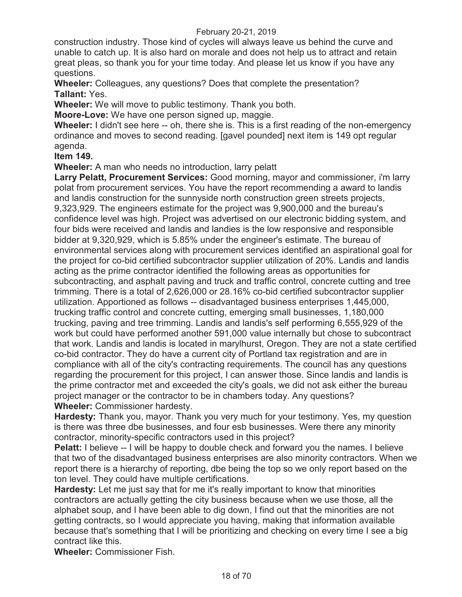construction industry. Those kind of cycles will always leave us behind the curve and unable to catch up. It is also hard on morale and does not help us to attract and retain great pleas, so thank you for your time today. And please let us know if you have any questions.

**Wheeler:** Colleagues, any questions? Does that complete the presentation? **Tallant:** Yes.

**Wheeler:** We will move to public testimony. Thank you both.

**Moore-Love:** We have one person signed up, maggie.

**Wheeler:** I didn't see here -- oh, there she is. This is a first reading of the non-emergency ordinance and moves to second reading. [gavel pounded] next item is 149 opt regular agenda.

**Item 149.** 

**Wheeler:** A man who needs no introduction, larry pelatt

**Larry Pelatt, Procurement Services:** Good morning, mayor and commissioner, i'm larry polat from procurement services. You have the report recommending a award to landis and landis construction for the sunnyside north construction green streets projects, 9,323,929. The engineers estimate for the project was 9,900,000 and the bureau's confidence level was high. Project was advertised on our electronic bidding system, and four bids were received and landis and landies is the low responsive and responsible bidder at 9,320,929, which is 5.85% under the engineer's estimate. The bureau of environmental services along with procurement services identified an aspirational goal for the project for co-bid certified subcontractor supplier utilization of 20%. Landis and landis acting as the prime contractor identified the following areas as opportunities for subcontracting, and asphalt paving and truck and traffic control, concrete cutting and tree trimming. There is a total of 2,626,000 or 28.16% co-bid certified subcontractor supplier utilization. Apportioned as follows -- disadvantaged business enterprises 1,445,000, trucking traffic control and concrete cutting, emerging small businesses, 1,180,000 trucking, paving and tree trimming. Landis and landis's self performing 6,555,929 of the work but could have performed another 591,000 value internally but chose to subcontract that work. Landis and landis is located in marylhurst, Oregon. They are not a state certified co-bid contractor. They do have a current city of Portland tax registration and are in compliance with all of the city's contracting requirements. The council has any questions regarding the procurement for this project, I can answer those. Since landis and landis is the prime contractor met and exceeded the city's goals, we did not ask either the bureau project manager or the contractor to be in chambers today. Any questions? **Wheeler:** Commissioner hardesty.

**Hardesty:** Thank you, mayor. Thank you very much for your testimony. Yes, my question is there was three dbe businesses, and four esb businesses. Were there any minority contractor, minority-specific contractors used in this project?

**Pelatt:** I believe -- I will be happy to double check and forward you the names. I believe that two of the disadvantaged business enterprises are also minority contractors. When we report there is a hierarchy of reporting, dbe being the top so we only report based on the ton level. They could have multiple certifications.

**Hardesty:** Let me just say that for me it's really important to know that minorities contractors are actually getting the city business because when we use those, all the alphabet soup, and I have been able to dig down, I find out that the minorities are not getting contracts, so I would appreciate you having, making that information available because that's something that I will be prioritizing and checking on every time I see a big contract like this.

**Wheeler:** Commissioner Fish.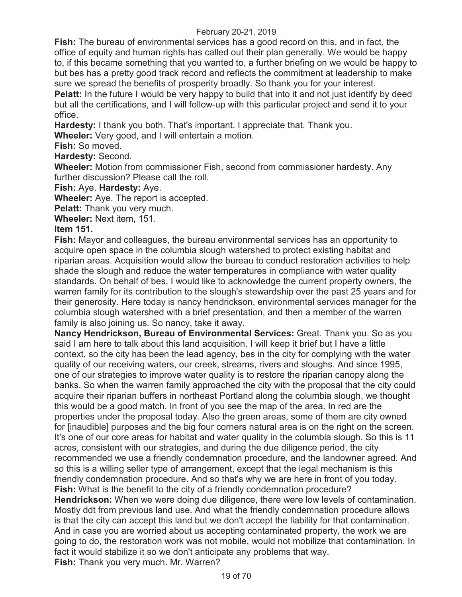**Fish:** The bureau of environmental services has a good record on this, and in fact, the office of equity and human rights has called out their plan generally. We would be happy to, if this became something that you wanted to, a further briefing on we would be happy to but bes has a pretty good track record and reflects the commitment at leadership to make sure we spread the benefits of prosperity broadly. So thank you for your interest.

**Pelatt:** In the future I would be very happy to build that into it and not just identify by deed but all the certifications, and I will follow-up with this particular project and send it to your office.

**Hardesty:** I thank you both. That's important. I appreciate that. Thank you.

**Wheeler:** Very good, and I will entertain a motion.

**Fish:** So moved.

**Hardesty:** Second.

**Wheeler:** Motion from commissioner Fish, second from commissioner hardesty. Any further discussion? Please call the roll.

# **Fish:** Aye. **Hardesty:** Aye.

**Wheeler:** Aye. The report is accepted.

**Pelatt:** Thank you very much.

**Wheeler:** Next item, 151.

# **Item 151.**

**Fish:** Mayor and colleagues, the bureau environmental services has an opportunity to acquire open space in the columbia slough watershed to protect existing habitat and riparian areas. Acquisition would allow the bureau to conduct restoration activities to help shade the slough and reduce the water temperatures in compliance with water quality standards. On behalf of bes, I would like to acknowledge the current property owners, the warren family for its contribution to the slough's stewardship over the past 25 years and for their generosity. Here today is nancy hendrickson, environmental services manager for the columbia slough watershed with a brief presentation, and then a member of the warren family is also joining us. So nancy, take it away.

**Nancy Hendrickson, Bureau of Environmental Services:** Great. Thank you. So as you said I am here to talk about this land acquisition. I will keep it brief but I have a little context, so the city has been the lead agency, bes in the city for complying with the water quality of our receiving waters, our creek, streams, rivers and sloughs. And since 1995, one of our strategies to improve water quality is to restore the riparian canopy along the banks. So when the warren family approached the city with the proposal that the city could acquire their riparian buffers in northeast Portland along the columbia slough, we thought this would be a good match. In front of you see the map of the area. In red are the properties under the proposal today. Also the green areas, some of them are city owned for [inaudible] purposes and the big four corners natural area is on the right on the screen. It's one of our core areas for habitat and water quality in the columbia slough. So this is 11 acres, consistent with our strategies, and during the due diligence period, the city recommended we use a friendly condemnation procedure, and the landowner agreed. And so this is a willing seller type of arrangement, except that the legal mechanism is this friendly condemnation procedure. And so that's why we are here in front of you today. **Fish:** What is the benefit to the city of a friendly condemnation procedure? **Hendrickson:** When we were doing due diligence, there were low levels of contamination. Mostly ddt from previous land use. And what the friendly condemnation procedure allows is that the city can accept this land but we don't accept the liability for that contamination. And in case you are worried about us accepting contaminated property, the work we are

going to do, the restoration work was not mobile, would not mobilize that contamination. In fact it would stabilize it so we don't anticipate any problems that way.

**Fish:** Thank you very much. Mr. Warren?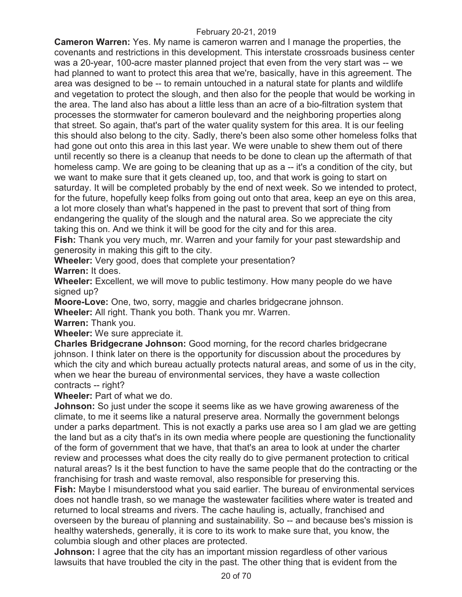**Cameron Warren:** Yes. My name is cameron warren and I manage the properties, the covenants and restrictions in this development. This interstate crossroads business center was a 20-year, 100-acre master planned project that even from the very start was -- we had planned to want to protect this area that we're, basically, have in this agreement. The area was designed to be -- to remain untouched in a natural state for plants and wildlife and vegetation to protect the slough, and then also for the people that would be working in the area. The land also has about a little less than an acre of a bio-filtration system that processes the stormwater for cameron boulevard and the neighboring properties along that street. So again, that's part of the water quality system for this area. It is our feeling this should also belong to the city. Sadly, there's been also some other homeless folks that had gone out onto this area in this last year. We were unable to shew them out of there until recently so there is a cleanup that needs to be done to clean up the aftermath of that homeless camp. We are going to be cleaning that up as a -- it's a condition of the city, but we want to make sure that it gets cleaned up, too, and that work is going to start on saturday. It will be completed probably by the end of next week. So we intended to protect, for the future, hopefully keep folks from going out onto that area, keep an eye on this area, a lot more closely than what's happened in the past to prevent that sort of thing from endangering the quality of the slough and the natural area. So we appreciate the city taking this on. And we think it will be good for the city and for this area.

**Fish:** Thank you very much, mr. Warren and your family for your past stewardship and generosity in making this gift to the city.

**Wheeler:** Very good, does that complete your presentation?

**Warren:** It does.

**Wheeler:** Excellent, we will move to public testimony. How many people do we have signed up?

**Moore-Love:** One, two, sorry, maggie and charles bridgecrane johnson.

**Wheeler:** All right. Thank you both. Thank you mr. Warren.

**Warren:** Thank you.

**Wheeler:** We sure appreciate it.

**Charles Bridgecrane Johnson:** Good morning, for the record charles bridgecrane johnson. I think later on there is the opportunity for discussion about the procedures by which the city and which bureau actually protects natural areas, and some of us in the city, when we hear the bureau of environmental services, they have a waste collection contracts -- right?

**Wheeler:** Part of what we do.

**Johnson:** So just under the scope it seems like as we have growing awareness of the climate, to me it seems like a natural preserve area. Normally the government belongs under a parks department. This is not exactly a parks use area so I am glad we are getting the land but as a city that's in its own media where people are questioning the functionality of the form of government that we have, that that's an area to look at under the charter review and processes what does the city really do to give permanent protection to critical natural areas? Is it the best function to have the same people that do the contracting or the franchising for trash and waste removal, also responsible for preserving this.

**Fish:** Maybe I misunderstood what you said earlier. The bureau of environmental services does not handle trash, so we manage the wastewater facilities where water is treated and returned to local streams and rivers. The cache hauling is, actually, franchised and overseen by the bureau of planning and sustainability. So -- and because bes's mission is healthy watersheds, generally, it is core to its work to make sure that, you know, the columbia slough and other places are protected.

**Johnson:** I agree that the city has an important mission regardless of other various lawsuits that have troubled the city in the past. The other thing that is evident from the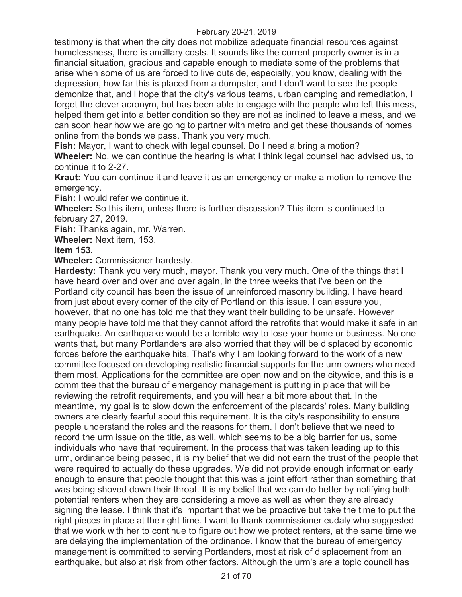testimony is that when the city does not mobilize adequate financial resources against homelessness, there is ancillary costs. It sounds like the current property owner is in a financial situation, gracious and capable enough to mediate some of the problems that arise when some of us are forced to live outside, especially, you know, dealing with the depression, how far this is placed from a dumpster, and I don't want to see the people demonize that, and I hope that the city's various teams, urban camping and remediation, I forget the clever acronym, but has been able to engage with the people who left this mess, helped them get into a better condition so they are not as inclined to leave a mess, and we can soon hear how we are going to partner with metro and get these thousands of homes online from the bonds we pass. Thank you very much.

**Fish:** Mayor, I want to check with legal counsel. Do I need a bring a motion?

**Wheeler:** No, we can continue the hearing is what I think legal counsel had advised us, to continue it to 2-27.

**Kraut:** You can continue it and leave it as an emergency or make a motion to remove the emergency.

**Fish:** I would refer we continue it.

**Wheeler:** So this item, unless there is further discussion? This item is continued to february 27, 2019.

**Fish:** Thanks again, mr. Warren.

**Wheeler:** Next item, 153.

**Item 153.** 

**Wheeler:** Commissioner hardesty.

**Hardesty:** Thank you very much, mayor. Thank you very much. One of the things that I have heard over and over and over again, in the three weeks that i've been on the Portland city council has been the issue of unreinforced masonry building. I have heard from just about every corner of the city of Portland on this issue. I can assure you, however, that no one has told me that they want their building to be unsafe. However many people have told me that they cannot afford the retrofits that would make it safe in an earthquake. An earthquake would be a terrible way to lose your home or business. No one wants that, but many Portlanders are also worried that they will be displaced by economic forces before the earthquake hits. That's why I am looking forward to the work of a new committee focused on developing realistic financial supports for the urm owners who need them most. Applications for the committee are open now and on the citywide, and this is a committee that the bureau of emergency management is putting in place that will be reviewing the retrofit requirements, and you will hear a bit more about that. In the meantime, my goal is to slow down the enforcement of the placards' roles. Many building owners are clearly fearful about this requirement. It is the city's responsibility to ensure people understand the roles and the reasons for them. I don't believe that we need to record the urm issue on the title, as well, which seems to be a big barrier for us, some individuals who have that requirement. In the process that was taken leading up to this urm, ordinance being passed, it is my belief that we did not earn the trust of the people that were required to actually do these upgrades. We did not provide enough information early enough to ensure that people thought that this was a joint effort rather than something that was being shoved down their throat. It is my belief that we can do better by notifying both potential renters when they are considering a move as well as when they are already signing the lease. I think that it's important that we be proactive but take the time to put the right pieces in place at the right time. I want to thank commissioner eudaly who suggested that we work with her to continue to figure out how we protect renters, at the same time we are delaying the implementation of the ordinance. I know that the bureau of emergency management is committed to serving Portlanders, most at risk of displacement from an earthquake, but also at risk from other factors. Although the urm's are a topic council has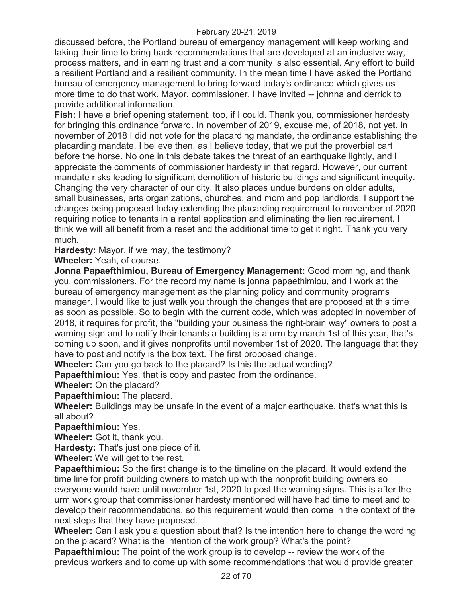discussed before, the Portland bureau of emergency management will keep working and taking their time to bring back recommendations that are developed at an inclusive way, process matters, and in earning trust and a community is also essential. Any effort to build a resilient Portland and a resilient community. In the mean time I have asked the Portland bureau of emergency management to bring forward today's ordinance which gives us more time to do that work. Mayor, commissioner, I have invited -- johnna and derrick to provide additional information.

**Fish:** I have a brief opening statement, too, if I could. Thank you, commissioner hardesty for bringing this ordinance forward. In november of 2019, excuse me, of 2018, not yet, in november of 2018 I did not vote for the placarding mandate, the ordinance establishing the placarding mandate. I believe then, as I believe today, that we put the proverbial cart before the horse. No one in this debate takes the threat of an earthquake lightly, and I appreciate the comments of commissioner hardesty in that regard. However, our current mandate risks leading to significant demolition of historic buildings and significant inequity. Changing the very character of our city. It also places undue burdens on older adults, small businesses, arts organizations, churches, and mom and pop landlords. I support the changes being proposed today extending the placarding requirement to november of 2020 requiring notice to tenants in a rental application and eliminating the lien requirement. I think we will all benefit from a reset and the additional time to get it right. Thank you very much.

**Hardesty:** Mayor, if we may, the testimony?

**Wheeler:** Yeah, of course.

**Jonna Papaefthimiou, Bureau of Emergency Management:** Good morning, and thank you, commissioners. For the record my name is jonna papaethimiou, and I work at the bureau of emergency management as the planning policy and community programs manager. I would like to just walk you through the changes that are proposed at this time as soon as possible. So to begin with the current code, which was adopted in november of 2018, it requires for profit, the "building your business the right-brain way" owners to post a warning sign and to notify their tenants a building is a urm by march 1st of this year, that's coming up soon, and it gives nonprofits until november 1st of 2020. The language that they have to post and notify is the box text. The first proposed change.

**Wheeler:** Can you go back to the placard? Is this the actual wording?

**Papaefthimiou:** Yes, that is copy and pasted from the ordinance.

**Wheeler:** On the placard?

**Papaefthimiou:** The placard.

**Wheeler:** Buildings may be unsafe in the event of a major earthquake, that's what this is all about?

**Papaefthimiou:** Yes.

**Wheeler:** Got it, thank you.

**Hardesty:** That's just one piece of it.

**Wheeler:** We will get to the rest.

**Papaefthimiou:** So the first change is to the timeline on the placard. It would extend the time line for profit building owners to match up with the nonprofit building owners so everyone would have until november 1st, 2020 to post the warning signs. This is after the urm work group that commissioner hardesty mentioned will have had time to meet and to develop their recommendations, so this requirement would then come in the context of the next steps that they have proposed.

**Wheeler:** Can I ask you a question about that? Is the intention here to change the wording on the placard? What is the intention of the work group? What's the point?

**Papaefthimiou:** The point of the work group is to develop -- review the work of the previous workers and to come up with some recommendations that would provide greater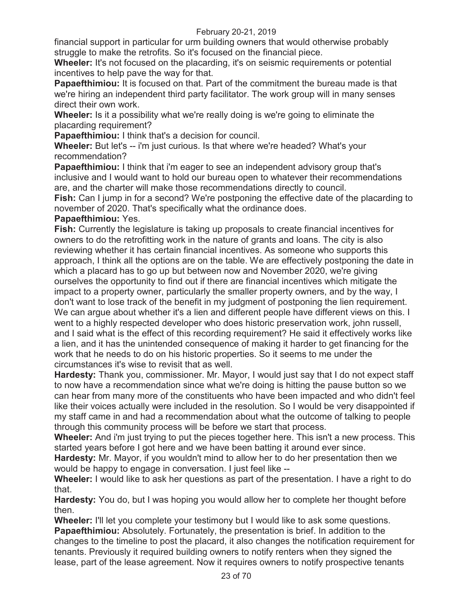financial support in particular for urm building owners that would otherwise probably struggle to make the retrofits. So it's focused on the financial piece.

**Wheeler:** It's not focused on the placarding, it's on seismic requirements or potential incentives to help pave the way for that.

**Papaefthimiou:** It is focused on that. Part of the commitment the bureau made is that we're hiring an independent third party facilitator. The work group will in many senses direct their own work.

**Wheeler:** Is it a possibility what we're really doing is we're going to eliminate the placarding requirement?

**Papaefthimiou:** I think that's a decision for council.

**Wheeler:** But let's -- i'm just curious. Is that where we're headed? What's your recommendation?

**Papaefthimiou:** I think that i'm eager to see an independent advisory group that's inclusive and I would want to hold our bureau open to whatever their recommendations are, and the charter will make those recommendations directly to council.

**Fish:** Can I jump in for a second? We're postponing the effective date of the placarding to november of 2020. That's specifically what the ordinance does.

# **Papaefthimiou:** Yes.

**Fish:** Currently the legislature is taking up proposals to create financial incentives for owners to do the retrofitting work in the nature of grants and loans. The city is also reviewing whether it has certain financial incentives. As someone who supports this approach, I think all the options are on the table. We are effectively postponing the date in which a placard has to go up but between now and November 2020, we're giving ourselves the opportunity to find out if there are financial incentives which mitigate the impact to a property owner, particularly the smaller property owners, and by the way, I don't want to lose track of the benefit in my judgment of postponing the lien requirement. We can argue about whether it's a lien and different people have different views on this. I went to a highly respected developer who does historic preservation work, john russell, and I said what is the effect of this recording requirement? He said it effectively works like a lien, and it has the unintended consequence of making it harder to get financing for the work that he needs to do on his historic properties. So it seems to me under the circumstances it's wise to revisit that as well.

**Hardesty:** Thank you, commissioner. Mr. Mayor, I would just say that I do not expect staff to now have a recommendation since what we're doing is hitting the pause button so we can hear from many more of the constituents who have been impacted and who didn't feel like their voices actually were included in the resolution. So I would be very disappointed if my staff came in and had a recommendation about what the outcome of talking to people through this community process will be before we start that process.

**Wheeler:** And i'm just trying to put the pieces together here. This isn't a new process. This started years before I got here and we have been batting it around ever since.

**Hardesty:** Mr. Mayor, if you wouldn't mind to allow her to do her presentation then we would be happy to engage in conversation. I just feel like --

**Wheeler:** I would like to ask her questions as part of the presentation. I have a right to do that.

**Hardesty:** You do, but I was hoping you would allow her to complete her thought before then.

**Wheeler:** I'll let you complete your testimony but I would like to ask some questions. **Papaefthimiou:** Absolutely. Fortunately, the presentation is brief. In addition to the changes to the timeline to post the placard, it also changes the notification requirement for tenants. Previously it required building owners to notify renters when they signed the lease, part of the lease agreement. Now it requires owners to notify prospective tenants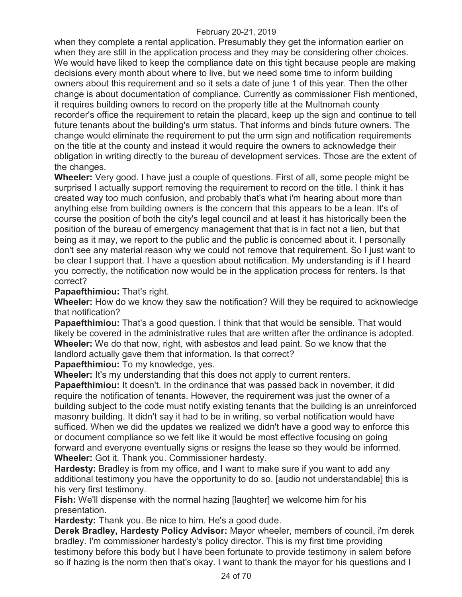when they complete a rental application. Presumably they get the information earlier on when they are still in the application process and they may be considering other choices. We would have liked to keep the compliance date on this tight because people are making decisions every month about where to live, but we need some time to inform building owners about this requirement and so it sets a date of june 1 of this year. Then the other change is about documentation of compliance. Currently as commissioner Fish mentioned, it requires building owners to record on the property title at the Multnomah county recorder's office the requirement to retain the placard, keep up the sign and continue to tell future tenants about the building's urm status. That informs and binds future owners. The change would eliminate the requirement to put the urm sign and notification requirements on the title at the county and instead it would require the owners to acknowledge their obligation in writing directly to the bureau of development services. Those are the extent of the changes.

**Wheeler:** Very good. I have just a couple of questions. First of all, some people might be surprised I actually support removing the requirement to record on the title. I think it has created way too much confusion, and probably that's what i'm hearing about more than anything else from building owners is the concern that this appears to be a lean. It's of course the position of both the city's legal council and at least it has historically been the position of the bureau of emergency management that that is in fact not a lien, but that being as it may, we report to the public and the public is concerned about it. I personally don't see any material reason why we could not remove that requirement. So I just want to be clear I support that. I have a question about notification. My understanding is if I heard you correctly, the notification now would be in the application process for renters. Is that correct?

# **Papaefthimiou:** That's right.

**Wheeler:** How do we know they saw the notification? Will they be required to acknowledge that notification?

**Papaefthimiou:** That's a good question. I think that that would be sensible. That would likely be covered in the administrative rules that are written after the ordinance is adopted. **Wheeler:** We do that now, right, with asbestos and lead paint. So we know that the landlord actually gave them that information. Is that correct?

**Papaefthimiou:** To my knowledge, yes.

**Wheeler:** It's my understanding that this does not apply to current renters.

**Papaefthimiou:** It doesn't. In the ordinance that was passed back in november, it did require the notification of tenants. However, the requirement was just the owner of a building subject to the code must notify existing tenants that the building is an unreinforced masonry building. It didn't say it had to be in writing, so verbal notification would have sufficed. When we did the updates we realized we didn't have a good way to enforce this or document compliance so we felt like it would be most effective focusing on going forward and everyone eventually signs or resigns the lease so they would be informed. **Wheeler:** Got it. Thank you. Commissioner hardesty.

**Hardesty:** Bradley is from my office, and I want to make sure if you want to add any additional testimony you have the opportunity to do so. [audio not understandable] this is his very first testimony.

**Fish:** We'll dispense with the normal hazing [laughter] we welcome him for his presentation.

**Hardesty:** Thank you. Be nice to him. He's a good dude.

**Derek Bradley, Hardesty Policy Advisor:** Mayor wheeler, members of council, i'm derek bradley. I'm commissioner hardesty's policy director. This is my first time providing testimony before this body but I have been fortunate to provide testimony in salem before so if hazing is the norm then that's okay. I want to thank the mayor for his questions and I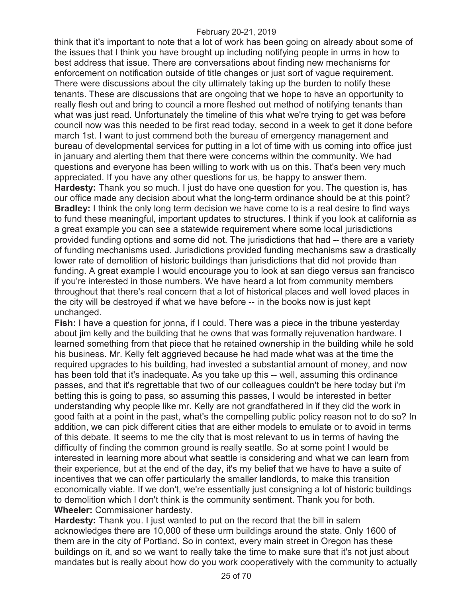think that it's important to note that a lot of work has been going on already about some of the issues that I think you have brought up including notifying people in urms in how to best address that issue. There are conversations about finding new mechanisms for enforcement on notification outside of title changes or just sort of vague requirement. There were discussions about the city ultimately taking up the burden to notify these tenants. These are discussions that are ongoing that we hope to have an opportunity to really flesh out and bring to council a more fleshed out method of notifying tenants than what was just read. Unfortunately the timeline of this what we're trying to get was before council now was this needed to be first read today, second in a week to get it done before march 1st. I want to just commend both the bureau of emergency management and bureau of developmental services for putting in a lot of time with us coming into office just in january and alerting them that there were concerns within the community. We had questions and everyone has been willing to work with us on this. That's been very much appreciated. If you have any other questions for us, be happy to answer them. **Hardesty:** Thank you so much. I just do have one question for you. The question is, has our office made any decision about what the long-term ordinance should be at this point? **Bradley:** I think the only long term decision we have come to is a real desire to find ways to fund these meaningful, important updates to structures. I think if you look at california as a great example you can see a statewide requirement where some local jurisdictions provided funding options and some did not. The jurisdictions that had -- there are a variety of funding mechanisms used. Jurisdictions provided funding mechanisms saw a drastically lower rate of demolition of historic buildings than jurisdictions that did not provide than funding. A great example I would encourage you to look at san diego versus san francisco if you're interested in those numbers. We have heard a lot from community members throughout that there's real concern that a lot of historical places and well loved places in the city will be destroyed if what we have before -- in the books now is just kept unchanged.

**Fish:** I have a question for jonna, if I could. There was a piece in the tribune yesterday about jim kelly and the building that he owns that was formally rejuvenation hardware. I learned something from that piece that he retained ownership in the building while he sold his business. Mr. Kelly felt aggrieved because he had made what was at the time the required upgrades to his building, had invested a substantial amount of money, and now has been told that it's inadequate. As you take up this -- well, assuming this ordinance passes, and that it's regrettable that two of our colleagues couldn't be here today but i'm betting this is going to pass, so assuming this passes, I would be interested in better understanding why people like mr. Kelly are not grandfathered in if they did the work in good faith at a point in the past, what's the compelling public policy reason not to do so? In addition, we can pick different cities that are either models to emulate or to avoid in terms of this debate. It seems to me the city that is most relevant to us in terms of having the difficulty of finding the common ground is really seattle. So at some point I would be interested in learning more about what seattle is considering and what we can learn from their experience, but at the end of the day, it's my belief that we have to have a suite of incentives that we can offer particularly the smaller landlords, to make this transition economically viable. If we don't, we're essentially just consigning a lot of historic buildings to demolition which I don't think is the community sentiment. Thank you for both. **Wheeler:** Commissioner hardesty.

**Hardesty:** Thank you. I just wanted to put on the record that the bill in salem acknowledges there are 10,000 of these urm buildings around the state. Only 1600 of them are in the city of Portland. So in context, every main street in Oregon has these buildings on it, and so we want to really take the time to make sure that it's not just about mandates but is really about how do you work cooperatively with the community to actually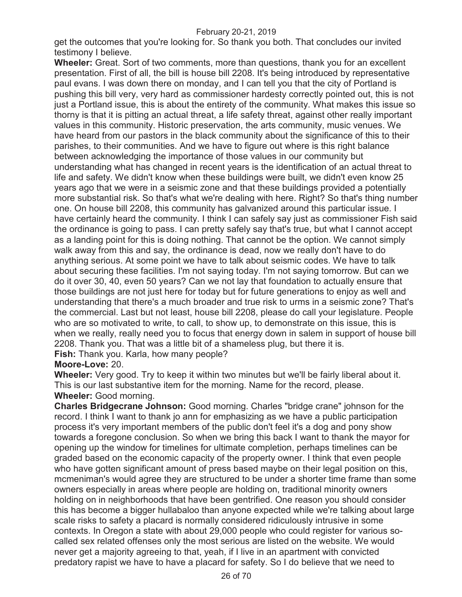get the outcomes that you're looking for. So thank you both. That concludes our invited testimony I believe.

**Wheeler:** Great. Sort of two comments, more than questions, thank you for an excellent presentation. First of all, the bill is house bill 2208. It's being introduced by representative paul evans. I was down there on monday, and I can tell you that the city of Portland is pushing this bill very, very hard as commissioner hardesty correctly pointed out, this is not just a Portland issue, this is about the entirety of the community. What makes this issue so thorny is that it is pitting an actual threat, a life safety threat, against other really important values in this community. Historic preservation, the arts community, music venues. We have heard from our pastors in the black community about the significance of this to their parishes, to their communities. And we have to figure out where is this right balance between acknowledging the importance of those values in our community but understanding what has changed in recent years is the identification of an actual threat to life and safety. We didn't know when these buildings were built, we didn't even know 25 years ago that we were in a seismic zone and that these buildings provided a potentially more substantial risk. So that's what we're dealing with here. Right? So that's thing number one. On house bill 2208, this community has galvanized around this particular issue. I have certainly heard the community. I think I can safely say just as commissioner Fish said the ordinance is going to pass. I can pretty safely say that's true, but what I cannot accept as a landing point for this is doing nothing. That cannot be the option. We cannot simply walk away from this and say, the ordinance is dead, now we really don't have to do anything serious. At some point we have to talk about seismic codes. We have to talk about securing these facilities. I'm not saying today. I'm not saying tomorrow. But can we do it over 30, 40, even 50 years? Can we not lay that foundation to actually ensure that those buildings are not just here for today but for future generations to enjoy as well and understanding that there's a much broader and true risk to urms in a seismic zone? That's the commercial. Last but not least, house bill 2208, please do call your legislature. People who are so motivated to write, to call, to show up, to demonstrate on this issue, this is when we really, really need you to focus that energy down in salem in support of house bill 2208. Thank you. That was a little bit of a shameless plug, but there it is.

**Fish:** Thank you. Karla, how many people?

### **Moore-Love:** 20.

**Wheeler:** Very good. Try to keep it within two minutes but we'll be fairly liberal about it. This is our last substantive item for the morning. Name for the record, please. **Wheeler:** Good morning.

**Charles Bridgecrane Johnson:** Good morning. Charles "bridge crane" johnson for the record. I think I want to thank jo ann for emphasizing as we have a public participation process it's very important members of the public don't feel it's a dog and pony show towards a foregone conclusion. So when we bring this back I want to thank the mayor for opening up the window for timelines for ultimate completion, perhaps timelines can be graded based on the economic capacity of the property owner. I think that even people who have gotten significant amount of press based maybe on their legal position on this, mcmeniman's would agree they are structured to be under a shorter time frame than some owners especially in areas where people are holding on, traditional minority owners holding on in neighborhoods that have been gentrified. One reason you should consider this has become a bigger hullabaloo than anyone expected while we're talking about large scale risks to safety a placard is normally considered ridiculously intrusive in some contexts. In Oregon a state with about 29,000 people who could register for various socalled sex related offenses only the most serious are listed on the website. We would never get a majority agreeing to that, yeah, if I live in an apartment with convicted predatory rapist we have to have a placard for safety. So I do believe that we need to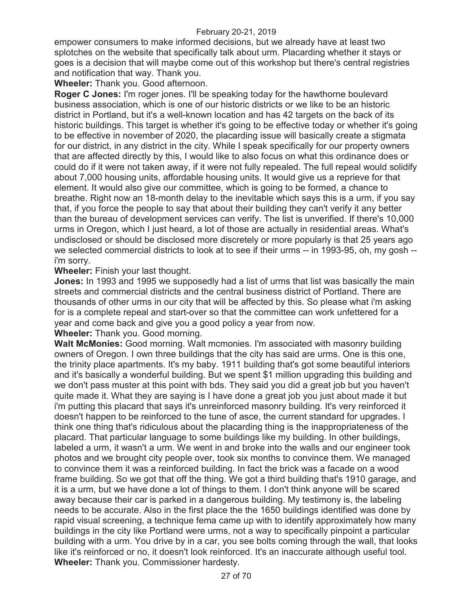empower consumers to make informed decisions, but we already have at least two splotches on the website that specifically talk about urm. Placarding whether it stays or goes is a decision that will maybe come out of this workshop but there's central registries and notification that way. Thank you.

**Wheeler:** Thank you. Good afternoon.

**Roger C Jones:** I'm roger jones. I'll be speaking today for the hawthorne boulevard business association, which is one of our historic districts or we like to be an historic district in Portland, but it's a well-known location and has 42 targets on the back of its historic buildings. This target is whether it's going to be effective today or whether it's going to be effective in november of 2020, the placarding issue will basically create a stigmata for our district, in any district in the city. While I speak specifically for our property owners that are affected directly by this, I would like to also focus on what this ordinance does or could do if it were not taken away, if it were not fully repealed. The full repeal would solidify about 7,000 housing units, affordable housing units. It would give us a reprieve for that element. It would also give our committee, which is going to be formed, a chance to breathe. Right now an 18-month delay to the inevitable which says this is a urm, if you say that, if you force the people to say that about their building they can't verify it any better than the bureau of development services can verify. The list is unverified. If there's 10,000 urms in Oregon, which I just heard, a lot of those are actually in residential areas. What's undisclosed or should be disclosed more discretely or more popularly is that 25 years ago we selected commercial districts to look at to see if their urms -- in 1993-95, oh, my gosh - i'm sorry.

### **Wheeler:** Finish your last thought.

**Jones:** In 1993 and 1995 we supposedly had a list of urms that list was basically the main streets and commercial districts and the central business district of Portland. There are thousands of other urms in our city that will be affected by this. So please what i'm asking for is a complete repeal and start-over so that the committee can work unfettered for a year and come back and give you a good policy a year from now.

## **Wheeler:** Thank you. Good morning.

**Walt McMonies:** Good morning. Walt mcmonies. I'm associated with masonry building owners of Oregon. I own three buildings that the city has said are urms. One is this one, the trinity place apartments. It's my baby. 1911 building that's got some beautiful interiors and it's basically a wonderful building. But we spent \$1 million upgrading this building and we don't pass muster at this point with bds. They said you did a great job but you haven't quite made it. What they are saying is I have done a great job you just about made it but i'm putting this placard that says it's unreinforced masonry building. It's very reinforced it doesn't happen to be reinforced to the tune of asce, the current standard for upgrades. I think one thing that's ridiculous about the placarding thing is the inappropriateness of the placard. That particular language to some buildings like my building. In other buildings, labeled a urm, it wasn't a urm. We went in and broke into the walls and our engineer took photos and we brought city people over, took six months to convince them. We managed to convince them it was a reinforced building. In fact the brick was a facade on a wood frame building. So we got that off the thing. We got a third building that's 1910 garage, and it is a urm, but we have done a lot of things to them. I don't think anyone will be scared away because their car is parked in a dangerous building. My testimony is, the labeling needs to be accurate. Also in the first place the the 1650 buildings identified was done by rapid visual screening, a technique fema came up with to identify approximately how many buildings in the city like Portland were urms, not a way to specifically pinpoint a particular building with a urm. You drive by in a car, you see bolts coming through the wall, that looks like it's reinforced or no, it doesn't look reinforced. It's an inaccurate although useful tool. **Wheeler:** Thank you. Commissioner hardesty.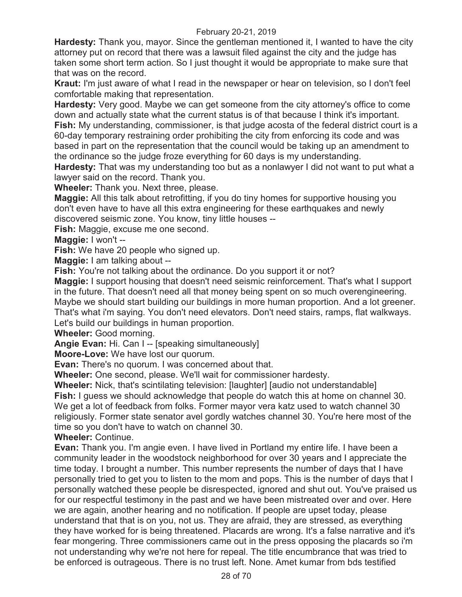**Hardesty:** Thank you, mayor. Since the gentleman mentioned it, I wanted to have the city attorney put on record that there was a lawsuit filed against the city and the judge has taken some short term action. So I just thought it would be appropriate to make sure that that was on the record.

**Kraut:** I'm just aware of what I read in the newspaper or hear on television, so I don't feel comfortable making that representation.

**Hardesty:** Very good. Maybe we can get someone from the city attorney's office to come down and actually state what the current status is of that because I think it's important. **Fish:** My understanding, commissioner, is that judge acosta of the federal district court is a 60-day temporary restraining order prohibiting the city from enforcing its code and was based in part on the representation that the council would be taking up an amendment to the ordinance so the judge froze everything for 60 days is my understanding.

**Hardesty:** That was my understanding too but as a nonlawyer I did not want to put what a lawyer said on the record. Thank you.

**Wheeler:** Thank you. Next three, please.

**Maggie:** All this talk about retrofitting, if you do tiny homes for supportive housing you don't even have to have all this extra engineering for these earthquakes and newly discovered seismic zone. You know, tiny little houses --

**Fish:** Maggie, excuse me one second.

**Maggie:** I won't --

**Fish:** We have 20 people who signed up.

**Maggie:** I am talking about --

**Fish:** You're not talking about the ordinance. Do you support it or not?

**Maggie:** I support housing that doesn't need seismic reinforcement. That's what I support in the future. That doesn't need all that money being spent on so much overengineering. Maybe we should start building our buildings in more human proportion. And a lot greener. That's what i'm saying. You don't need elevators. Don't need stairs, ramps, flat walkways. Let's build our buildings in human proportion.

**Wheeler:** Good morning.

**Angie Evan:** Hi. Can I -- [speaking simultaneously]

**Moore-Love:** We have lost our quorum.

**Evan:** There's no quorum. I was concerned about that.

**Wheeler:** One second, please. We'll wait for commissioner hardesty.

**Wheeler:** Nick, that's scintilating television: [laughter] [audio not understandable] **Fish:** I guess we should acknowledge that people do watch this at home on channel 30. We get a lot of feedback from folks. Former mayor vera katz used to watch channel 30 religiously. Former state senator avel gordly watches channel 30. You're here most of the time so you don't have to watch on channel 30.

**Wheeler:** Continue.

**Evan:** Thank you. I'm angie even. I have lived in Portland my entire life. I have been a community leader in the woodstock neighborhood for over 30 years and I appreciate the time today. I brought a number. This number represents the number of days that I have personally tried to get you to listen to the mom and pops. This is the number of days that I personally watched these people be disrespected, ignored and shut out. You've praised us for our respectful testimony in the past and we have been mistreated over and over. Here we are again, another hearing and no notification. If people are upset today, please understand that that is on you, not us. They are afraid, they are stressed, as everything they have worked for is being threatened. Placards are wrong. It's a false narrative and it's fear mongering. Three commissioners came out in the press opposing the placards so i'm not understanding why we're not here for repeal. The title encumbrance that was tried to be enforced is outrageous. There is no trust left. None. Amet kumar from bds testified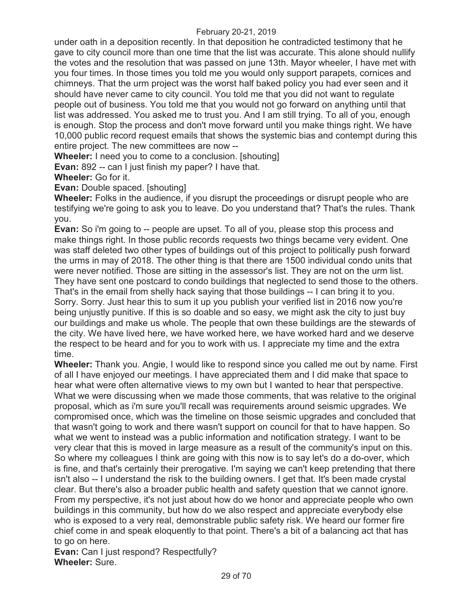under oath in a deposition recently. In that deposition he contradicted testimony that he gave to city council more than one time that the list was accurate. This alone should nullify the votes and the resolution that was passed on june 13th. Mayor wheeler, I have met with you four times. In those times you told me you would only support parapets, cornices and chimneys. That the urm project was the worst half baked policy you had ever seen and it should have never came to city council. You told me that you did not want to regulate people out of business. You told me that you would not go forward on anything until that list was addressed. You asked me to trust you. And I am still trying. To all of you, enough is enough. Stop the process and don't move forward until you make things right. We have 10,000 public record request emails that shows the systemic bias and contempt during this entire project. The new committees are now --

**Wheeler:** I need you to come to a conclusion. [shouting]

**Evan:** 892 -- can I just finish my paper? I have that.

**Wheeler:** Go for it.

**Evan:** Double spaced. [shouting]

**Wheeler:** Folks in the audience, if you disrupt the proceedings or disrupt people who are testifying we're going to ask you to leave. Do you understand that? That's the rules. Thank you.

**Evan:** So i'm going to -- people are upset. To all of you, please stop this process and make things right. In those public records requests two things became very evident. One was staff deleted two other types of buildings out of this project to politically push forward the urms in may of 2018. The other thing is that there are 1500 individual condo units that were never notified. Those are sitting in the assessor's list. They are not on the urm list. They have sent one postcard to condo buildings that neglected to send those to the others. That's in the email from shelly hack saying that those buildings -- I can bring it to you. Sorry. Sorry. Just hear this to sum it up you publish your verified list in 2016 now you're being unjustly punitive. If this is so doable and so easy, we might ask the city to just buy our buildings and make us whole. The people that own these buildings are the stewards of the city. We have lived here, we have worked here, we have worked hard and we deserve the respect to be heard and for you to work with us. I appreciate my time and the extra time.

**Wheeler:** Thank you. Angie, I would like to respond since you called me out by name. First of all I have enjoyed our meetings. I have appreciated them and I did make that space to hear what were often alternative views to my own but I wanted to hear that perspective. What we were discussing when we made those comments, that was relative to the original proposal, which as i'm sure you'll recall was requirements around seismic upgrades. We compromised once, which was the timeline on those seismic upgrades and concluded that that wasn't going to work and there wasn't support on council for that to have happen. So what we went to instead was a public information and notification strategy. I want to be very clear that this is moved in large measure as a result of the community's input on this. So where my colleagues I think are going with this now is to say let's do a do-over, which is fine, and that's certainly their prerogative. I'm saying we can't keep pretending that there isn't also -- I understand the risk to the building owners. I get that. It's been made crystal clear. But there's also a broader public health and safety question that we cannot ignore. From my perspective, it's not just about how do we honor and appreciate people who own buildings in this community, but how do we also respect and appreciate everybody else who is exposed to a very real, demonstrable public safety risk. We heard our former fire chief come in and speak eloquently to that point. There's a bit of a balancing act that has to go on here.

**Evan:** Can I just respond? Respectfully? **Wheeler:** Sure.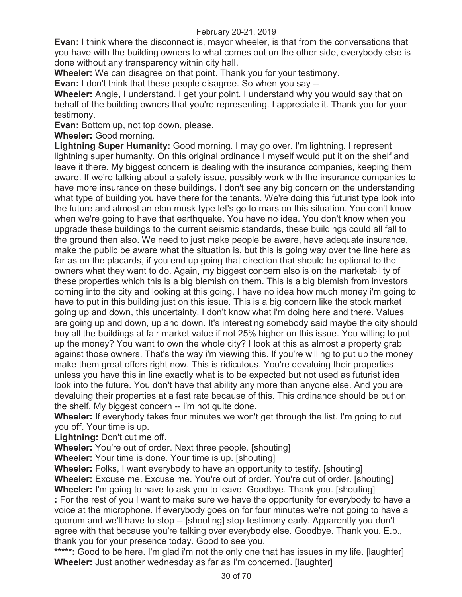**Evan:** I think where the disconnect is, mayor wheeler, is that from the conversations that you have with the building owners to what comes out on the other side, everybody else is done without any transparency within city hall.

**Wheeler:** We can disagree on that point. Thank you for your testimony.

**Evan:** I don't think that these people disagree. So when you say --

**Wheeler:** Angie, I understand. I get your point. I understand why you would say that on behalf of the building owners that you're representing. I appreciate it. Thank you for your testimony.

**Evan:** Bottom up, not top down, please.

**Wheeler:** Good morning.

**Lightning Super Humanity:** Good morning. I may go over. I'm lightning. I represent lightning super humanity. On this original ordinance I myself would put it on the shelf and leave it there. My biggest concern is dealing with the insurance companies, keeping them aware. If we're talking about a safety issue, possibly work with the insurance companies to have more insurance on these buildings. I don't see any big concern on the understanding what type of building you have there for the tenants. We're doing this futurist type look into the future and almost an elon musk type let's go to mars on this situation. You don't know when we're going to have that earthquake. You have no idea. You don't know when you upgrade these buildings to the current seismic standards, these buildings could all fall to the ground then also. We need to just make people be aware, have adequate insurance, make the public be aware what the situation is, but this is going way over the line here as far as on the placards, if you end up going that direction that should be optional to the owners what they want to do. Again, my biggest concern also is on the marketability of these properties which this is a big blemish on them. This is a big blemish from investors coming into the city and looking at this going, I have no idea how much money i'm going to have to put in this building just on this issue. This is a big concern like the stock market going up and down, this uncertainty. I don't know what i'm doing here and there. Values are going up and down, up and down. It's interesting somebody said maybe the city should buy all the buildings at fair market value if not 25% higher on this issue. You willing to put up the money? You want to own the whole city? I look at this as almost a property grab against those owners. That's the way i'm viewing this. If you're willing to put up the money make them great offers right now. This is ridiculous. You're devaluing their properties unless you have this in line exactly what is to be expected but not used as futurist idea look into the future. You don't have that ability any more than anyone else. And you are devaluing their properties at a fast rate because of this. This ordinance should be put on the shelf. My biggest concern -- i'm not quite done.

**Wheeler:** If everybody takes four minutes we won't get through the list. I'm going to cut you off. Your time is up.

**Lightning:** Don't cut me off.

**Wheeler:** You're out of order. Next three people. [shouting]

**Wheeler:** Your time is done. Your time is up. [shouting]

**Wheeler:** Folks, I want everybody to have an opportunity to testify. [shouting] **Wheeler:** Excuse me. Excuse me. You're out of order. You're out of order. [shouting] **Wheeler:** I'm going to have to ask you to leave. Goodbye. Thank you. [shouting] **:** For the rest of you I want to make sure we have the opportunity for everybody to have a voice at the microphone. If everybody goes on for four minutes we're not going to have a quorum and we'll have to stop -- [shouting] stop testimony early. Apparently you don't agree with that because you're talking over everybody else. Goodbye. Thank you. E.b., thank you for your presence today. Good to see you.

\*\*\*\*\*: Good to be here. I'm glad i'm not the only one that has issues in my life. [laughter] **Wheeler:** Just another wednesday as far as I'm concerned. [laughter]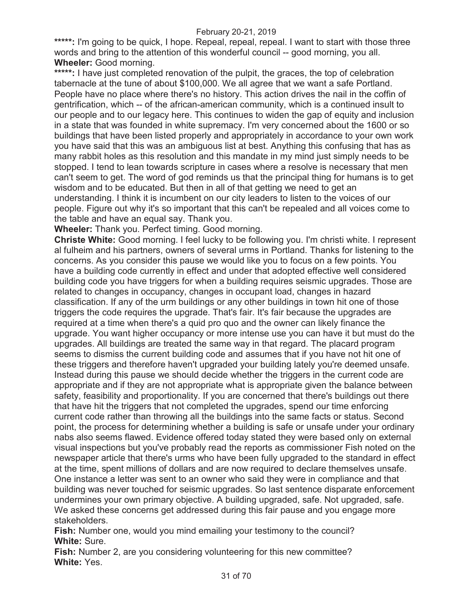\*\*\*\*\*: I'm going to be quick, I hope. Repeal, repeal, repeal. I want to start with those three words and bring to the attention of this wonderful council -- good morning, you all. **Wheeler:** Good morning.

\*\*\*\*\*: I have just completed renovation of the pulpit, the graces, the top of celebration tabernacle at the tune of about \$100,000. We all agree that we want a safe Portland. People have no place where there's no history. This action drives the nail in the coffin of gentrification, which -- of the african-american community, which is a continued insult to our people and to our legacy here. This continues to widen the gap of equity and inclusion in a state that was founded in white supremacy. I'm very concerned about the 1600 or so buildings that have been listed properly and appropriately in accordance to your own work you have said that this was an ambiguous list at best. Anything this confusing that has as many rabbit holes as this resolution and this mandate in my mind just simply needs to be stopped. I tend to lean towards scripture in cases where a resolve is necessary that men can't seem to get. The word of god reminds us that the principal thing for humans is to get wisdom and to be educated. But then in all of that getting we need to get an understanding. I think it is incumbent on our city leaders to listen to the voices of our people. Figure out why it's so important that this can't be repealed and all voices come to the table and have an equal say. Thank you.

**Wheeler:** Thank you. Perfect timing. Good morning.

**Christe White:** Good morning. I feel lucky to be following you. I'm christi white. I represent al fulheim and his partners, owners of several urms in Portland. Thanks for listening to the concerns. As you consider this pause we would like you to focus on a few points. You have a building code currently in effect and under that adopted effective well considered building code you have triggers for when a building requires seismic upgrades. Those are related to changes in occupancy, changes in occupant load, changes in hazard classification. If any of the urm buildings or any other buildings in town hit one of those triggers the code requires the upgrade. That's fair. It's fair because the upgrades are required at a time when there's a quid pro quo and the owner can likely finance the upgrade. You want higher occupancy or more intense use you can have it but must do the upgrades. All buildings are treated the same way in that regard. The placard program seems to dismiss the current building code and assumes that if you have not hit one of these triggers and therefore haven't upgraded your building lately you're deemed unsafe. Instead during this pause we should decide whether the triggers in the current code are appropriate and if they are not appropriate what is appropriate given the balance between safety, feasibility and proportionality. If you are concerned that there's buildings out there that have hit the triggers that not completed the upgrades, spend our time enforcing current code rather than throwing all the buildings into the same facts or status. Second point, the process for determining whether a building is safe or unsafe under your ordinary nabs also seems flawed. Evidence offered today stated they were based only on external visual inspections but you've probably read the reports as commissioner Fish noted on the newspaper article that there's urms who have been fully upgraded to the standard in effect at the time, spent millions of dollars and are now required to declare themselves unsafe. One instance a letter was sent to an owner who said they were in compliance and that building was never touched for seismic upgrades. So last sentence disparate enforcement undermines your own primary objective. A building upgraded, safe. Not upgraded, safe. We asked these concerns get addressed during this fair pause and you engage more stakeholders.

**Fish:** Number one, would you mind emailing your testimony to the council? **White:** Sure.

**Fish:** Number 2, are you considering volunteering for this new committee? **White:** Yes.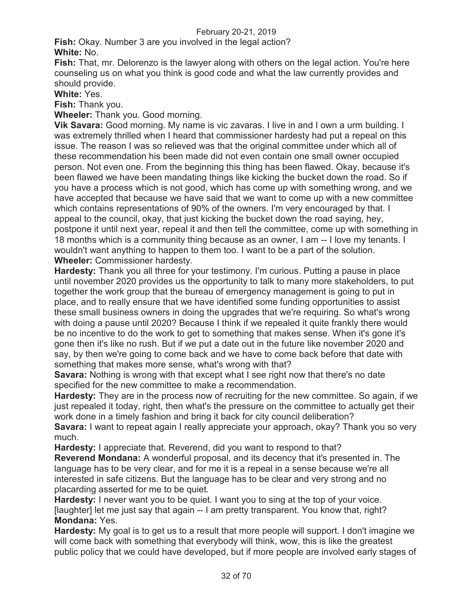**Fish:** Okay. Number 3 are you involved in the legal action? **White:** No.

**Fish:** That, mr. Delorenzo is the lawyer along with others on the legal action. You're here counseling us on what you think is good code and what the law currently provides and should provide.

# **White:** Yes.

**Fish:** Thank you.

**Wheeler:** Thank you. Good morning.

**Vik Savara:** Good morning. My name is vic zavaras. I live in and I own a urm building. I was extremely thrilled when I heard that commissioner hardesty had put a repeal on this issue. The reason I was so relieved was that the original committee under which all of these recommendation his been made did not even contain one small owner occupied person. Not even one. From the beginning this thing has been flawed. Okay, because it's been flawed we have been mandating things like kicking the bucket down the road. So if you have a process which is not good, which has come up with something wrong, and we have accepted that because we have said that we want to come up with a new committee which contains representations of 90% of the owners. I'm very encouraged by that. I appeal to the council, okay, that just kicking the bucket down the road saying, hey, postpone it until next year, repeal it and then tell the committee, come up with something in 18 months which is a community thing because as an owner, I am -- I love my tenants. I wouldn't want anything to happen to them too. I want to be a part of the solution. **Wheeler:** Commissioner hardesty.

**Hardesty:** Thank you all three for your testimony. I'm curious. Putting a pause in place until november 2020 provides us the opportunity to talk to many more stakeholders, to put together the work group that the bureau of emergency management is going to put in place, and to really ensure that we have identified some funding opportunities to assist these small business owners in doing the upgrades that we're requiring. So what's wrong with doing a pause until 2020? Because I think if we repealed it quite frankly there would be no incentive to do the work to get to something that makes sense. When it's gone it's gone then it's like no rush. But if we put a date out in the future like november 2020 and say, by then we're going to come back and we have to come back before that date with something that makes more sense, what's wrong with that?

**Savara:** Nothing is wrong with that except what I see right now that there's no date specified for the new committee to make a recommendation.

**Hardesty:** They are in the process now of recruiting for the new committee. So again, if we just repealed it today, right, then what's the pressure on the committee to actually get their work done in a timely fashion and bring it back for city council deliberation?

**Savara:** I want to repeat again I really appreciate your approach, okay? Thank you so very much.

**Hardesty:** I appreciate that. Reverend, did you want to respond to that?

**Reverend Mondana:** A wonderful proposal, and its decency that it's presented in. The language has to be very clear, and for me it is a repeal in a sense because we're all interested in safe citizens. But the language has to be clear and very strong and no placarding asserted for me to be quiet.

**Hardesty:** I never want you to be quiet. I want you to sing at the top of your voice. [laughter] let me just say that again -- I am pretty transparent. You know that, right? **Mondana:** Yes.

**Hardesty:** My goal is to get us to a result that more people will support. I don't imagine we will come back with something that everybody will think, wow, this is like the greatest public policy that we could have developed, but if more people are involved early stages of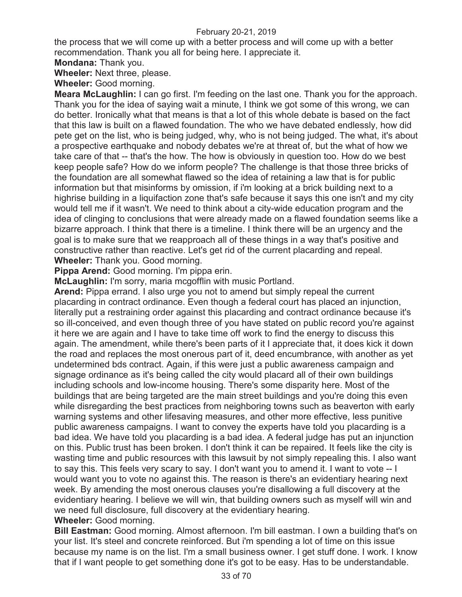the process that we will come up with a better process and will come up with a better recommendation. Thank you all for being here. I appreciate it.

**Mondana:** Thank you.

**Wheeler:** Next three, please.

**Wheeler:** Good morning.

**Meara McLaughlin:** I can go first. I'm feeding on the last one. Thank you for the approach. Thank you for the idea of saying wait a minute, I think we got some of this wrong, we can do better. Ironically what that means is that a lot of this whole debate is based on the fact that this law is built on a flawed foundation. The who we have debated endlessly, how did pete get on the list, who is being judged, why, who is not being judged. The what, it's about a prospective earthquake and nobody debates we're at threat of, but the what of how we take care of that -- that's the how. The how is obviously in question too. How do we best keep people safe? How do we inform people? The challenge is that those three bricks of the foundation are all somewhat flawed so the idea of retaining a law that is for public information but that misinforms by omission, if i'm looking at a brick building next to a highrise building in a liquifaction zone that's safe because it says this one isn't and my city would tell me if it wasn't. We need to think about a city-wide education program and the idea of clinging to conclusions that were already made on a flawed foundation seems like a bizarre approach. I think that there is a timeline. I think there will be an urgency and the goal is to make sure that we reapproach all of these things in a way that's positive and constructive rather than reactive. Let's get rid of the current placarding and repeal. **Wheeler:** Thank you. Good morning.

**Pippa Arend:** Good morning. I'm pippa erin.

**McLaughlin:** I'm sorry, maria mcgofflin with music Portland.

**Arend:** Pippa errand. I also urge you not to amend but simply repeal the current placarding in contract ordinance. Even though a federal court has placed an injunction, literally put a restraining order against this placarding and contract ordinance because it's so ill-conceived, and even though three of you have stated on public record you're against it here we are again and I have to take time off work to find the energy to discuss this again. The amendment, while there's been parts of it I appreciate that, it does kick it down the road and replaces the most onerous part of it, deed encumbrance, with another as yet undetermined bds contract. Again, if this were just a public awareness campaign and signage ordinance as it's being called the city would placard all of their own buildings including schools and low-income housing. There's some disparity here. Most of the buildings that are being targeted are the main street buildings and you're doing this even while disregarding the best practices from neighboring towns such as beaverton with early warning systems and other lifesaving measures, and other more effective, less punitive public awareness campaigns. I want to convey the experts have told you placarding is a bad idea. We have told you placarding is a bad idea. A federal judge has put an injunction on this. Public trust has been broken. I don't think it can be repaired. It feels like the city is wasting time and public resources with this lawsuit by not simply repealing this. I also want to say this. This feels very scary to say. I don't want you to amend it. I want to vote -- I would want you to vote no against this. The reason is there's an evidentiary hearing next week. By amending the most onerous clauses you're disallowing a full discovery at the evidentiary hearing. I believe we will win, that building owners such as myself will win and we need full disclosure, full discovery at the evidentiary hearing.

### **Wheeler:** Good morning.

**Bill Eastman:** Good morning. Almost afternoon. I'm bill eastman. I own a building that's on your list. It's steel and concrete reinforced. But i'm spending a lot of time on this issue because my name is on the list. I'm a small business owner. I get stuff done. I work. I know that if I want people to get something done it's got to be easy. Has to be understandable.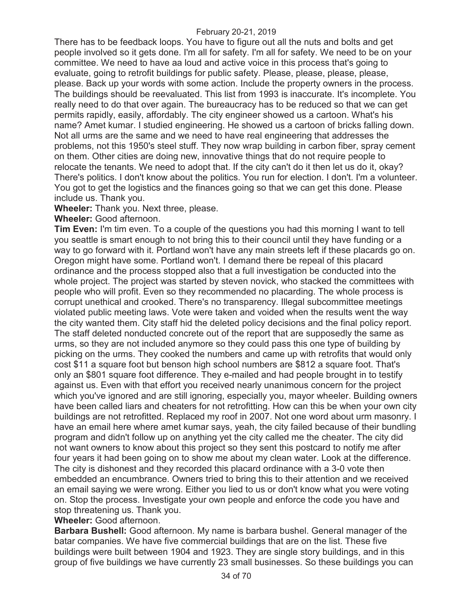There has to be feedback loops. You have to figure out all the nuts and bolts and get people involved so it gets done. I'm all for safety. I'm all for safety. We need to be on your committee. We need to have aa loud and active voice in this process that's going to evaluate, going to retrofit buildings for public safety. Please, please, please, please, please. Back up your words with some action. Include the property owners in the process. The buildings should be reevaluated. This list from 1993 is inaccurate. It's incomplete. You really need to do that over again. The bureaucracy has to be reduced so that we can get permits rapidly, easily, affordably. The city engineer showed us a cartoon. What's his name? Amet kumar. I studied engineering. He showed us a cartoon of bricks falling down. Not all urms are the same and we need to have real engineering that addresses the problems, not this 1950's steel stuff. They now wrap building in carbon fiber, spray cement on them. Other cities are doing new, innovative things that do not require people to relocate the tenants. We need to adopt that. If the city can't do it then let us do it, okay? There's politics. I don't know about the politics. You run for election. I don't. I'm a volunteer. You got to get the logistics and the finances going so that we can get this done. Please include us. Thank you.

**Wheeler:** Thank you. Next three, please.

**Wheeler:** Good afternoon.

**Tim Even:** I'm tim even. To a couple of the questions you had this morning I want to tell you seattle is smart enough to not bring this to their council until they have funding or a way to go forward with it. Portland won't have any main streets left if these placards go on. Oregon might have some. Portland won't. I demand there be repeal of this placard ordinance and the process stopped also that a full investigation be conducted into the whole project. The project was started by steven novick, who stacked the committees with people who will profit. Even so they recommended no placarding. The whole process is corrupt unethical and crooked. There's no transparency. Illegal subcommittee meetings violated public meeting laws. Vote were taken and voided when the results went the way the city wanted them. City staff hid the deleted policy decisions and the final policy report. The staff deleted nonducted concrete out of the report that are supposedly the same as urms, so they are not included anymore so they could pass this one type of building by picking on the urms. They cooked the numbers and came up with retrofits that would only cost \$11 a square foot but benson high school numbers are \$812 a square foot. That's only an \$801 square foot difference. They e-mailed and had people brought in to testify against us. Even with that effort you received nearly unanimous concern for the project which you've ignored and are still ignoring, especially you, mayor wheeler. Building owners have been called liars and cheaters for not retrofitting. How can this be when your own city buildings are not retrofitted. Replaced my roof in 2007. Not one word about urm masonry. I have an email here where amet kumar says, yeah, the city failed because of their bundling program and didn't follow up on anything yet the city called me the cheater. The city did not want owners to know about this project so they sent this postcard to notify me after four years it had been going on to show me about my clean water. Look at the difference. The city is dishonest and they recorded this placard ordinance with a 3-0 vote then embedded an encumbrance. Owners tried to bring this to their attention and we received an email saying we were wrong. Either you lied to us or don't know what you were voting on. Stop the process. Investigate your own people and enforce the code you have and stop threatening us. Thank you.

# **Wheeler:** Good afternoon.

**Barbara Bushell:** Good afternoon. My name is barbara bushel. General manager of the batar companies. We have five commercial buildings that are on the list. These five buildings were built between 1904 and 1923. They are single story buildings, and in this group of five buildings we have currently 23 small businesses. So these buildings you can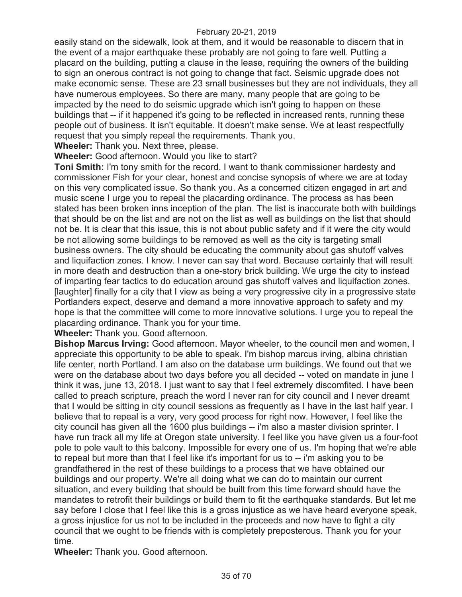easily stand on the sidewalk, look at them, and it would be reasonable to discern that in the event of a major earthquake these probably are not going to fare well. Putting a placard on the building, putting a clause in the lease, requiring the owners of the building to sign an onerous contract is not going to change that fact. Seismic upgrade does not make economic sense. These are 23 small businesses but they are not individuals, they all have numerous employees. So there are many, many people that are going to be impacted by the need to do seismic upgrade which isn't going to happen on these buildings that -- if it happened it's going to be reflected in increased rents, running these people out of business. It isn't equitable. It doesn't make sense. We at least respectfully request that you simply repeal the requirements. Thank you.

**Wheeler:** Thank you. Next three, please.

**Wheeler:** Good afternoon. Would you like to start?

**Toni Smith:** I'm tony smith for the record. I want to thank commissioner hardesty and commissioner Fish for your clear, honest and concise synopsis of where we are at today on this very complicated issue. So thank you. As a concerned citizen engaged in art and music scene I urge you to repeal the placarding ordinance. The process as has been stated has been broken inns inception of the plan. The list is inaccurate both with buildings that should be on the list and are not on the list as well as buildings on the list that should not be. It is clear that this issue, this is not about public safety and if it were the city would be not allowing some buildings to be removed as well as the city is targeting small business owners. The city should be educating the community about gas shutoff valves and liquifaction zones. I know. I never can say that word. Because certainly that will result in more death and destruction than a one-story brick building. We urge the city to instead of imparting fear tactics to do education around gas shutoff valves and liquifaction zones. [laughter] finally for a city that I view as being a very progressive city in a progressive state Portlanders expect, deserve and demand a more innovative approach to safety and my hope is that the committee will come to more innovative solutions. I urge you to repeal the placarding ordinance. Thank you for your time.

**Wheeler:** Thank you. Good afternoon.

**Bishop Marcus Irving:** Good afternoon. Mayor wheeler, to the council men and women, I appreciate this opportunity to be able to speak. I'm bishop marcus irving, albina christian life center, north Portland. I am also on the database urm buildings. We found out that we were on the database about two days before you all decided -- voted on mandate in june I think it was, june 13, 2018. I just want to say that I feel extremely discomfited. I have been called to preach scripture, preach the word I never ran for city council and I never dreamt that I would be sitting in city council sessions as frequently as I have in the last half year. I believe that to repeal is a very, very good process for right now. However, I feel like the city council has given all the 1600 plus buildings -- i'm also a master division sprinter. I have run track all my life at Oregon state university. I feel like you have given us a four-foot pole to pole vault to this balcony. Impossible for every one of us. I'm hoping that we're able to repeal but more than that I feel like it's important for us to -- i'm asking you to be grandfathered in the rest of these buildings to a process that we have obtained our buildings and our property. We're all doing what we can do to maintain our current situation, and every building that should be built from this time forward should have the mandates to retrofit their buildings or build them to fit the earthquake standards. But let me say before I close that I feel like this is a gross injustice as we have heard everyone speak, a gross injustice for us not to be included in the proceeds and now have to fight a city council that we ought to be friends with is completely preposterous. Thank you for your time.

**Wheeler:** Thank you. Good afternoon.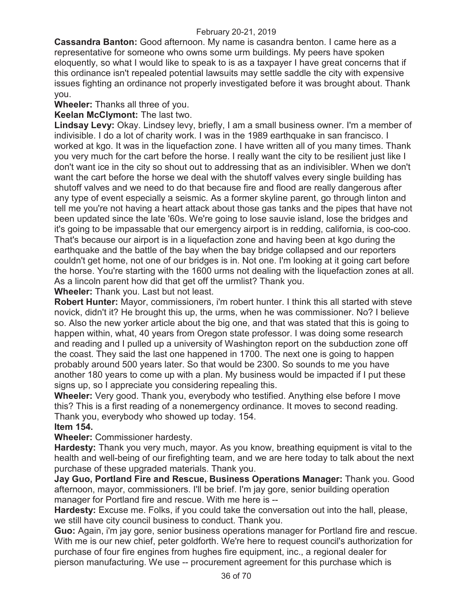**Cassandra Banton:** Good afternoon. My name is casandra benton. I came here as a representative for someone who owns some urm buildings. My peers have spoken eloquently, so what I would like to speak to is as a taxpayer I have great concerns that if this ordinance isn't repealed potential lawsuits may settle saddle the city with expensive issues fighting an ordinance not properly investigated before it was brought about. Thank you.

**Wheeler:** Thanks all three of you.

**Keelan McClymont:** The last two.

**Lindsay Levy:** Okay. Lindsey levy, briefly, I am a small business owner. I'm a member of indivisible. I do a lot of charity work. I was in the 1989 earthquake in san francisco. I worked at kgo. It was in the liquefaction zone. I have written all of you many times. Thank you very much for the cart before the horse. I really want the city to be resilient just like I don't want ice in the city so shout out to addressing that as an indivisibler. When we don't want the cart before the horse we deal with the shutoff valves every single building has shutoff valves and we need to do that because fire and flood are really dangerous after any type of event especially a seismic. As a former skyline parent, go through linton and tell me you're not having a heart attack about those gas tanks and the pipes that have not been updated since the late '60s. We're going to lose sauvie island, lose the bridges and it's going to be impassable that our emergency airport is in redding, california, is coo-coo. That's because our airport is in a liquefaction zone and having been at kgo during the earthquake and the battle of the bay when the bay bridge collapsed and our reporters couldn't get home, not one of our bridges is in. Not one. I'm looking at it going cart before the horse. You're starting with the 1600 urms not dealing with the liquefaction zones at all. As a lincoln parent how did that get off the urmlist? Thank you.

**Wheeler:** Thank you. Last but not least.

**Robert Hunter:** Mayor, commissioners, i'm robert hunter. I think this all started with steve novick, didn't it? He brought this up, the urms, when he was commissioner. No? I believe so. Also the new yorker article about the big one, and that was stated that this is going to happen within, what, 40 years from Oregon state professor. I was doing some research and reading and I pulled up a university of Washington report on the subduction zone off the coast. They said the last one happened in 1700. The next one is going to happen probably around 500 years later. So that would be 2300. So sounds to me you have another 180 years to come up with a plan. My business would be impacted if I put these signs up, so I appreciate you considering repealing this.

**Wheeler:** Very good. Thank you, everybody who testified. Anything else before I move this? This is a first reading of a nonemergency ordinance. It moves to second reading. Thank you, everybody who showed up today. 154.

**Item 154.**

**Wheeler:** Commissioner hardesty.

**Hardesty:** Thank you very much, mayor. As you know, breathing equipment is vital to the health and well-being of our firefighting team, and we are here today to talk about the next purchase of these upgraded materials. Thank you.

**Jay Guo, Portland Fire and Rescue, Business Operations Manager:** Thank you. Good afternoon, mayor, commissioners. I'll be brief. I'm jay gore, senior building operation manager for Portland fire and rescue. With me here is --

**Hardesty:** Excuse me. Folks, if you could take the conversation out into the hall, please, we still have city council business to conduct. Thank you.

**Guo:** Again, i'm jay gore, senior business operations manager for Portland fire and rescue. With me is our new chief, peter goldforth. We're here to request council's authorization for purchase of four fire engines from hughes fire equipment, inc., a regional dealer for pierson manufacturing. We use -- procurement agreement for this purchase which is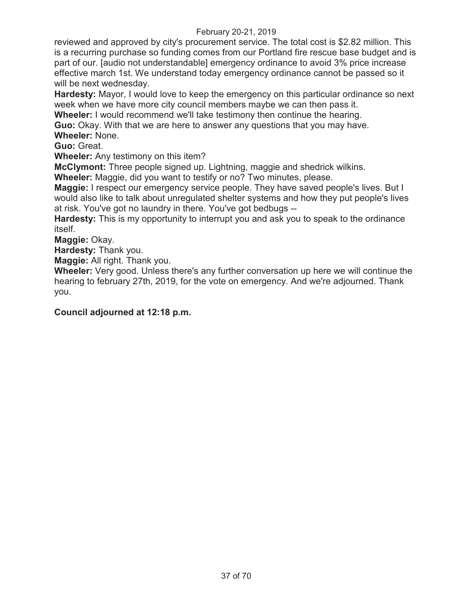reviewed and approved by city's procurement service. The total cost is \$2.82 million. This is a recurring purchase so funding comes from our Portland fire rescue base budget and is part of our. [audio not understandable] emergency ordinance to avoid 3% price increase effective march 1st. We understand today emergency ordinance cannot be passed so it will be next wednesday.

**Hardesty:** Mayor, I would love to keep the emergency on this particular ordinance so next week when we have more city council members maybe we can then pass it.

**Wheeler:** I would recommend we'll take testimony then continue the hearing.

**Guo:** Okay. With that we are here to answer any questions that you may have. **Wheeler:** None.

**Guo:** Great.

**Wheeler:** Any testimony on this item?

**McClymont:** Three people signed up. Lightning, maggie and shedrick wilkins.

**Wheeler:** Maggie, did you want to testify or no? Two minutes, please.

**Maggie:** I respect our emergency service people. They have saved people's lives. But I would also like to talk about unregulated shelter systems and how they put people's lives at risk. You've got no laundry in there. You've got bedbugs --

**Hardesty:** This is my opportunity to interrupt you and ask you to speak to the ordinance itself.

**Maggie:** Okay.

**Hardesty:** Thank you.

**Maggie:** All right. Thank you.

**Wheeler:** Very good. Unless there's any further conversation up here we will continue the hearing to february 27th, 2019, for the vote on emergency. And we're adjourned. Thank you.

# **Council adjourned at 12:18 p.m.**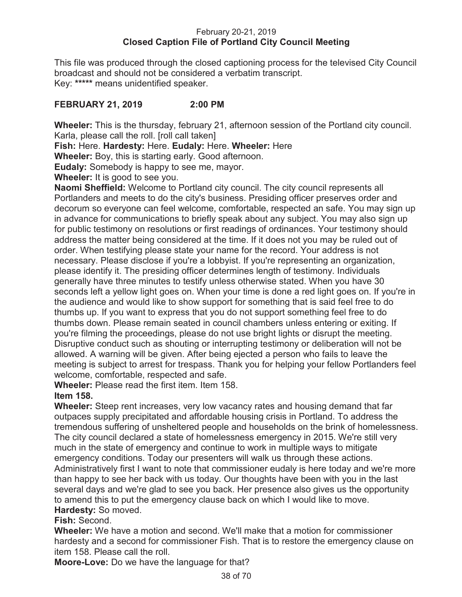### February 20-21, 2019 **Closed Caption File of Portland City Council Meeting**

This file was produced through the closed captioning process for the televised City Council broadcast and should not be considered a verbatim transcript. Key: **\*\*\*\*\*** means unidentified speaker.

# **FEBRUARY 21, 2019 2:00 PM**

**Wheeler:** This is the thursday, february 21, afternoon session of the Portland city council. Karla, please call the roll. [roll call taken]

**Fish:** Here. **Hardesty:** Here. **Eudaly:** Here. **Wheeler:** Here

**Wheeler:** Boy, this is starting early. Good afternoon.

**Eudaly:** Somebody is happy to see me, mayor.

**Wheeler:** It is good to see you.

**Naomi Sheffield:** Welcome to Portland city council. The city council represents all Portlanders and meets to do the city's business. Presiding officer preserves order and decorum so everyone can feel welcome, comfortable, respected an safe. You may sign up in advance for communications to briefly speak about any subject. You may also sign up for public testimony on resolutions or first readings of ordinances. Your testimony should address the matter being considered at the time. If it does not you may be ruled out of order. When testifying please state your name for the record. Your address is not necessary. Please disclose if you're a lobbyist. If you're representing an organization, please identify it. The presiding officer determines length of testimony. Individuals generally have three minutes to testify unless otherwise stated. When you have 30 seconds left a yellow light goes on. When your time is done a red light goes on. If you're in the audience and would like to show support for something that is said feel free to do thumbs up. If you want to express that you do not support something feel free to do thumbs down. Please remain seated in council chambers unless entering or exiting. If you're filming the proceedings, please do not use bright lights or disrupt the meeting. Disruptive conduct such as shouting or interrupting testimony or deliberation will not be allowed. A warning will be given. After being ejected a person who fails to leave the meeting is subject to arrest for trespass. Thank you for helping your fellow Portlanders feel welcome, comfortable, respected and safe.

**Wheeler:** Please read the first item. Item 158.

# **Item 158.**

**Wheeler:** Steep rent increases, very low vacancy rates and housing demand that far outpaces supply precipitated and affordable housing crisis in Portland. To address the tremendous suffering of unsheltered people and households on the brink of homelessness. The city council declared a state of homelessness emergency in 2015. We're still very much in the state of emergency and continue to work in multiple ways to mitigate emergency conditions. Today our presenters will walk us through these actions. Administratively first I want to note that commissioner eudaly is here today and we're more than happy to see her back with us today. Our thoughts have been with you in the last several days and we're glad to see you back. Her presence also gives us the opportunity to amend this to put the emergency clause back on which I would like to move. **Hardesty:** So moved.

# **Fish:** Second.

**Wheeler:** We have a motion and second. We'll make that a motion for commissioner hardesty and a second for commissioner Fish. That is to restore the emergency clause on item 158. Please call the roll.

**Moore-Love:** Do we have the language for that?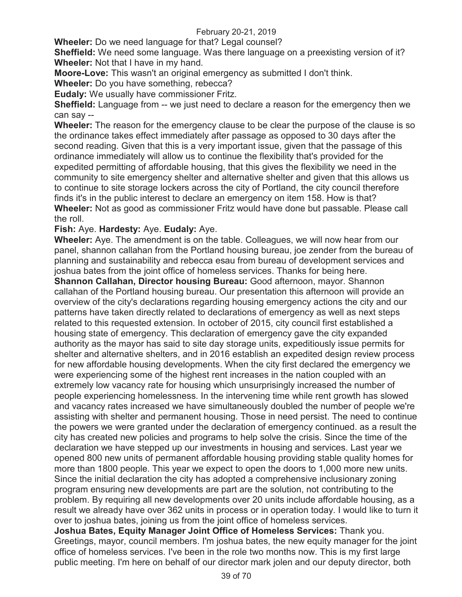**Wheeler:** Do we need language for that? Legal counsel?

**Sheffield:** We need some language. Was there language on a preexisting version of it? **Wheeler:** Not that I have in my hand.

**Moore-Love:** This wasn't an original emergency as submitted I don't think.

**Wheeler:** Do you have something, rebecca?

**Eudaly:** We usually have commissioner Fritz.

**Sheffield:** Language from -- we just need to declare a reason for the emergency then we can say --

**Wheeler:** The reason for the emergency clause to be clear the purpose of the clause is so the ordinance takes effect immediately after passage as opposed to 30 days after the second reading. Given that this is a very important issue, given that the passage of this ordinance immediately will allow us to continue the flexibility that's provided for the expedited permitting of affordable housing, that this gives the flexibility we need in the community to site emergency shelter and alternative shelter and given that this allows us to continue to site storage lockers across the city of Portland, the city council therefore finds it's in the public interest to declare an emergency on item 158. How is that? **Wheeler:** Not as good as commissioner Fritz would have done but passable. Please call the roll.

**Fish:** Aye. **Hardesty:** Aye. **Eudaly:** Aye.

**Wheeler:** Aye. The amendment is on the table. Colleagues, we will now hear from our panel, shannon callahan from the Portland housing bureau, joe zender from the bureau of planning and sustainability and rebecca esau from bureau of development services and joshua bates from the joint office of homeless services. Thanks for being here.

**Shannon Callahan, Director housing Bureau:** Good afternoon, mayor. Shannon callahan of the Portland housing bureau. Our presentation this afternoon will provide an overview of the city's declarations regarding housing emergency actions the city and our patterns have taken directly related to declarations of emergency as well as next steps related to this requested extension. In october of 2015, city council first established a housing state of emergency. This declaration of emergency gave the city expanded authority as the mayor has said to site day storage units, expeditiously issue permits for shelter and alternative shelters, and in 2016 establish an expedited design review process for new affordable housing developments. When the city first declared the emergency we were experiencing some of the highest rent increases in the nation coupled with an extremely low vacancy rate for housing which unsurprisingly increased the number of people experiencing homelessness. In the intervening time while rent growth has slowed and vacancy rates increased we have simultaneously doubled the number of people we're assisting with shelter and permanent housing. Those in need persist. The need to continue the powers we were granted under the declaration of emergency continued. as a result the city has created new policies and programs to help solve the crisis. Since the time of the declaration we have stepped up our investments in housing and services. Last year we opened 800 new units of permanent affordable housing providing stable quality homes for more than 1800 people. This year we expect to open the doors to 1,000 more new units. Since the initial declaration the city has adopted a comprehensive inclusionary zoning program ensuring new developments are part are the solution, not contributing to the problem. By requiring all new developments over 20 units include affordable housing, as a result we already have over 362 units in process or in operation today. I would like to turn it over to joshua bates, joining us from the joint office of homeless services.

**Joshua Bates, Equity Manager Joint Office of Homeless Services:** Thank you. Greetings, mayor, council members. I'm joshua bates, the new equity manager for the joint office of homeless services. I've been in the role two months now. This is my first large public meeting. I'm here on behalf of our director mark jolen and our deputy director, both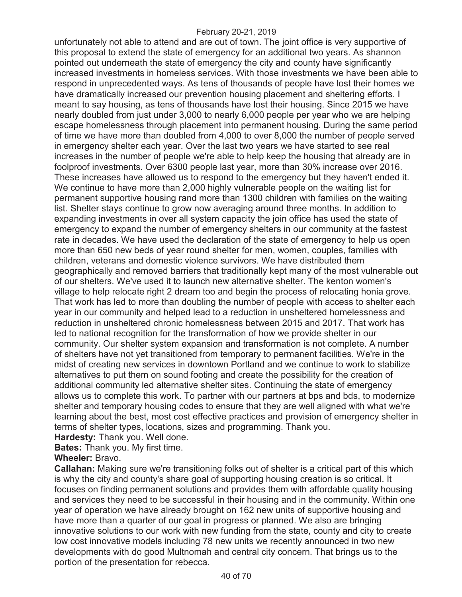unfortunately not able to attend and are out of town. The joint office is very supportive of this proposal to extend the state of emergency for an additional two years. As shannon pointed out underneath the state of emergency the city and county have significantly increased investments in homeless services. With those investments we have been able to respond in unprecedented ways. As tens of thousands of people have lost their homes we have dramatically increased our prevention housing placement and sheltering efforts. I meant to say housing, as tens of thousands have lost their housing. Since 2015 we have nearly doubled from just under 3,000 to nearly 6,000 people per year who we are helping escape homelessness through placement into permanent housing. During the same period of time we have more than doubled from 4,000 to over 8,000 the number of people served in emergency shelter each year. Over the last two years we have started to see real increases in the number of people we're able to help keep the housing that already are in foolproof investments. Over 6300 people last year, more than 30% increase over 2016. These increases have allowed us to respond to the emergency but they haven't ended it. We continue to have more than 2,000 highly vulnerable people on the waiting list for permanent supportive housing rand more than 1300 children with families on the waiting list. Shelter stays continue to grow now averaging around three months. In addition to expanding investments in over all system capacity the join office has used the state of emergency to expand the number of emergency shelters in our community at the fastest rate in decades. We have used the declaration of the state of emergency to help us open more than 650 new beds of year round shelter for men, women, couples, families with children, veterans and domestic violence survivors. We have distributed them geographically and removed barriers that traditionally kept many of the most vulnerable out of our shelters. We've used it to launch new alternative shelter. The kenton women's village to help relocate right 2 dream too and begin the process of relocating honia grove. That work has led to more than doubling the number of people with access to shelter each year in our community and helped lead to a reduction in unsheltered homelessness and reduction in unsheltered chronic homelessness between 2015 and 2017. That work has led to national recognition for the transformation of how we provide shelter in our community. Our shelter system expansion and transformation is not complete. A number of shelters have not yet transitioned from temporary to permanent facilities. We're in the midst of creating new services in downtown Portland and we continue to work to stabilize alternatives to put them on sound footing and create the possibility for the creation of additional community led alternative shelter sites. Continuing the state of emergency allows us to complete this work. To partner with our partners at bps and bds, to modernize shelter and temporary housing codes to ensure that they are well aligned with what we're learning about the best, most cost effective practices and provision of emergency shelter in terms of shelter types, locations, sizes and programming. Thank you.

**Hardesty:** Thank you. Well done.

**Bates:** Thank you. My first time.

### **Wheeler:** Bravo.

**Callahan:** Making sure we're transitioning folks out of shelter is a critical part of this which is why the city and county's share goal of supporting housing creation is so critical. It focuses on finding permanent solutions and provides them with affordable quality housing and services they need to be successful in their housing and in the community. Within one year of operation we have already brought on 162 new units of supportive housing and have more than a quarter of our goal in progress or planned. We also are bringing innovative solutions to our work with new funding from the state, county and city to create low cost innovative models including 78 new units we recently announced in two new developments with do good Multnomah and central city concern. That brings us to the portion of the presentation for rebecca.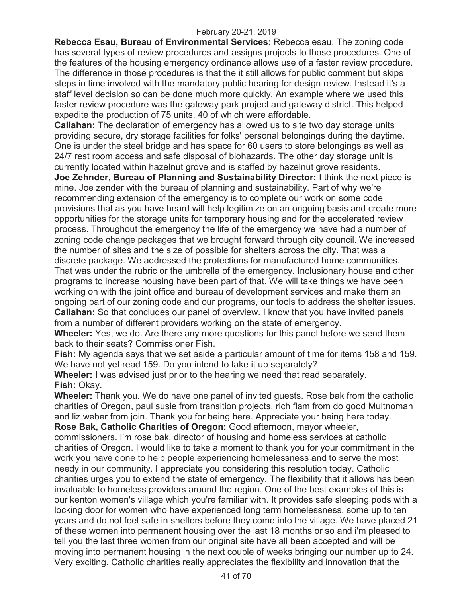**Rebecca Esau, Bureau of Environmental Services:** Rebecca esau. The zoning code has several types of review procedures and assigns projects to those procedures. One of the features of the housing emergency ordinance allows use of a faster review procedure. The difference in those procedures is that the it still allows for public comment but skips steps in time involved with the mandatory public hearing for design review. Instead it's a staff level decision so can be done much more quickly. An example where we used this faster review procedure was the gateway park project and gateway district. This helped expedite the production of 75 units, 40 of which were affordable.

**Callahan:** The declaration of emergency has allowed us to site two day storage units providing secure, dry storage facilities for folks' personal belongings during the daytime. One is under the steel bridge and has space for 60 users to store belongings as well as 24/7 rest room access and safe disposal of biohazards. The other day storage unit is currently located within hazelnut grove and is staffed by hazelnut grove residents.

**Joe Zehnder, Bureau of Planning and Sustainability Director:** I think the next piece is mine. Joe zender with the bureau of planning and sustainability. Part of why we're recommending extension of the emergency is to complete our work on some code provisions that as you have heard will help legitimize on an ongoing basis and create more opportunities for the storage units for temporary housing and for the accelerated review process. Throughout the emergency the life of the emergency we have had a number of zoning code change packages that we brought forward through city council. We increased the number of sites and the size of possible for shelters across the city. That was a discrete package. We addressed the protections for manufactured home communities. That was under the rubric or the umbrella of the emergency. Inclusionary house and other programs to increase housing have been part of that. We will take things we have been working on with the joint office and bureau of development services and make them an ongoing part of our zoning code and our programs, our tools to address the shelter issues. **Callahan:** So that concludes our panel of overview. I know that you have invited panels from a number of different providers working on the state of emergency.

**Wheeler:** Yes, we do. Are there any more questions for this panel before we send them back to their seats? Commissioner Fish.

**Fish:** My agenda says that we set aside a particular amount of time for items 158 and 159. We have not yet read 159. Do you intend to take it up separately?

**Wheeler:** I was advised just prior to the hearing we need that read separately. **Fish:** Okay.

**Wheeler:** Thank you. We do have one panel of invited guests. Rose bak from the catholic charities of Oregon, paul susie from transition projects, rich flam from do good Multnomah and liz weber from join. Thank you for being here. Appreciate your being here today.

**Rose Bak, Catholic Charities of Oregon:** Good afternoon, mayor wheeler, commissioners. I'm rose bak, director of housing and homeless services at catholic charities of Oregon. I would like to take a moment to thank you for your commitment in the work you have done to help people experiencing homelessness and to serve the most needy in our community. I appreciate you considering this resolution today. Catholic charities urges you to extend the state of emergency. The flexibility that it allows has been invaluable to homeless providers around the region. One of the best examples of this is our kenton women's village which you're familiar with. It provides safe sleeping pods with a locking door for women who have experienced long term homelessness, some up to ten years and do not feel safe in shelters before they come into the village. We have placed 21 of these women into permanent housing over the last 18 months or so and i'm pleased to tell you the last three women from our original site have all been accepted and will be moving into permanent housing in the next couple of weeks bringing our number up to 24. Very exciting. Catholic charities really appreciates the flexibility and innovation that the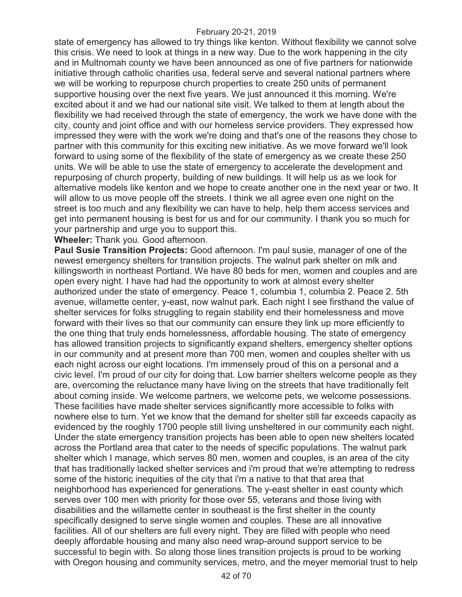state of emergency has allowed to try things like kenton. Without flexibility we cannot solve this crisis. We need to look at things in a new way. Due to the work happening in the city and in Multnomah county we have been announced as one of five partners for nationwide initiative through catholic charities usa, federal serve and several national partners where we will be working to repurpose church properties to create 250 units of permanent supportive housing over the next five years. We just announced it this morning. We're excited about it and we had our national site visit. We talked to them at length about the flexibility we had received through the state of emergency, the work we have done with the city, county and joint office and with our homeless service providers. They expressed how impressed they were with the work we're doing and that's one of the reasons they chose to partner with this community for this exciting new initiative. As we move forward we'll look forward to using some of the flexibility of the state of emergency as we create these 250 units. We will be able to use the state of emergency to accelerate the development and repurposing of church property, building of new buildings. It will help us as we look for alternative models like kenton and we hope to create another one in the next year or two. It will allow to us move people off the streets. I think we all agree even one night on the street is too much and any flexibility we can have to help, help them access services and get into permanent housing is best for us and for our community. I thank you so much for your partnership and urge you to support this.

**Wheeler:** Thank you. Good afternoon.

**Paul Susie Transition Projects:** Good afternoon. I'm paul susie, manager of one of the newest emergency shelters for transition projects. The walnut park shelter on mlk and killingsworth in northeast Portland. We have 80 beds for men, women and couples and are open every night. I have had had the opportunity to work at almost every shelter authorized under the state of emergency. Peace 1, columbia 1, columbia 2. Peace 2. 5th avenue, willamette center, y-east, now walnut park. Each night I see firsthand the value of shelter services for folks struggling to regain stability end their homelessness and move forward with their lives so that our community can ensure they link up more efficiently to the one thing that truly ends homelessness, affordable housing. The state of emergency has allowed transition projects to significantly expand shelters, emergency shelter options in our community and at present more than 700 men, women and couples shelter with us each night across our eight locations. I'm immensely proud of this on a personal and a civic level. I'm proud of our city for doing that. Low barrier shelters welcome people as they are, overcoming the reluctance many have living on the streets that have traditionally felt about coming inside. We welcome partners, we welcome pets, we welcome possessions. These facilities have made shelter services significantly more accessible to folks with nowhere else to turn. Yet we know that the demand for shelter still far exceeds capacity as evidenced by the roughly 1700 people still living unsheltered in our community each night. Under the state emergency transition projects has been able to open new shelters located across the Portland area that cater to the needs of specific populations. The walnut park shelter which I manage, which serves 80 men, women and couples, is an area of the city that has traditionally lacked shelter services and i'm proud that we're attempting to redress some of the historic inequities of the city that i'm a native to that that area that neighborhood has experienced for generations. The y-east shelter in east county which serves over 100 men with priority for those over 55, veterans and those living with disabilities and the willamette center in southeast is the first shelter in the county specifically designed to serve single women and couples. These are all innovative facilities. All of our shelters are full every night. They are filled with people who need deeply affordable housing and many also need wrap-around support service to be successful to begin with. So along those lines transition projects is proud to be working with Oregon housing and community services, metro, and the meyer memorial trust to help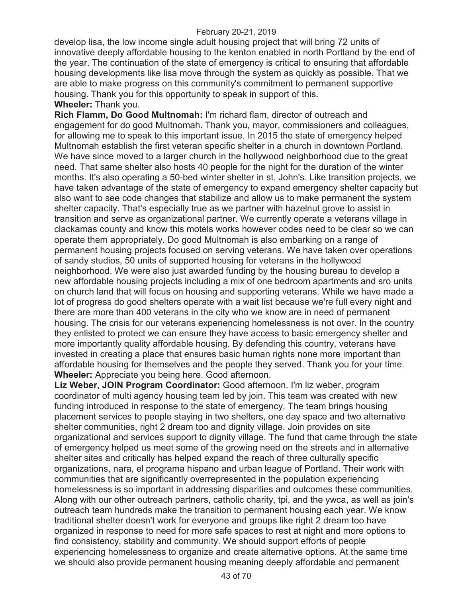develop lisa, the low income single adult housing project that will bring 72 units of innovative deeply affordable housing to the kenton enabled in north Portland by the end of the year. The continuation of the state of emergency is critical to ensuring that affordable housing developments like lisa move through the system as quickly as possible. That we are able to make progress on this community's commitment to permanent supportive housing. Thank you for this opportunity to speak in support of this. **Wheeler:** Thank you.

**Rich Flamm, Do Good Multnomah:** I'm richard flam, director of outreach and engagement for do good Multnomah. Thank you, mayor, commissioners and colleagues, for allowing me to speak to this important issue. In 2015 the state of emergency helped Multnomah establish the first veteran specific shelter in a church in downtown Portland. We have since moved to a larger church in the hollywood neighborhood due to the great need. That same shelter also hosts 40 people for the night for the duration of the winter months. It's also operating a 50-bed winter shelter in st. John's. Like transition projects, we have taken advantage of the state of emergency to expand emergency shelter capacity but also want to see code changes that stabilize and allow us to make permanent the system shelter capacity. That's especially true as we partner with hazelnut grove to assist in transition and serve as organizational partner. We currently operate a veterans village in clackamas county and know this motels works however codes need to be clear so we can operate them appropriately. Do good Multnomah is also embarking on a range of permanent housing projects focused on serving veterans. We have taken over operations of sandy studios, 50 units of supported housing for veterans in the hollywood neighborhood. We were also just awarded funding by the housing bureau to develop a new affordable housing projects including a mix of one bedroom apartments and sro units on church land that will focus on housing and supporting veterans. While we have made a lot of progress do good shelters operate with a wait list because we're full every night and there are more than 400 veterans in the city who we know are in need of permanent housing. The crisis for our veterans experiencing homelessness is not over. In the country they enlisted to protect we can ensure they have access to basic emergency shelter and more importantly quality affordable housing. By defending this country, veterans have invested in creating a place that ensures basic human rights none more important than affordable housing for themselves and the people they served. Thank you for your time. **Wheeler:** Appreciate you being here. Good afternoon.

**Liz Weber, JOIN Program Coordinator:** Good afternoon. I'm liz weber, program coordinator of multi agency housing team led by join. This team was created with new funding introduced in response to the state of emergency. The team brings housing placement services to people staying in two shelters, one day space and two alternative shelter communities, right 2 dream too and dignity village. Join provides on site organizational and services support to dignity village. The fund that came through the state of emergency helped us meet some of the growing need on the streets and in alternative shelter sites and critically has helped expand the reach of three culturally specific organizations, nara, el programa hispano and urban league of Portland. Their work with communities that are significantly overrepresented in the population experiencing homelessness is so important in addressing disparities and outcomes these communities. Along with our other outreach partners, catholic charity, tpi, and the ywca, as well as join's outreach team hundreds make the transition to permanent housing each year. We know traditional shelter doesn't work for everyone and groups like right 2 dream too have organized in response to need for more safe spaces to rest at night and more options to find consistency, stability and community. We should support efforts of people experiencing homelessness to organize and create alternative options. At the same time we should also provide permanent housing meaning deeply affordable and permanent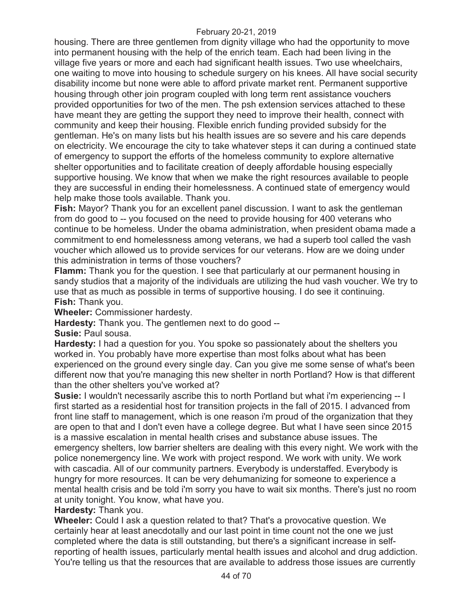housing. There are three gentlemen from dignity village who had the opportunity to move into permanent housing with the help of the enrich team. Each had been living in the village five years or more and each had significant health issues. Two use wheelchairs, one waiting to move into housing to schedule surgery on his knees. All have social security disability income but none were able to afford private market rent. Permanent supportive housing through other join program coupled with long term rent assistance vouchers provided opportunities for two of the men. The psh extension services attached to these have meant they are getting the support they need to improve their health, connect with community and keep their housing. Flexible enrich funding provided subsidy for the gentleman. He's on many lists but his health issues are so severe and his care depends on electricity. We encourage the city to take whatever steps it can during a continued state of emergency to support the efforts of the homeless community to explore alternative shelter opportunities and to facilitate creation of deeply affordable housing especially supportive housing. We know that when we make the right resources available to people they are successful in ending their homelessness. A continued state of emergency would help make those tools available. Thank you.

**Fish:** Mayor? Thank you for an excellent panel discussion. I want to ask the gentleman from do good to -- you focused on the need to provide housing for 400 veterans who continue to be homeless. Under the obama administration, when president obama made a commitment to end homelessness among veterans, we had a superb tool called the vash voucher which allowed us to provide services for our veterans. How are we doing under this administration in terms of those vouchers?

**Flamm:** Thank you for the question. I see that particularly at our permanent housing in sandy studios that a majority of the individuals are utilizing the hud vash voucher. We try to use that as much as possible in terms of supportive housing. I do see it continuing. **Fish:** Thank you.

**Wheeler:** Commissioner hardesty.

**Hardesty:** Thank you. The gentlemen next to do good --

**Susie:** Paul sousa.

**Hardesty:** I had a question for you. You spoke so passionately about the shelters you worked in. You probably have more expertise than most folks about what has been experienced on the ground every single day. Can you give me some sense of what's been different now that you're managing this new shelter in north Portland? How is that different than the other shelters you've worked at?

**Susie:** I wouldn't necessarily ascribe this to north Portland but what i'm experiencing -- I first started as a residential host for transition projects in the fall of 2015. I advanced from front line staff to management, which is one reason i'm proud of the organization that they are open to that and I don't even have a college degree. But what I have seen since 2015 is a massive escalation in mental health crises and substance abuse issues. The emergency shelters, low barrier shelters are dealing with this every night. We work with the police nonemergency line. We work with project respond. We work with unity. We work with cascadia. All of our community partners. Everybody is understaffed. Everybody is hungry for more resources. It can be very dehumanizing for someone to experience a mental health crisis and be told i'm sorry you have to wait six months. There's just no room at unity tonight. You know, what have you.

**Hardesty:** Thank you.

**Wheeler:** Could I ask a question related to that? That's a provocative question. We certainly hear at least anecdotally and our last point in time count not the one we just completed where the data is still outstanding, but there's a significant increase in selfreporting of health issues, particularly mental health issues and alcohol and drug addiction. You're telling us that the resources that are available to address those issues are currently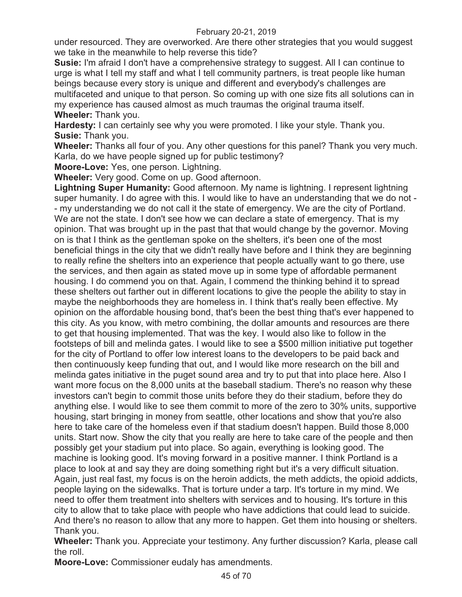under resourced. They are overworked. Are there other strategies that you would suggest we take in the meanwhile to help reverse this tide?

**Susie:** I'm afraid I don't have a comprehensive strategy to suggest. All I can continue to urge is what I tell my staff and what I tell community partners, is treat people like human beings because every story is unique and different and everybody's challenges are multifaceted and unique to that person. So coming up with one size fits all solutions can in my experience has caused almost as much traumas the original trauma itself. **Wheeler:** Thank you.

**Hardesty:** I can certainly see why you were promoted. I like your style. Thank you. **Susie:** Thank you.

**Wheeler:** Thanks all four of you. Any other questions for this panel? Thank you very much. Karla, do we have people signed up for public testimony?

**Moore-Love:** Yes, one person. Lightning.

**Wheeler:** Very good. Come on up. Good afternoon.

**Lightning Super Humanity:** Good afternoon. My name is lightning. I represent lightning super humanity. I do agree with this. I would like to have an understanding that we do not - - my understanding we do not call it the state of emergency. We are the city of Portland. We are not the state. I don't see how we can declare a state of emergency. That is my opinion. That was brought up in the past that that would change by the governor. Moving on is that I think as the gentleman spoke on the shelters, it's been one of the most beneficial things in the city that we didn't really have before and I think they are beginning to really refine the shelters into an experience that people actually want to go there, use the services, and then again as stated move up in some type of affordable permanent housing. I do commend you on that. Again, I commend the thinking behind it to spread these shelters out farther out in different locations to give the people the ability to stay in maybe the neighborhoods they are homeless in. I think that's really been effective. My opinion on the affordable housing bond, that's been the best thing that's ever happened to this city. As you know, with metro combining, the dollar amounts and resources are there to get that housing implemented. That was the key. I would also like to follow in the footsteps of bill and melinda gates. I would like to see a \$500 million initiative put together for the city of Portland to offer low interest loans to the developers to be paid back and then continuously keep funding that out, and I would like more research on the bill and melinda gates initiative in the puget sound area and try to put that into place here. Also I want more focus on the 8,000 units at the baseball stadium. There's no reason why these investors can't begin to commit those units before they do their stadium, before they do anything else. I would like to see them commit to more of the zero to 30% units, supportive housing, start bringing in money from seattle, other locations and show that you're also here to take care of the homeless even if that stadium doesn't happen. Build those 8,000 units. Start now. Show the city that you really are here to take care of the people and then possibly get your stadium put into place. So again, everything is looking good. The machine is looking good. It's moving forward in a positive manner. I think Portland is a place to look at and say they are doing something right but it's a very difficult situation. Again, just real fast, my focus is on the heroin addicts, the meth addicts, the opioid addicts, people laying on the sidewalks. That is torture under a tarp. It's torture in my mind. We need to offer them treatment into shelters with services and to housing. It's torture in this city to allow that to take place with people who have addictions that could lead to suicide. And there's no reason to allow that any more to happen. Get them into housing or shelters. Thank you.

**Wheeler:** Thank you. Appreciate your testimony. Any further discussion? Karla, please call the roll.

**Moore-Love:** Commissioner eudaly has amendments.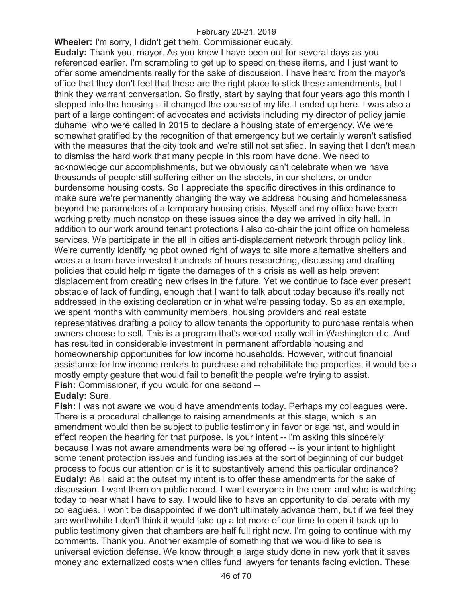**Wheeler:** I'm sorry, I didn't get them. Commissioner eudaly. **Eudaly:** Thank you, mayor. As you know I have been out for several days as you referenced earlier. I'm scrambling to get up to speed on these items, and I just want to offer some amendments really for the sake of discussion. I have heard from the mayor's office that they don't feel that these are the right place to stick these amendments, but I think they warrant conversation. So firstly, start by saying that four years ago this month I stepped into the housing -- it changed the course of my life. I ended up here. I was also a part of a large contingent of advocates and activists including my director of policy jamie duhamel who were called in 2015 to declare a housing state of emergency. We were somewhat gratified by the recognition of that emergency but we certainly weren't satisfied with the measures that the city took and we're still not satisfied. In saying that I don't mean to dismiss the hard work that many people in this room have done. We need to acknowledge our accomplishments, but we obviously can't celebrate when we have thousands of people still suffering either on the streets, in our shelters, or under burdensome housing costs. So I appreciate the specific directives in this ordinance to make sure we're permanently changing the way we address housing and homelessness beyond the parameters of a temporary housing crisis. Myself and my office have been working pretty much nonstop on these issues since the day we arrived in city hall. In addition to our work around tenant protections I also co-chair the joint office on homeless services. We participate in the all in cities anti-displacement network through policy link. We're currently identifying pbot owned right of ways to site more alternative shelters and wees a a team have invested hundreds of hours researching, discussing and drafting policies that could help mitigate the damages of this crisis as well as help prevent displacement from creating new crises in the future. Yet we continue to face ever present obstacle of lack of funding, enough that I want to talk about today because it's really not addressed in the existing declaration or in what we're passing today. So as an example, we spent months with community members, housing providers and real estate representatives drafting a policy to allow tenants the opportunity to purchase rentals when owners choose to sell. This is a program that's worked really well in Washington d.c. And has resulted in considerable investment in permanent affordable housing and homeownership opportunities for low income households. However, without financial assistance for low income renters to purchase and rehabilitate the properties, it would be a mostly empty gesture that would fail to benefit the people we're trying to assist. **Fish:** Commissioner, if you would for one second --

### **Eudaly:** Sure.

**Fish:** I was not aware we would have amendments today. Perhaps my colleagues were. There is a procedural challenge to raising amendments at this stage, which is an amendment would then be subject to public testimony in favor or against, and would in effect reopen the hearing for that purpose. Is your intent -- i'm asking this sincerely because I was not aware amendments were being offered -- is your intent to highlight some tenant protection issues and funding issues at the sort of beginning of our budget process to focus our attention or is it to substantively amend this particular ordinance? **Eudaly:** As I said at the outset my intent is to offer these amendments for the sake of discussion. I want them on public record. I want everyone in the room and who is watching today to hear what I have to say. I would like to have an opportunity to deliberate with my colleagues. I won't be disappointed if we don't ultimately advance them, but if we feel they are worthwhile I don't think it would take up a lot more of our time to open it back up to public testimony given that chambers are half full right now. I'm going to continue with my comments. Thank you. Another example of something that we would like to see is universal eviction defense. We know through a large study done in new york that it saves money and externalized costs when cities fund lawyers for tenants facing eviction. These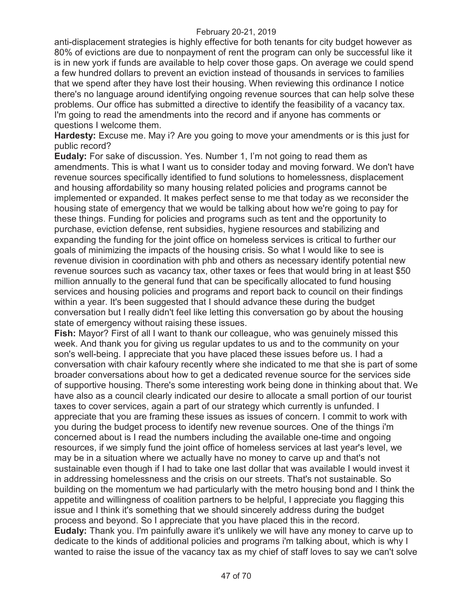anti-displacement strategies is highly effective for both tenants for city budget however as 80% of evictions are due to nonpayment of rent the program can only be successful like it is in new york if funds are available to help cover those gaps. On average we could spend a few hundred dollars to prevent an eviction instead of thousands in services to families that we spend after they have lost their housing. When reviewing this ordinance I notice there's no language around identifying ongoing revenue sources that can help solve these problems. Our office has submitted a directive to identify the feasibility of a vacancy tax. I'm going to read the amendments into the record and if anyone has comments or questions I welcome them.

**Hardesty:** Excuse me. May i? Are you going to move your amendments or is this just for public record?

**Eudaly:** For sake of discussion. Yes. Number 1, I'm not going to read them as amendments. This is what I want us to consider today and moving forward. We don't have revenue sources specifically identified to fund solutions to homelessness, displacement and housing affordability so many housing related policies and programs cannot be implemented or expanded. It makes perfect sense to me that today as we reconsider the housing state of emergency that we would be talking about how we're going to pay for these things. Funding for policies and programs such as tent and the opportunity to purchase, eviction defense, rent subsidies, hygiene resources and stabilizing and expanding the funding for the joint office on homeless services is critical to further our goals of minimizing the impacts of the housing crisis. So what I would like to see is revenue division in coordination with phb and others as necessary identify potential new revenue sources such as vacancy tax, other taxes or fees that would bring in at least \$50 million annually to the general fund that can be specifically allocated to fund housing services and housing policies and programs and report back to council on their findings within a year. It's been suggested that I should advance these during the budget conversation but I really didn't feel like letting this conversation go by about the housing state of emergency without raising these issues.

**Fish:** Mayor? First of all I want to thank our colleague, who was genuinely missed this week. And thank you for giving us regular updates to us and to the community on your son's well-being. I appreciate that you have placed these issues before us. I had a conversation with chair kafoury recently where she indicated to me that she is part of some broader conversations about how to get a dedicated revenue source for the services side of supportive housing. There's some interesting work being done in thinking about that. We have also as a council clearly indicated our desire to allocate a small portion of our tourist taxes to cover services, again a part of our strategy which currently is unfunded. I appreciate that you are framing these issues as issues of concern. I commit to work with you during the budget process to identify new revenue sources. One of the things i'm concerned about is I read the numbers including the available one-time and ongoing resources, if we simply fund the joint office of homeless services at last year's level, we may be in a situation where we actually have no money to carve up and that's not sustainable even though if I had to take one last dollar that was available I would invest it in addressing homelessness and the crisis on our streets. That's not sustainable. So building on the momentum we had particularly with the metro housing bond and I think the appetite and willingness of coalition partners to be helpful, I appreciate you flagging this issue and I think it's something that we should sincerely address during the budget process and beyond. So I appreciate that you have placed this in the record. **Eudaly:** Thank you. I'm painfully aware it's unlikely we will have any money to carve up to dedicate to the kinds of additional policies and programs i'm talking about, which is why I wanted to raise the issue of the vacancy tax as my chief of staff loves to say we can't solve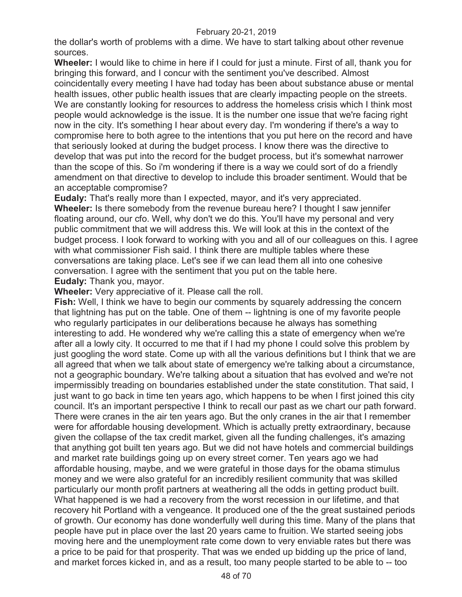the dollar's worth of problems with a dime. We have to start talking about other revenue sources.

**Wheeler:** I would like to chime in here if I could for just a minute. First of all, thank you for bringing this forward, and I concur with the sentiment you've described. Almost coincidentally every meeting I have had today has been about substance abuse or mental health issues, other public health issues that are clearly impacting people on the streets. We are constantly looking for resources to address the homeless crisis which I think most people would acknowledge is the issue. It is the number one issue that we're facing right now in the city. It's something I hear about every day. I'm wondering if there's a way to compromise here to both agree to the intentions that you put here on the record and have that seriously looked at during the budget process. I know there was the directive to develop that was put into the record for the budget process, but it's somewhat narrower than the scope of this. So i'm wondering if there is a way we could sort of do a friendly amendment on that directive to develop to include this broader sentiment. Would that be an acceptable compromise?

**Eudaly:** That's really more than I expected, mayor, and it's very appreciated. **Wheeler:** Is there somebody from the revenue bureau here? I thought I saw jennifer floating around, our cfo. Well, why don't we do this. You'll have my personal and very public commitment that we will address this. We will look at this in the context of the budget process. I look forward to working with you and all of our colleagues on this. I agree with what commissioner Fish said. I think there are multiple tables where these conversations are taking place. Let's see if we can lead them all into one cohesive conversation. I agree with the sentiment that you put on the table here. **Eudaly:** Thank you, mayor.

**Wheeler:** Very appreciative of it. Please call the roll.

**Fish:** Well, I think we have to begin our comments by squarely addressing the concern that lightning has put on the table. One of them -- lightning is one of my favorite people who regularly participates in our deliberations because he always has something interesting to add. He wondered why we're calling this a state of emergency when we're after all a lowly city. It occurred to me that if I had my phone I could solve this problem by just googling the word state. Come up with all the various definitions but I think that we are all agreed that when we talk about state of emergency we're talking about a circumstance, not a geographic boundary. We're talking about a situation that has evolved and we're not impermissibly treading on boundaries established under the state constitution. That said, I just want to go back in time ten years ago, which happens to be when I first joined this city council. It's an important perspective I think to recall our past as we chart our path forward. There were cranes in the air ten years ago. But the only cranes in the air that I remember were for affordable housing development. Which is actually pretty extraordinary, because given the collapse of the tax credit market, given all the funding challenges, it's amazing that anything got built ten years ago. But we did not have hotels and commercial buildings and market rate buildings going up on every street corner. Ten years ago we had affordable housing, maybe, and we were grateful in those days for the obama stimulus money and we were also grateful for an incredibly resilient community that was skilled particularly our month profit partners at weathering all the odds in getting product built. What happened is we had a recovery from the worst recession in our lifetime, and that recovery hit Portland with a vengeance. It produced one of the the great sustained periods of growth. Our economy has done wonderfully well during this time. Many of the plans that people have put in place over the last 20 years came to fruition. We started seeing jobs moving here and the unemployment rate come down to very enviable rates but there was a price to be paid for that prosperity. That was we ended up bidding up the price of land, and market forces kicked in, and as a result, too many people started to be able to -- too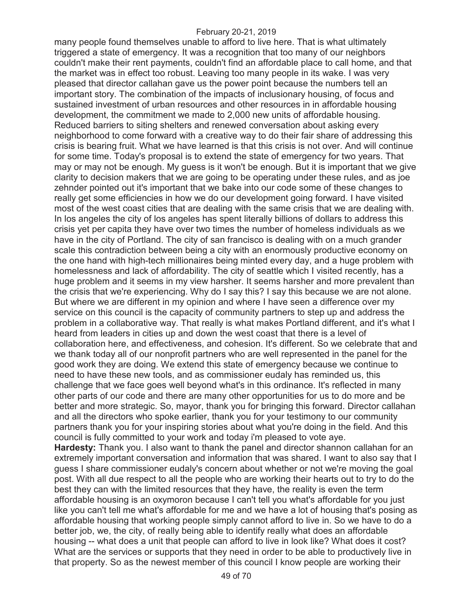many people found themselves unable to afford to live here. That is what ultimately triggered a state of emergency. It was a recognition that too many of our neighbors couldn't make their rent payments, couldn't find an affordable place to call home, and that the market was in effect too robust. Leaving too many people in its wake. I was very pleased that director callahan gave us the power point because the numbers tell an important story. The combination of the impacts of inclusionary housing, of focus and sustained investment of urban resources and other resources in in affordable housing development, the commitment we made to 2,000 new units of affordable housing. Reduced barriers to siting shelters and renewed conversation about asking every neighborhood to come forward with a creative way to do their fair share of addressing this crisis is bearing fruit. What we have learned is that this crisis is not over. And will continue for some time. Today's proposal is to extend the state of emergency for two years. That may or may not be enough. My guess is it won't be enough. But it is important that we give clarity to decision makers that we are going to be operating under these rules, and as joe zehnder pointed out it's important that we bake into our code some of these changes to really get some efficiencies in how we do our development going forward. I have visited most of the west coast cities that are dealing with the same crisis that we are dealing with. In los angeles the city of los angeles has spent literally billions of dollars to address this crisis yet per capita they have over two times the number of homeless individuals as we have in the city of Portland. The city of san francisco is dealing with on a much grander scale this contradiction between being a city with an enormously productive economy on the one hand with high-tech millionaires being minted every day, and a huge problem with homelessness and lack of affordability. The city of seattle which I visited recently, has a huge problem and it seems in my view harsher. It seems harsher and more prevalent than the crisis that we're experiencing. Why do I say this? I say this because we are not alone. But where we are different in my opinion and where I have seen a difference over my service on this council is the capacity of community partners to step up and address the problem in a collaborative way. That really is what makes Portland different, and it's what I heard from leaders in cities up and down the west coast that there is a level of collaboration here, and effectiveness, and cohesion. It's different. So we celebrate that and we thank today all of our nonprofit partners who are well represented in the panel for the good work they are doing. We extend this state of emergency because we continue to need to have these new tools, and as commissioner eudaly has reminded us, this challenge that we face goes well beyond what's in this ordinance. It's reflected in many other parts of our code and there are many other opportunities for us to do more and be better and more strategic. So, mayor, thank you for bringing this forward. Director callahan and all the directors who spoke earlier, thank you for your testimony to our community partners thank you for your inspiring stories about what you're doing in the field. And this council is fully committed to your work and today i'm pleased to vote aye. **Hardesty:** Thank you. I also want to thank the panel and director shannon callahan for an extremely important conversation and information that was shared. I want to also say that I guess I share commissioner eudaly's concern about whether or not we're moving the goal

post. With all due respect to all the people who are working their hearts out to try to do the best they can with the limited resources that they have, the reality is even the term affordable housing is an oxymoron because I can't tell you what's affordable for you just like you can't tell me what's affordable for me and we have a lot of housing that's posing as affordable housing that working people simply cannot afford to live in. So we have to do a better job, we, the city, of really being able to identify really what does an affordable housing -- what does a unit that people can afford to live in look like? What does it cost? What are the services or supports that they need in order to be able to productively live in that property. So as the newest member of this council I know people are working their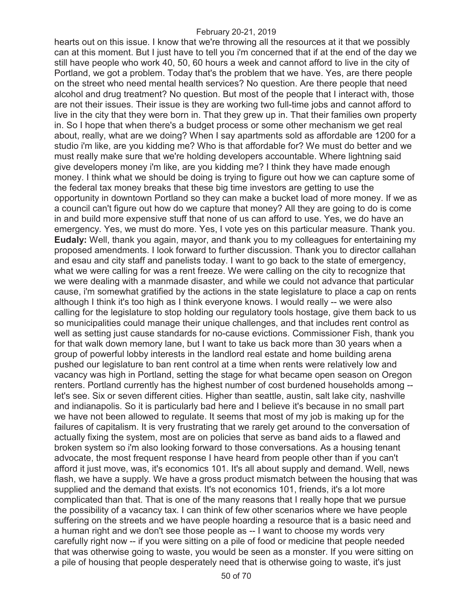hearts out on this issue. I know that we're throwing all the resources at it that we possibly can at this moment. But I just have to tell you i'm concerned that if at the end of the day we still have people who work 40, 50, 60 hours a week and cannot afford to live in the city of Portland, we got a problem. Today that's the problem that we have. Yes, are there people on the street who need mental health services? No question. Are there people that need alcohol and drug treatment? No question. But most of the people that I interact with, those are not their issues. Their issue is they are working two full-time jobs and cannot afford to live in the city that they were born in. That they grew up in. That their families own property in. So I hope that when there's a budget process or some other mechanism we get real about, really, what are we doing? When I say apartments sold as affordable are 1200 for a studio i'm like, are you kidding me? Who is that affordable for? We must do better and we must really make sure that we're holding developers accountable. Where lightning said give developers money i'm like, are you kidding me? I think they have made enough money. I think what we should be doing is trying to figure out how we can capture some of the federal tax money breaks that these big time investors are getting to use the opportunity in downtown Portland so they can make a bucket load of more money. If we as a council can't figure out how do we capture that money? All they are going to do is come in and build more expensive stuff that none of us can afford to use. Yes, we do have an emergency. Yes, we must do more. Yes, I vote yes on this particular measure. Thank you. **Eudaly:** Well, thank you again, mayor, and thank you to my colleagues for entertaining my proposed amendments. I look forward to further discussion. Thank you to director callahan and esau and city staff and panelists today. I want to go back to the state of emergency, what we were calling for was a rent freeze. We were calling on the city to recognize that we were dealing with a manmade disaster, and while we could not advance that particular cause, i'm somewhat gratified by the actions in the state legislature to place a cap on rents although I think it's too high as I think everyone knows. I would really -- we were also calling for the legislature to stop holding our regulatory tools hostage, give them back to us so municipalities could manage their unique challenges, and that includes rent control as well as setting just cause standards for no-cause evictions. Commissioner Fish, thank you for that walk down memory lane, but I want to take us back more than 30 years when a group of powerful lobby interests in the landlord real estate and home building arena pushed our legislature to ban rent control at a time when rents were relatively low and vacancy was high in Portland, setting the stage for what became open season on Oregon renters. Portland currently has the highest number of cost burdened households among - let's see. Six or seven different cities. Higher than seattle, austin, salt lake city, nashville and indianapolis. So it is particularly bad here and I believe it's because in no small part we have not been allowed to regulate. It seems that most of my job is making up for the failures of capitalism. It is very frustrating that we rarely get around to the conversation of actually fixing the system, most are on policies that serve as band aids to a flawed and broken system so i'm also looking forward to those conversations. As a housing tenant advocate, the most frequent response I have heard from people other than if you can't afford it just move, was, it's economics 101. It's all about supply and demand. Well, news flash, we have a supply. We have a gross product mismatch between the housing that was supplied and the demand that exists. It's not economics 101, friends, it's a lot more complicated than that. That is one of the many reasons that I really hope that we pursue the possibility of a vacancy tax. I can think of few other scenarios where we have people suffering on the streets and we have people hoarding a resource that is a basic need and a human right and we don't see those people as -- I want to choose my words very carefully right now -- if you were sitting on a pile of food or medicine that people needed that was otherwise going to waste, you would be seen as a monster. If you were sitting on a pile of housing that people desperately need that is otherwise going to waste, it's just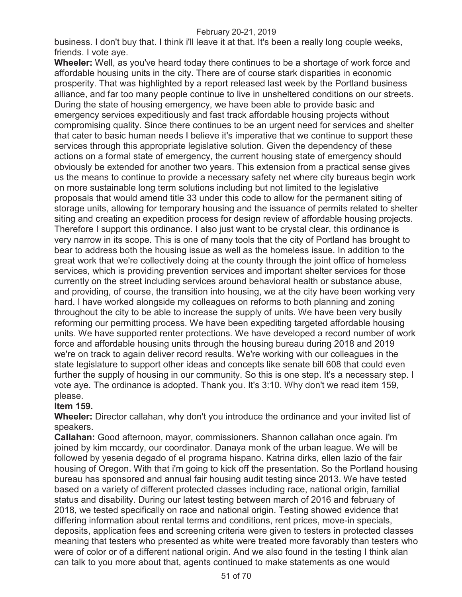business. I don't buy that. I think i'll leave it at that. It's been a really long couple weeks, friends. I vote aye.

**Wheeler:** Well, as you've heard today there continues to be a shortage of work force and affordable housing units in the city. There are of course stark disparities in economic prosperity. That was highlighted by a report released last week by the Portland business alliance, and far too many people continue to live in unsheltered conditions on our streets. During the state of housing emergency, we have been able to provide basic and emergency services expeditiously and fast track affordable housing projects without compromising quality. Since there continues to be an urgent need for services and shelter that cater to basic human needs I believe it's imperative that we continue to support these services through this appropriate legislative solution. Given the dependency of these actions on a formal state of emergency, the current housing state of emergency should obviously be extended for another two years. This extension from a practical sense gives us the means to continue to provide a necessary safety net where city bureaus begin work on more sustainable long term solutions including but not limited to the legislative proposals that would amend title 33 under this code to allow for the permanent siting of storage units, allowing for temporary housing and the issuance of permits related to shelter siting and creating an expedition process for design review of affordable housing projects. Therefore I support this ordinance. I also just want to be crystal clear, this ordinance is very narrow in its scope. This is one of many tools that the city of Portland has brought to bear to address both the housing issue as well as the homeless issue. In addition to the great work that we're collectively doing at the county through the joint office of homeless services, which is providing prevention services and important shelter services for those currently on the street including services around behavioral health or substance abuse, and providing, of course, the transition into housing, we at the city have been working very hard. I have worked alongside my colleagues on reforms to both planning and zoning throughout the city to be able to increase the supply of units. We have been very busily reforming our permitting process. We have been expediting targeted affordable housing units. We have supported renter protections. We have developed a record number of work force and affordable housing units through the housing bureau during 2018 and 2019 we're on track to again deliver record results. We're working with our colleagues in the state legislature to support other ideas and concepts like senate bill 608 that could even further the supply of housing in our community. So this is one step. It's a necessary step. I vote aye. The ordinance is adopted. Thank you. It's 3:10. Why don't we read item 159, please.

# **Item 159.**

**Wheeler:** Director callahan, why don't you introduce the ordinance and your invited list of speakers.

**Callahan:** Good afternoon, mayor, commissioners. Shannon callahan once again. I'm joined by kim mccardy, our coordinator. Danaya monk of the urban league. We will be followed by yesenia degado of el programa hispano. Katrina dirks, ellen lazio of the fair housing of Oregon. With that i'm going to kick off the presentation. So the Portland housing bureau has sponsored and annual fair housing audit testing since 2013. We have tested based on a variety of different protected classes including race, national origin, familial status and disability. During our latest testing between march of 2016 and february of 2018, we tested specifically on race and national origin. Testing showed evidence that differing information about rental terms and conditions, rent prices, move-in specials, deposits, application fees and screening criteria were given to testers in protected classes meaning that testers who presented as white were treated more favorably than testers who were of color or of a different national origin. And we also found in the testing I think alan can talk to you more about that, agents continued to make statements as one would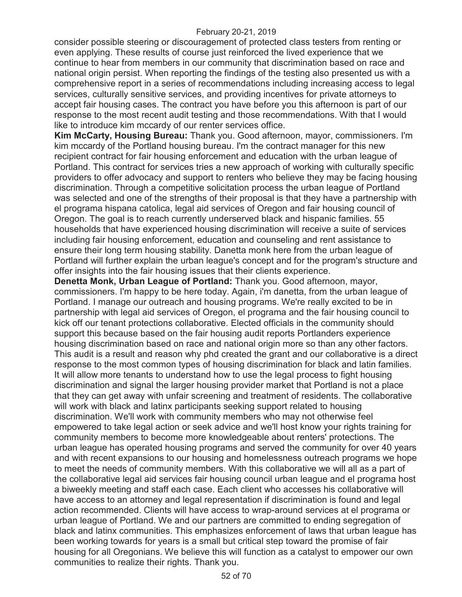consider possible steering or discouragement of protected class testers from renting or even applying. These results of course just reinforced the lived experience that we continue to hear from members in our community that discrimination based on race and national origin persist. When reporting the findings of the testing also presented us with a comprehensive report in a series of recommendations including increasing access to legal services, culturally sensitive services, and providing incentives for private attorneys to accept fair housing cases. The contract you have before you this afternoon is part of our response to the most recent audit testing and those recommendations. With that I would like to introduce kim mccardy of our renter services office.

**Kim McCarty, Housing Bureau:** Thank you. Good afternoon, mayor, commissioners. I'm kim mccardy of the Portland housing bureau. I'm the contract manager for this new recipient contract for fair housing enforcement and education with the urban league of Portland. This contract for services tries a new approach of working with culturally specific providers to offer advocacy and support to renters who believe they may be facing housing discrimination. Through a competitive solicitation process the urban league of Portland was selected and one of the strengths of their proposal is that they have a partnership with el programa hispana catolica, legal aid services of Oregon and fair housing council of Oregon. The goal is to reach currently underserved black and hispanic families. 55 households that have experienced housing discrimination will receive a suite of services including fair housing enforcement, education and counseling and rent assistance to ensure their long term housing stability. Danetta monk here from the urban league of Portland will further explain the urban league's concept and for the program's structure and offer insights into the fair housing issues that their clients experience.

**Denetta Monk, Urban League of Portland:** Thank you. Good afternoon, mayor, commissioners. I'm happy to be here today. Again, i'm danetta, from the urban league of Portland. I manage our outreach and housing programs. We're really excited to be in partnership with legal aid services of Oregon, el programa and the fair housing council to kick off our tenant protections collaborative. Elected officials in the community should support this because based on the fair housing audit reports Portlanders experience housing discrimination based on race and national origin more so than any other factors. This audit is a result and reason why phd created the grant and our collaborative is a direct response to the most common types of housing discrimination for black and latin families. It will allow more tenants to understand how to use the legal process to fight housing discrimination and signal the larger housing provider market that Portland is not a place that they can get away with unfair screening and treatment of residents. The collaborative will work with black and latinx participants seeking support related to housing discrimination. We'll work with community members who may not otherwise feel empowered to take legal action or seek advice and we'll host know your rights training for community members to become more knowledgeable about renters' protections. The urban league has operated housing programs and served the community for over 40 years and with recent expansions to our housing and homelessness outreach programs we hope to meet the needs of community members. With this collaborative we will all as a part of the collaborative legal aid services fair housing council urban league and el programa host a biweekly meeting and staff each case. Each client who accesses his collaborative will have access to an attorney and legal representation if discrimination is found and legal action recommended. Clients will have access to wrap-around services at el programa or urban league of Portland. We and our partners are committed to ending segregation of black and latinx communities. This emphasizes enforcement of laws that urban league has been working towards for years is a small but critical step toward the promise of fair housing for all Oregonians. We believe this will function as a catalyst to empower our own communities to realize their rights. Thank you.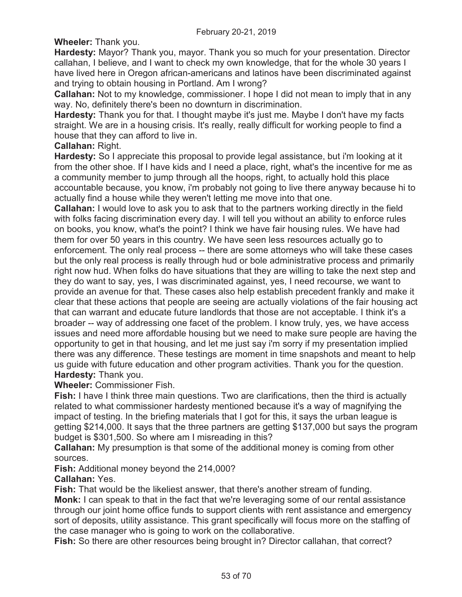**Wheeler:** Thank you.

**Hardesty:** Mayor? Thank you, mayor. Thank you so much for your presentation. Director callahan, I believe, and I want to check my own knowledge, that for the whole 30 years I have lived here in Oregon african-americans and latinos have been discriminated against and trying to obtain housing in Portland. Am I wrong?

**Callahan:** Not to my knowledge, commissioner. I hope I did not mean to imply that in any way. No, definitely there's been no downturn in discrimination.

**Hardesty:** Thank you for that. I thought maybe it's just me. Maybe I don't have my facts straight. We are in a housing crisis. It's really, really difficult for working people to find a house that they can afford to live in.

# **Callahan:** Right.

**Hardesty:** So I appreciate this proposal to provide legal assistance, but i'm looking at it from the other shoe. If I have kids and I need a place, right, what's the incentive for me as a community member to jump through all the hoops, right, to actually hold this place accountable because, you know, i'm probably not going to live there anyway because hi to actually find a house while they weren't letting me move into that one.

**Callahan:** I would love to ask you to ask that to the partners working directly in the field with folks facing discrimination every day. I will tell you without an ability to enforce rules on books, you know, what's the point? I think we have fair housing rules. We have had them for over 50 years in this country. We have seen less resources actually go to enforcement. The only real process -- there are some attorneys who will take these cases but the only real process is really through hud or bole administrative process and primarily right now hud. When folks do have situations that they are willing to take the next step and they do want to say, yes, I was discriminated against, yes, I need recourse, we want to provide an avenue for that. These cases also help establish precedent frankly and make it clear that these actions that people are seeing are actually violations of the fair housing act that can warrant and educate future landlords that those are not acceptable. I think it's a broader -- way of addressing one facet of the problem. I know truly, yes, we have access issues and need more affordable housing but we need to make sure people are having the opportunity to get in that housing, and let me just say i'm sorry if my presentation implied there was any difference. These testings are moment in time snapshots and meant to help us guide with future education and other program activities. Thank you for the question. **Hardesty:** Thank you.

**Wheeler:** Commissioner Fish.

**Fish:** I have I think three main questions. Two are clarifications, then the third is actually related to what commissioner hardesty mentioned because it's a way of magnifying the impact of testing. In the briefing materials that I got for this, it says the urban league is getting \$214,000. It says that the three partners are getting \$137,000 but says the program budget is \$301,500. So where am I misreading in this?

**Callahan:** My presumption is that some of the additional money is coming from other sources.

**Fish:** Additional money beyond the 214,000?

# **Callahan:** Yes.

**Fish:** That would be the likeliest answer, that there's another stream of funding. **Monk:** I can speak to that in the fact that we're leveraging some of our rental assistance through our joint home office funds to support clients with rent assistance and emergency sort of deposits, utility assistance. This grant specifically will focus more on the staffing of the case manager who is going to work on the collaborative.

**Fish:** So there are other resources being brought in? Director callahan, that correct?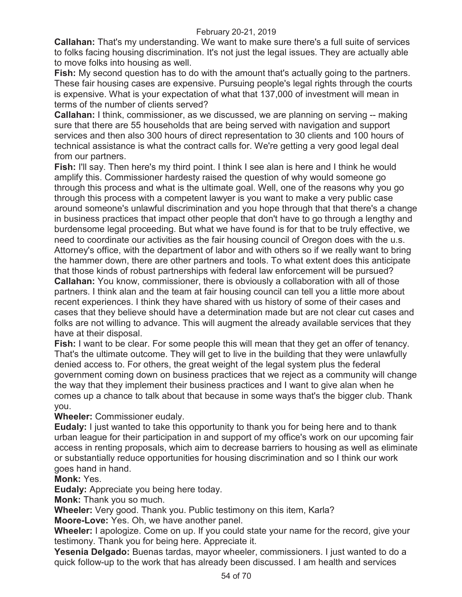**Callahan:** That's my understanding. We want to make sure there's a full suite of services to folks facing housing discrimination. It's not just the legal issues. They are actually able to move folks into housing as well.

**Fish:** My second question has to do with the amount that's actually going to the partners. These fair housing cases are expensive. Pursuing people's legal rights through the courts is expensive. What is your expectation of what that 137,000 of investment will mean in terms of the number of clients served?

**Callahan:** I think, commissioner, as we discussed, we are planning on serving -- making sure that there are 55 households that are being served with navigation and support services and then also 300 hours of direct representation to 30 clients and 100 hours of technical assistance is what the contract calls for. We're getting a very good legal deal from our partners.

**Fish:** I'll say. Then here's my third point. I think I see alan is here and I think he would amplify this. Commissioner hardesty raised the question of why would someone go through this process and what is the ultimate goal. Well, one of the reasons why you go through this process with a competent lawyer is you want to make a very public case around someone's unlawful discrimination and you hope through that that there's a change in business practices that impact other people that don't have to go through a lengthy and burdensome legal proceeding. But what we have found is for that to be truly effective, we need to coordinate our activities as the fair housing council of Oregon does with the u.s. Attorney's office, with the department of labor and with others so if we really want to bring the hammer down, there are other partners and tools. To what extent does this anticipate that those kinds of robust partnerships with federal law enforcement will be pursued? **Callahan:** You know, commissioner, there is obviously a collaboration with all of those partners. I think alan and the team at fair housing council can tell you a little more about recent experiences. I think they have shared with us history of some of their cases and cases that they believe should have a determination made but are not clear cut cases and folks are not willing to advance. This will augment the already available services that they have at their disposal.

**Fish:** I want to be clear. For some people this will mean that they get an offer of tenancy. That's the ultimate outcome. They will get to live in the building that they were unlawfully denied access to. For others, the great weight of the legal system plus the federal government coming down on business practices that we reject as a community will change the way that they implement their business practices and I want to give alan when he comes up a chance to talk about that because in some ways that's the bigger club. Thank you.

**Wheeler:** Commissioner eudaly.

**Eudaly:** I just wanted to take this opportunity to thank you for being here and to thank urban league for their participation in and support of my office's work on our upcoming fair access in renting proposals, which aim to decrease barriers to housing as well as eliminate or substantially reduce opportunities for housing discrimination and so I think our work goes hand in hand.

**Monk:** Yes.

**Eudaly:** Appreciate you being here today.

**Monk:** Thank you so much.

**Wheeler:** Very good. Thank you. Public testimony on this item, Karla?

**Moore-Love:** Yes. Oh, we have another panel.

**Wheeler:** I apologize. Come on up. If you could state your name for the record, give your testimony. Thank you for being here. Appreciate it.

**Yesenia Delgado:** Buenas tardas, mayor wheeler, commissioners. I just wanted to do a quick follow-up to the work that has already been discussed. I am health and services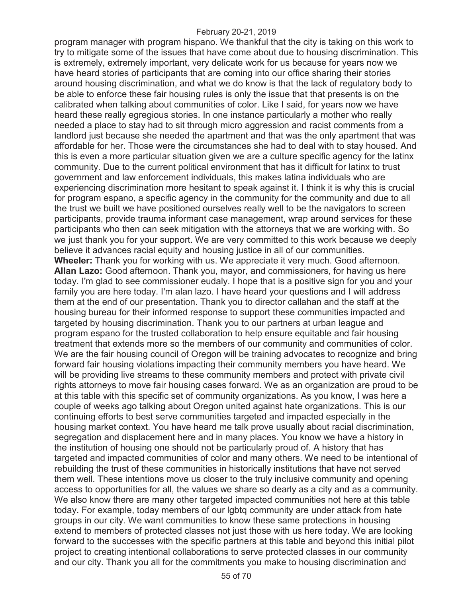program manager with program hispano. We thankful that the city is taking on this work to try to mitigate some of the issues that have come about due to housing discrimination. This is extremely, extremely important, very delicate work for us because for years now we have heard stories of participants that are coming into our office sharing their stories around housing discrimination, and what we do know is that the lack of regulatory body to be able to enforce these fair housing rules is only the issue that that presents is on the calibrated when talking about communities of color. Like I said, for years now we have heard these really egregious stories. In one instance particularly a mother who really needed a place to stay had to sit through micro aggression and racist comments from a landlord just because she needed the apartment and that was the only apartment that was affordable for her. Those were the circumstances she had to deal with to stay housed. And this is even a more particular situation given we are a culture specific agency for the latinx community. Due to the current political environment that has it difficult for latinx to trust government and law enforcement individuals, this makes latina individuals who are experiencing discrimination more hesitant to speak against it. I think it is why this is crucial for program espano, a specific agency in the community for the community and due to all the trust we built we have positioned ourselves really well to be the navigators to screen participants, provide trauma informant case management, wrap around services for these participants who then can seek mitigation with the attorneys that we are working with. So we just thank you for your support. We are very committed to this work because we deeply believe it advances racial equity and housing justice in all of our communities. **Wheeler:** Thank you for working with us. We appreciate it very much. Good afternoon. **Allan Lazo:** Good afternoon. Thank you, mayor, and commissioners, for having us here today. I'm glad to see commissioner eudaly. I hope that is a positive sign for you and your family you are here today. I'm alan lazo. I have heard your questions and I will address them at the end of our presentation. Thank you to director callahan and the staff at the housing bureau for their informed response to support these communities impacted and targeted by housing discrimination. Thank you to our partners at urban league and program espano for the trusted collaboration to help ensure equitable and fair housing treatment that extends more so the members of our community and communities of color. We are the fair housing council of Oregon will be training advocates to recognize and bring forward fair housing violations impacting their community members you have heard. We will be providing live streams to these community members and protect with private civil rights attorneys to move fair housing cases forward. We as an organization are proud to be at this table with this specific set of community organizations. As you know, I was here a couple of weeks ago talking about Oregon united against hate organizations. This is our continuing efforts to best serve communities targeted and impacted especially in the housing market context. You have heard me talk prove usually about racial discrimination, segregation and displacement here and in many places. You know we have a history in the institution of housing one should not be particularly proud of. A history that has targeted and impacted communities of color and many others. We need to be intentional of rebuilding the trust of these communities in historically institutions that have not served them well. These intentions move us closer to the truly inclusive community and opening access to opportunities for all, the values we share so dearly as a city and as a community. We also know there are many other targeted impacted communities not here at this table today. For example, today members of our lgbtq community are under attack from hate groups in our city. We want communities to know these same protections in housing extend to members of protected classes not just those with us here today. We are looking forward to the successes with the specific partners at this table and beyond this initial pilot project to creating intentional collaborations to serve protected classes in our community and our city. Thank you all for the commitments you make to housing discrimination and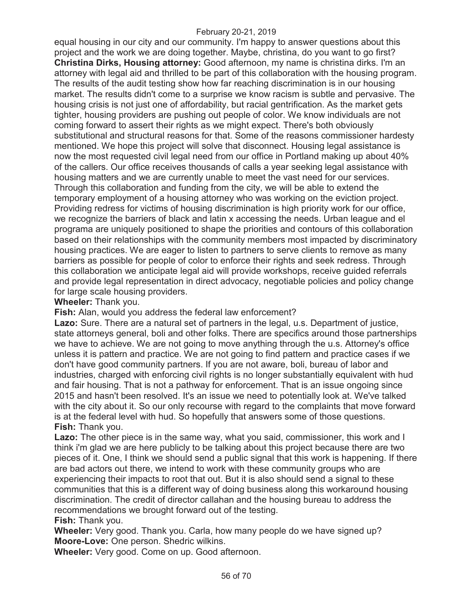equal housing in our city and our community. I'm happy to answer questions about this project and the work we are doing together. Maybe, christina, do you want to go first? **Christina Dirks, Housing attorney:** Good afternoon, my name is christina dirks. I'm an attorney with legal aid and thrilled to be part of this collaboration with the housing program. The results of the audit testing show how far reaching discrimination is in our housing market. The results didn't come to a surprise we know racism is subtle and pervasive. The housing crisis is not just one of affordability, but racial gentrification. As the market gets tighter, housing providers are pushing out people of color. We know individuals are not coming forward to assert their rights as we might expect. There's both obviously substitutional and structural reasons for that. Some of the reasons commissioner hardesty mentioned. We hope this project will solve that disconnect. Housing legal assistance is now the most requested civil legal need from our office in Portland making up about 40% of the callers. Our office receives thousands of calls a year seeking legal assistance with housing matters and we are currently unable to meet the vast need for our services. Through this collaboration and funding from the city, we will be able to extend the temporary employment of a housing attorney who was working on the eviction project. Providing redress for victims of housing discrimination is high priority work for our office, we recognize the barriers of black and latin x accessing the needs. Urban league and el programa are uniquely positioned to shape the priorities and contours of this collaboration based on their relationships with the community members most impacted by discriminatory housing practices. We are eager to listen to partners to serve clients to remove as many barriers as possible for people of color to enforce their rights and seek redress. Through this collaboration we anticipate legal aid will provide workshops, receive guided referrals and provide legal representation in direct advocacy, negotiable policies and policy change for large scale housing providers.

**Wheeler:** Thank you.

**Fish:** Alan, would you address the federal law enforcement?

**Lazo:** Sure. There are a natural set of partners in the legal, u.s. Department of justice, state attorneys general, boli and other folks. There are specifics around those partnerships we have to achieve. We are not going to move anything through the u.s. Attorney's office unless it is pattern and practice. We are not going to find pattern and practice cases if we don't have good community partners. If you are not aware, boli, bureau of labor and industries, charged with enforcing civil rights is no longer substantially equivalent with hud and fair housing. That is not a pathway for enforcement. That is an issue ongoing since 2015 and hasn't been resolved. It's an issue we need to potentially look at. We've talked with the city about it. So our only recourse with regard to the complaints that move forward is at the federal level with hud. So hopefully that answers some of those questions. **Fish:** Thank you.

**Lazo:** The other piece is in the same way, what you said, commissioner, this work and I think i'm glad we are here publicly to be talking about this project because there are two pieces of it. One, I think we should send a public signal that this work is happening. If there are bad actors out there, we intend to work with these community groups who are experiencing their impacts to root that out. But it is also should send a signal to these communities that this is a different way of doing business along this workaround housing discrimination. The credit of director callahan and the housing bureau to address the recommendations we brought forward out of the testing.

**Fish:** Thank you.

**Wheeler:** Very good. Thank you. Carla, how many people do we have signed up? **Moore-Love:** One person. Shedric wilkins.

**Wheeler:** Very good. Come on up. Good afternoon.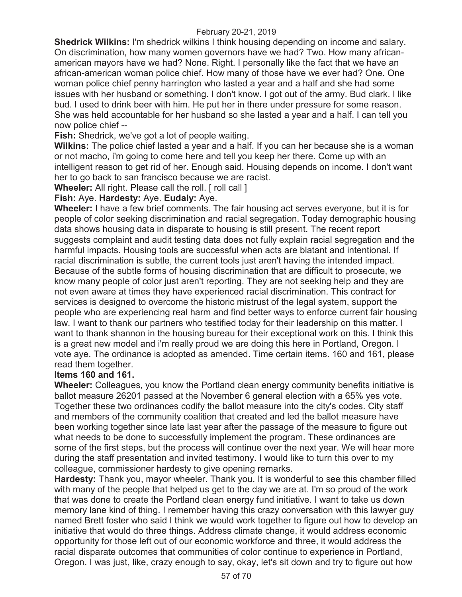**Shedrick Wilkins:** I'm shedrick wilkins I think housing depending on income and salary. On discrimination, how many women governors have we had? Two. How many africanamerican mayors have we had? None. Right. I personally like the fact that we have an african-american woman police chief. How many of those have we ever had? One. One woman police chief penny harrington who lasted a year and a half and she had some issues with her husband or something. I don't know. I got out of the army. Bud clark. I like bud. I used to drink beer with him. He put her in there under pressure for some reason. She was held accountable for her husband so she lasted a year and a half. I can tell you now police chief --

**Fish:** Shedrick, we've got a lot of people waiting.

**Wilkins:** The police chief lasted a year and a half. If you can her because she is a woman or not macho, i'm going to come here and tell you keep her there. Come up with an intelligent reason to get rid of her. Enough said. Housing depends on income. I don't want her to go back to san francisco because we are racist.

**Wheeler:** All right. Please call the roll. [ roll call ]

#### **Fish:** Aye. **Hardesty:** Aye. **Eudaly:** Aye.

**Wheeler:** I have a few brief comments. The fair housing act serves everyone, but it is for people of color seeking discrimination and racial segregation. Today demographic housing data shows housing data in disparate to housing is still present. The recent report suggests complaint and audit testing data does not fully explain racial segregation and the harmful impacts. Housing tools are successful when acts are blatant and intentional. If racial discrimination is subtle, the current tools just aren't having the intended impact. Because of the subtle forms of housing discrimination that are difficult to prosecute, we know many people of color just aren't reporting. They are not seeking help and they are not even aware at times they have experienced racial discrimination. This contract for services is designed to overcome the historic mistrust of the legal system, support the people who are experiencing real harm and find better ways to enforce current fair housing law. I want to thank our partners who testified today for their leadership on this matter. I want to thank shannon in the housing bureau for their exceptional work on this. I think this is a great new model and i'm really proud we are doing this here in Portland, Oregon. I vote aye. The ordinance is adopted as amended. Time certain items. 160 and 161, please read them together.

### **Items 160 and 161.**

**Wheeler:** Colleagues, you know the Portland clean energy community benefits initiative is ballot measure 26201 passed at the November 6 general election with a 65% yes vote. Together these two ordinances codify the ballot measure into the city's codes. City staff and members of the community coalition that created and led the ballot measure have been working together since late last year after the passage of the measure to figure out what needs to be done to successfully implement the program. These ordinances are some of the first steps, but the process will continue over the next year. We will hear more during the staff presentation and invited testimony. I would like to turn this over to my colleague, commissioner hardesty to give opening remarks.

**Hardesty:** Thank you, mayor wheeler. Thank you. It is wonderful to see this chamber filled with many of the people that helped us get to the day we are at. I'm so proud of the work that was done to create the Portland clean energy fund initiative. I want to take us down memory lane kind of thing. I remember having this crazy conversation with this lawyer guy named Brett foster who said I think we would work together to figure out how to develop an initiative that would do three things. Address climate change, it would address economic opportunity for those left out of our economic workforce and three, it would address the racial disparate outcomes that communities of color continue to experience in Portland, Oregon. I was just, like, crazy enough to say, okay, let's sit down and try to figure out how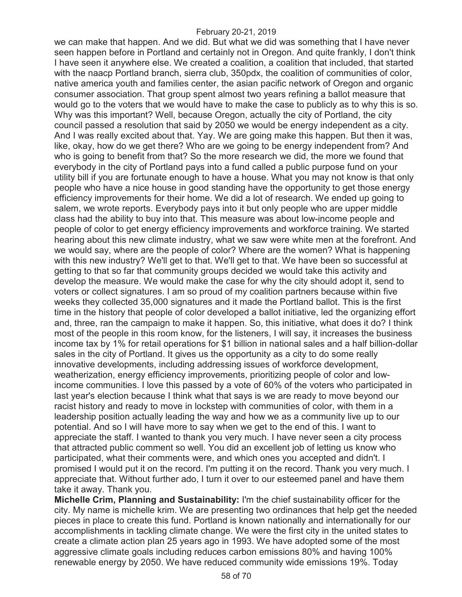we can make that happen. And we did. But what we did was something that I have never seen happen before in Portland and certainly not in Oregon. And quite frankly, I don't think I have seen it anywhere else. We created a coalition, a coalition that included, that started with the naacp Portland branch, sierra club, 350pdx, the coalition of communities of color, native america youth and families center, the asian pacific network of Oregon and organic consumer association. That group spent almost two years refining a ballot measure that would go to the voters that we would have to make the case to publicly as to why this is so. Why was this important? Well, because Oregon, actually the city of Portland, the city council passed a resolution that said by 2050 we would be energy independent as a city. And I was really excited about that. Yay. We are going make this happen. But then it was, like, okay, how do we get there? Who are we going to be energy independent from? And who is going to benefit from that? So the more research we did, the more we found that everybody in the city of Portland pays into a fund called a public purpose fund on your utility bill if you are fortunate enough to have a house. What you may not know is that only people who have a nice house in good standing have the opportunity to get those energy efficiency improvements for their home. We did a lot of research. We ended up going to salem, we wrote reports. Everybody pays into it but only people who are upper middle class had the ability to buy into that. This measure was about low-income people and people of color to get energy efficiency improvements and workforce training. We started hearing about this new climate industry, what we saw were white men at the forefront. And we would say, where are the people of color? Where are the women? What is happening with this new industry? We'll get to that. We'll get to that. We have been so successful at getting to that so far that community groups decided we would take this activity and develop the measure. We would make the case for why the city should adopt it, send to voters or collect signatures. I am so proud of my coalition partners because within five weeks they collected 35,000 signatures and it made the Portland ballot. This is the first time in the history that people of color developed a ballot initiative, led the organizing effort and, three, ran the campaign to make it happen. So, this initiative, what does it do? I think most of the people in this room know, for the listeners, I will say, it increases the business income tax by 1% for retail operations for \$1 billion in national sales and a half billion-dollar sales in the city of Portland. It gives us the opportunity as a city to do some really innovative developments, including addressing issues of workforce development, weatherization, energy efficiency improvements, prioritizing people of color and lowincome communities. I love this passed by a vote of 60% of the voters who participated in last year's election because I think what that says is we are ready to move beyond our racist history and ready to move in lockstep with communities of color, with them in a leadership position actually leading the way and how we as a community live up to our potential. And so I will have more to say when we get to the end of this. I want to appreciate the staff. I wanted to thank you very much. I have never seen a city process that attracted public comment so well. You did an excellent job of letting us know who participated, what their comments were, and which ones you accepted and didn't. I promised I would put it on the record. I'm putting it on the record. Thank you very much. I appreciate that. Without further ado, I turn it over to our esteemed panel and have them take it away. Thank you.

**Michelle Crim, Planning and Sustainability:** I'm the chief sustainability officer for the city. My name is michelle krim. We are presenting two ordinances that help get the needed pieces in place to create this fund. Portland is known nationally and internationally for our accomplishments in tackling climate change. We were the first city in the united states to create a climate action plan 25 years ago in 1993. We have adopted some of the most aggressive climate goals including reduces carbon emissions 80% and having 100% renewable energy by 2050. We have reduced community wide emissions 19%. Today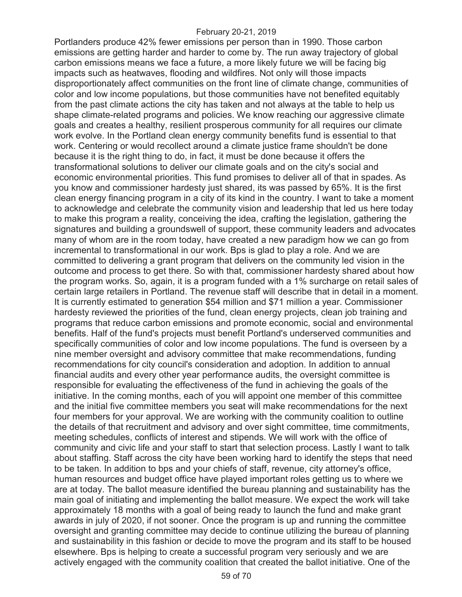Portlanders produce 42% fewer emissions per person than in 1990. Those carbon emissions are getting harder and harder to come by. The run away trajectory of global carbon emissions means we face a future, a more likely future we will be facing big impacts such as heatwaves, flooding and wildfires. Not only will those impacts disproportionately affect communities on the front line of climate change, communities of color and low income populations, but those communities have not benefited equitably from the past climate actions the city has taken and not always at the table to help us shape climate-related programs and policies. We know reaching our aggressive climate goals and creates a healthy, resilient prosperous community for all requires our climate work evolve. In the Portland clean energy community benefits fund is essential to that work. Centering or would recollect around a climate justice frame shouldn't be done because it is the right thing to do, in fact, it must be done because it offers the transformational solutions to deliver our climate goals and on the city's social and economic environmental priorities. This fund promises to deliver all of that in spades. As you know and commissioner hardesty just shared, its was passed by 65%. It is the first clean energy financing program in a city of its kind in the country. I want to take a moment to acknowledge and celebrate the community vision and leadership that led us here today to make this program a reality, conceiving the idea, crafting the legislation, gathering the signatures and building a groundswell of support, these community leaders and advocates many of whom are in the room today, have created a new paradigm how we can go from incremental to transformational in our work. Bps is glad to play a role. And we are committed to delivering a grant program that delivers on the community led vision in the outcome and process to get there. So with that, commissioner hardesty shared about how the program works. So, again, it is a program funded with a 1% surcharge on retail sales of certain large retailers in Portland. The revenue staff will describe that in detail in a moment. It is currently estimated to generation \$54 million and \$71 million a year. Commissioner hardesty reviewed the priorities of the fund, clean energy projects, clean job training and programs that reduce carbon emissions and promote economic, social and environmental benefits. Half of the fund's projects must benefit Portland's underserved communities and specifically communities of color and low income populations. The fund is overseen by a nine member oversight and advisory committee that make recommendations, funding recommendations for city council's consideration and adoption. In addition to annual financial audits and every other year performance audits, the oversight committee is responsible for evaluating the effectiveness of the fund in achieving the goals of the initiative. In the coming months, each of you will appoint one member of this committee and the initial five committee members you seat will make recommendations for the next four members for your approval. We are working with the community coalition to outline the details of that recruitment and advisory and over sight committee, time commitments, meeting schedules, conflicts of interest and stipends. We will work with the office of community and civic life and your staff to start that selection process. Lastly I want to talk about staffing. Staff across the city have been working hard to identify the steps that need to be taken. In addition to bps and your chiefs of staff, revenue, city attorney's office, human resources and budget office have played important roles getting us to where we are at today. The ballot measure identified the bureau planning and sustainability has the main goal of initiating and implementing the ballot measure. We expect the work will take approximately 18 months with a goal of being ready to launch the fund and make grant awards in july of 2020, if not sooner. Once the program is up and running the committee oversight and granting committee may decide to continue utilizing the bureau of planning and sustainability in this fashion or decide to move the program and its staff to be housed elsewhere. Bps is helping to create a successful program very seriously and we are actively engaged with the community coalition that created the ballot initiative. One of the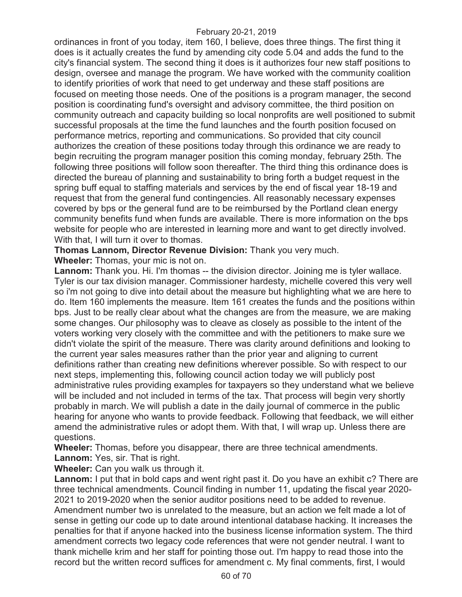ordinances in front of you today, item 160, I believe, does three things. The first thing it does is it actually creates the fund by amending city code 5.04 and adds the fund to the city's financial system. The second thing it does is it authorizes four new staff positions to design, oversee and manage the program. We have worked with the community coalition to identify priorities of work that need to get underway and these staff positions are focused on meeting those needs. One of the positions is a program manager, the second position is coordinating fund's oversight and advisory committee, the third position on community outreach and capacity building so local nonprofits are well positioned to submit successful proposals at the time the fund launches and the fourth position focused on performance metrics, reporting and communications. So provided that city council authorizes the creation of these positions today through this ordinance we are ready to begin recruiting the program manager position this coming monday, february 25th. The following three positions will follow soon thereafter. The third thing this ordinance does is directed the bureau of planning and sustainability to bring forth a budget request in the spring buff equal to staffing materials and services by the end of fiscal year 18-19 and request that from the general fund contingencies. All reasonably necessary expenses covered by bps or the general fund are to be reimbursed by the Portland clean energy community benefits fund when funds are available. There is more information on the bps website for people who are interested in learning more and want to get directly involved. With that, I will turn it over to thomas.

**Thomas Lannom, Director Revenue Division:** Thank you very much.

**Wheeler:** Thomas, your mic is not on.

**Lannom:** Thank you. Hi. I'm thomas -- the division director. Joining me is tyler wallace. Tyler is our tax division manager. Commissioner hardesty, michelle covered this very well so i'm not going to dive into detail about the measure but highlighting what we are here to do. Item 160 implements the measure. Item 161 creates the funds and the positions within bps. Just to be really clear about what the changes are from the measure, we are making some changes. Our philosophy was to cleave as closely as possible to the intent of the voters working very closely with the committee and with the petitioners to make sure we didn't violate the spirit of the measure. There was clarity around definitions and looking to the current year sales measures rather than the prior year and aligning to current definitions rather than creating new definitions wherever possible. So with respect to our next steps, implementing this, following council action today we will publicly post administrative rules providing examples for taxpayers so they understand what we believe will be included and not included in terms of the tax. That process will begin very shortly probably in march. We will publish a date in the daily journal of commerce in the public hearing for anyone who wants to provide feedback. Following that feedback, we will either amend the administrative rules or adopt them. With that, I will wrap up. Unless there are questions.

**Wheeler:** Thomas, before you disappear, there are three technical amendments.

**Lannom:** Yes, sir. That is right.

**Wheeler:** Can you walk us through it.

**Lannom:** I put that in bold caps and went right past it. Do you have an exhibit c? There are three technical amendments. Council finding in number 11, updating the fiscal year 2020- 2021 to 2019-2020 when the senior auditor positions need to be added to revenue. Amendment number two is unrelated to the measure, but an action we felt made a lot of sense in getting our code up to date around intentional database hacking. It increases the penalties for that if anyone hacked into the business license information system. The third amendment corrects two legacy code references that were not gender neutral. I want to thank michelle krim and her staff for pointing those out. I'm happy to read those into the record but the written record suffices for amendment c. My final comments, first, I would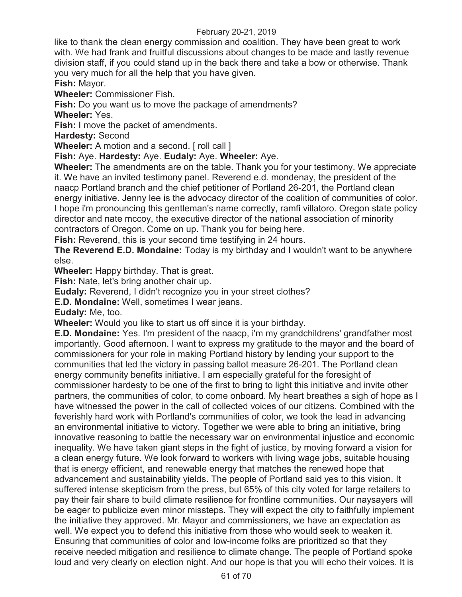like to thank the clean energy commission and coalition. They have been great to work with. We had frank and fruitful discussions about changes to be made and lastly revenue division staff, if you could stand up in the back there and take a bow or otherwise. Thank you very much for all the help that you have given.

**Fish:** Mayor.

**Wheeler:** Commissioner Fish.

**Fish:** Do you want us to move the package of amendments?

**Wheeler:** Yes.

**Fish:** I move the packet of amendments.

**Hardesty:** Second

**Wheeler:** A motion and a second. [ roll call ]

**Fish:** Aye. **Hardesty:** Aye. **Eudaly:** Aye. **Wheeler:** Aye.

**Wheeler:** The amendments are on the table. Thank you for your testimony. We appreciate it. We have an invited testimony panel. Reverend e.d. mondenay, the president of the naacp Portland branch and the chief petitioner of Portland 26-201, the Portland clean energy initiative. Jenny lee is the advocacy director of the coalition of communities of color. I hope i'm pronouncing this gentleman's name correctly, ramfi villatoro. Oregon state policy director and nate mccoy, the executive director of the national association of minority contractors of Oregon. Come on up. Thank you for being here.

**Fish:** Reverend, this is your second time testifying in 24 hours.

**The Reverend E.D. Mondaine:** Today is my birthday and I wouldn't want to be anywhere else.

**Wheeler:** Happy birthday. That is great.

**Fish:** Nate, let's bring another chair up.

**Eudaly:** Reverend, I didn't recognize you in your street clothes?

**E.D. Mondaine:** Well, sometimes I wear jeans.

**Eudaly:** Me, too.

**Wheeler:** Would you like to start us off since it is your birthday.

**E.D. Mondaine:** Yes. I'm president of the naacp, i'm my grandchildrens' grandfather most importantly. Good afternoon. I want to express my gratitude to the mayor and the board of commissioners for your role in making Portland history by lending your support to the communities that led the victory in passing ballot measure 26-201. The Portland clean energy community benefits initiative. I am especially grateful for the foresight of commissioner hardesty to be one of the first to bring to light this initiative and invite other partners, the communities of color, to come onboard. My heart breathes a sigh of hope as I have witnessed the power in the call of collected voices of our citizens. Combined with the feverishly hard work with Portland's communities of color, we took the lead in advancing an environmental initiative to victory. Together we were able to bring an initiative, bring innovative reasoning to battle the necessary war on environmental injustice and economic inequality. We have taken giant steps in the fight of justice, by moving forward a vision for a clean energy future. We look forward to workers with living wage jobs, suitable housing that is energy efficient, and renewable energy that matches the renewed hope that advancement and sustainability yields. The people of Portland said yes to this vision. It suffered intense skepticism from the press, but 65% of this city voted for large retailers to pay their fair share to build climate resilience for frontline communities. Our naysayers will be eager to publicize even minor missteps. They will expect the city to faithfully implement the initiative they approved. Mr. Mayor and commissioners, we have an expectation as well. We expect you to defend this initiative from those who would seek to weaken it. Ensuring that communities of color and low-income folks are prioritized so that they receive needed mitigation and resilience to climate change. The people of Portland spoke loud and very clearly on election night. And our hope is that you will echo their voices. It is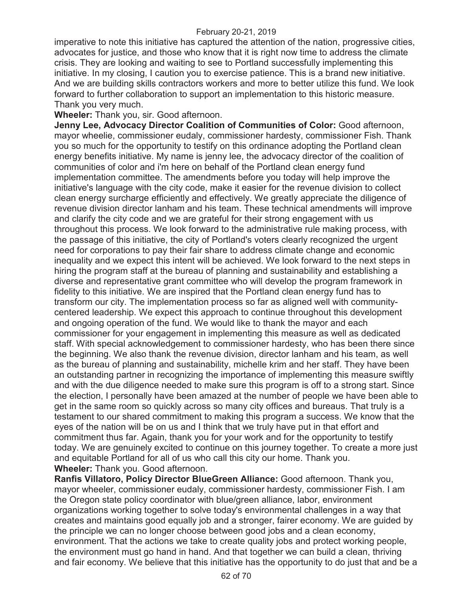imperative to note this initiative has captured the attention of the nation, progressive cities, advocates for justice, and those who know that it is right now time to address the climate crisis. They are looking and waiting to see to Portland successfully implementing this initiative. In my closing, I caution you to exercise patience. This is a brand new initiative. And we are building skills contractors workers and more to better utilize this fund. We look forward to further collaboration to support an implementation to this historic measure. Thank you very much.

**Wheeler:** Thank you, sir. Good afternoon.

**Jenny Lee, Advocacy Director Coalition of Communities of Color:** Good afternoon, mayor wheelie, commissioner eudaly, commissioner hardesty, commissioner Fish. Thank you so much for the opportunity to testify on this ordinance adopting the Portland clean energy benefits initiative. My name is jenny lee, the advocacy director of the coalition of communities of color and i'm here on behalf of the Portland clean energy fund implementation committee. The amendments before you today will help improve the initiative's language with the city code, make it easier for the revenue division to collect clean energy surcharge efficiently and effectively. We greatly appreciate the diligence of revenue division director lanham and his team. These technical amendments will improve and clarify the city code and we are grateful for their strong engagement with us throughout this process. We look forward to the administrative rule making process, with the passage of this initiative, the city of Portland's voters clearly recognized the urgent need for corporations to pay their fair share to address climate change and economic inequality and we expect this intent will be achieved. We look forward to the next steps in hiring the program staff at the bureau of planning and sustainability and establishing a diverse and representative grant committee who will develop the program framework in fidelity to this initiative. We are inspired that the Portland clean energy fund has to transform our city. The implementation process so far as aligned well with communitycentered leadership. We expect this approach to continue throughout this development and ongoing operation of the fund. We would like to thank the mayor and each commissioner for your engagement in implementing this measure as well as dedicated staff. With special acknowledgement to commissioner hardesty, who has been there since the beginning. We also thank the revenue division, director lanham and his team, as well as the bureau of planning and sustainability, michelle krim and her staff. They have been an outstanding partner in recognizing the importance of implementing this measure swiftly and with the due diligence needed to make sure this program is off to a strong start. Since the election, I personally have been amazed at the number of people we have been able to get in the same room so quickly across so many city offices and bureaus. That truly is a testament to our shared commitment to making this program a success. We know that the eyes of the nation will be on us and I think that we truly have put in that effort and commitment thus far. Again, thank you for your work and for the opportunity to testify today. We are genuinely excited to continue on this journey together. To create a more just and equitable Portland for all of us who call this city our home. Thank you. **Wheeler:** Thank you. Good afternoon.

**Ranfis Villatoro, Policy Director BlueGreen Alliance:** Good afternoon. Thank you, mayor wheeler, commissioner eudaly, commissioner hardesty, commissioner Fish. I am the Oregon state policy coordinator with blue/green alliance, labor, environment organizations working together to solve today's environmental challenges in a way that creates and maintains good equally job and a stronger, fairer economy. We are guided by the principle we can no longer choose between good jobs and a clean economy, environment. That the actions we take to create quality jobs and protect working people, the environment must go hand in hand. And that together we can build a clean, thriving and fair economy. We believe that this initiative has the opportunity to do just that and be a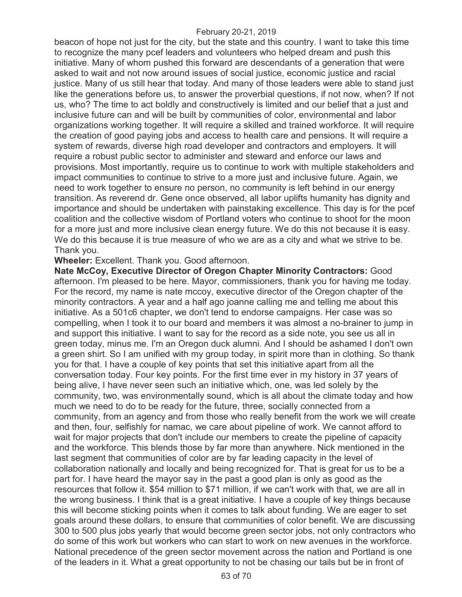beacon of hope not just for the city, but the state and this country. I want to take this time to recognize the many pcef leaders and volunteers who helped dream and push this initiative. Many of whom pushed this forward are descendants of a generation that were asked to wait and not now around issues of social justice, economic justice and racial justice. Many of us still hear that today. And many of those leaders were able to stand just like the generations before us, to answer the proverbial questions, if not now, when? If not us, who? The time to act boldly and constructively is limited and our belief that a just and inclusive future can and will be built by communities of color, environmental and labor organizations working together. It will require a skilled and trained workforce. It will require the creation of good paying jobs and access to health care and pensions. It will require a system of rewards, diverse high road developer and contractors and employers. It will require a robust public sector to administer and steward and enforce our laws and provisions. Most importantly, require us to continue to work with multiple stakeholders and impact communities to continue to strive to a more just and inclusive future. Again, we need to work together to ensure no person, no community is left behind in our energy transition. As reverend dr. Gene once observed, all labor uplifts humanity has dignity and importance and should be undertaken with painstaking excellence. This day is for the pcef coalition and the collective wisdom of Portland voters who continue to shoot for the moon for a more just and more inclusive clean energy future. We do this not because it is easy. We do this because it is true measure of who we are as a city and what we strive to be. Thank you.

**Wheeler:** Excellent. Thank you. Good afternoon.

**Nate McCoy, Executive Director of Oregon Chapter Minority Contractors:** Good afternoon. I'm pleased to be here. Mayor, commissioners, thank you for having me today. For the record, my name is nate mccoy, executive director of the Oregon chapter of the minority contractors. A year and a half ago joanne calling me and telling me about this initiative. As a 501c6 chapter, we don't tend to endorse campaigns. Her case was so compelling, when I took it to our board and members it was almost a no-brainer to jump in and support this initiative. I want to say for the record as a side note, you see us all in green today, minus me. I'm an Oregon duck alumni. And I should be ashamed I don't own a green shirt. So I am unified with my group today, in spirit more than in clothing. So thank you for that. I have a couple of key points that set this initiative apart from all the conversation today. Four key points. For the first time ever in my history in 37 years of being alive, I have never seen such an initiative which, one, was led solely by the community, two, was environmentally sound, which is all about the climate today and how much we need to do to be ready for the future, three, socially connected from a community, from an agency and from those who really benefit from the work we will create and then, four, selfishly for namac, we care about pipeline of work. We cannot afford to wait for major projects that don't include our members to create the pipeline of capacity and the workforce. This blends those by far more than anywhere. Nick mentioned in the last segment that communities of color are by far leading capacity in the level of collaboration nationally and locally and being recognized for. That is great for us to be a part for. I have heard the mayor say in the past a good plan is only as good as the resources that follow it. \$54 million to \$71 million, if we can't work with that, we are all in the wrong business. I think that is a great initiative. I have a couple of key things because this will become sticking points when it comes to talk about funding. We are eager to set goals around these dollars, to ensure that communities of color benefit. We are discussing 300 to 500 plus jobs yearly that would become green sector jobs, not only contractors who do some of this work but workers who can start to work on new avenues in the workforce. National precedence of the green sector movement across the nation and Portland is one of the leaders in it. What a great opportunity to not be chasing our tails but be in front of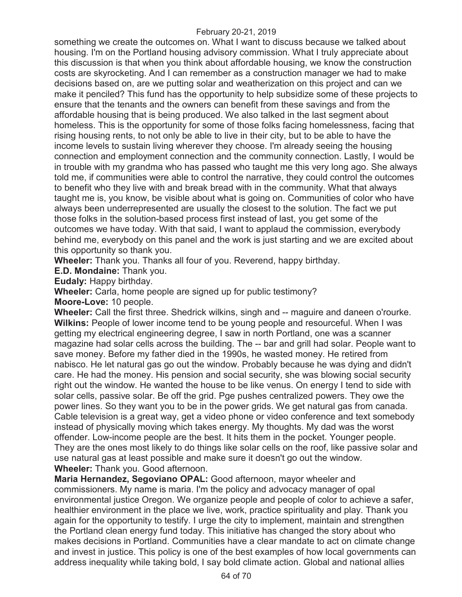something we create the outcomes on. What I want to discuss because we talked about housing. I'm on the Portland housing advisory commission. What I truly appreciate about this discussion is that when you think about affordable housing, we know the construction costs are skyrocketing. And I can remember as a construction manager we had to make decisions based on, are we putting solar and weatherization on this project and can we make it penciled? This fund has the opportunity to help subsidize some of these projects to ensure that the tenants and the owners can benefit from these savings and from the affordable housing that is being produced. We also talked in the last segment about homeless. This is the opportunity for some of those folks facing homelessness, facing that rising housing rents, to not only be able to live in their city, but to be able to have the income levels to sustain living wherever they choose. I'm already seeing the housing connection and employment connection and the community connection. Lastly, I would be in trouble with my grandma who has passed who taught me this very long ago. She always told me, if communities were able to control the narrative, they could control the outcomes to benefit who they live with and break bread with in the community. What that always taught me is, you know, be visible about what is going on. Communities of color who have always been underrepresented are usually the closest to the solution. The fact we put those folks in the solution-based process first instead of last, you get some of the outcomes we have today. With that said, I want to applaud the commission, everybody behind me, everybody on this panel and the work is just starting and we are excited about this opportunity so thank you.

**Wheeler:** Thank you. Thanks all four of you. Reverend, happy birthday.

**E.D. Mondaine:** Thank you.

**Eudaly:** Happy birthday.

**Wheeler:** Carla, home people are signed up for public testimony?

**Moore-Love:** 10 people.

**Wheeler:** Call the first three. Shedrick wilkins, singh and -- maguire and daneen o'rourke. **Wilkins:** People of lower income tend to be young people and resourceful. When I was getting my electrical engineering degree, I saw in north Portland, one was a scanner magazine had solar cells across the building. The -- bar and grill had solar. People want to save money. Before my father died in the 1990s, he wasted money. He retired from nabisco. He let natural gas go out the window. Probably because he was dying and didn't care. He had the money. His pension and social security, she was blowing social security right out the window. He wanted the house to be like venus. On energy I tend to side with solar cells, passive solar. Be off the grid. Pge pushes centralized powers. They owe the power lines. So they want you to be in the power grids. We get natural gas from canada. Cable television is a great way, get a video phone or video conference and text somebody instead of physically moving which takes energy. My thoughts. My dad was the worst offender. Low-income people are the best. It hits them in the pocket. Younger people. They are the ones most likely to do things like solar cells on the roof, like passive solar and use natural gas at least possible and make sure it doesn't go out the window. **Wheeler:** Thank you. Good afternoon.

**Maria Hernandez, Segoviano OPAL:** Good afternoon, mayor wheeler and commissioners. My name is maria. I'm the policy and advocacy manager of opal environmental justice Oregon. We organize people and people of color to achieve a safer, healthier environment in the place we live, work, practice spirituality and play. Thank you again for the opportunity to testify. I urge the city to implement, maintain and strengthen the Portland clean energy fund today. This initiative has changed the story about who makes decisions in Portland. Communities have a clear mandate to act on climate change and invest in justice. This policy is one of the best examples of how local governments can address inequality while taking bold, I say bold climate action. Global and national allies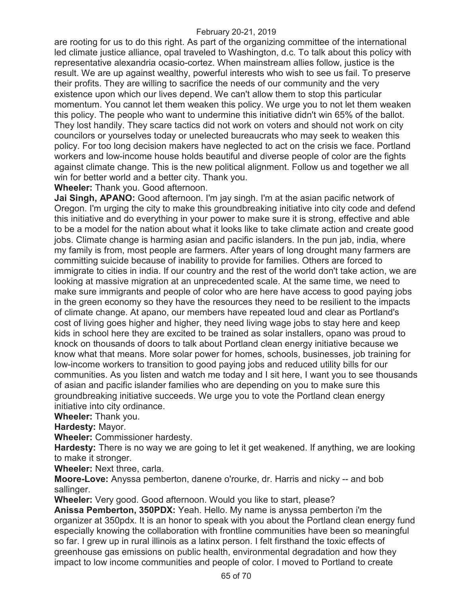are rooting for us to do this right. As part of the organizing committee of the international led climate justice alliance, opal traveled to Washington, d.c. To talk about this policy with representative alexandria ocasio-cortez. When mainstream allies follow, justice is the result. We are up against wealthy, powerful interests who wish to see us fail. To preserve their profits. They are willing to sacrifice the needs of our community and the very existence upon which our lives depend. We can't allow them to stop this particular momentum. You cannot let them weaken this policy. We urge you to not let them weaken this policy. The people who want to undermine this initiative didn't win 65% of the ballot. They lost handily. They scare tactics did not work on voters and should not work on city councilors or yourselves today or unelected bureaucrats who may seek to weaken this policy. For too long decision makers have neglected to act on the crisis we face. Portland workers and low-income house holds beautiful and diverse people of color are the fights against climate change. This is the new political alignment. Follow us and together we all win for better world and a better city. Thank you.

**Wheeler:** Thank you. Good afternoon.

**Jai Singh, APANO:** Good afternoon. I'm jay singh. I'm at the asian pacific network of Oregon. I'm urging the city to make this groundbreaking initiative into city code and defend this initiative and do everything in your power to make sure it is strong, effective and able to be a model for the nation about what it looks like to take climate action and create good jobs. Climate change is harming asian and pacific islanders. In the pun jab, india, where my family is from, most people are farmers. After years of long drought many farmers are committing suicide because of inability to provide for families. Others are forced to immigrate to cities in india. If our country and the rest of the world don't take action, we are looking at massive migration at an unprecedented scale. At the same time, we need to make sure immigrants and people of color who are here have access to good paying jobs in the green economy so they have the resources they need to be resilient to the impacts of climate change. At apano, our members have repeated loud and clear as Portland's cost of living goes higher and higher, they need living wage jobs to stay here and keep kids in school here they are excited to be trained as solar installers, opano was proud to knock on thousands of doors to talk about Portland clean energy initiative because we know what that means. More solar power for homes, schools, businesses, job training for low-income workers to transition to good paying jobs and reduced utility bills for our communities. As you listen and watch me today and I sit here, I want you to see thousands of asian and pacific islander families who are depending on you to make sure this groundbreaking initiative succeeds. We urge you to vote the Portland clean energy initiative into city ordinance.

**Wheeler:** Thank you.

**Hardesty:** Mayor.

**Wheeler:** Commissioner hardesty.

**Hardesty:** There is no way we are going to let it get weakened. If anything, we are looking to make it stronger.

**Wheeler:** Next three, carla.

**Moore-Love:** Anyssa pemberton, danene o'rourke, dr. Harris and nicky -- and bob sallinger.

**Wheeler:** Very good. Good afternoon. Would you like to start, please?

**Anissa Pemberton, 350PDX:** Yeah. Hello. My name is anyssa pemberton i'm the organizer at 350pdx. It is an honor to speak with you about the Portland clean energy fund especially knowing the collaboration with frontline communities have been so meaningful so far. I grew up in rural illinois as a latinx person. I felt firsthand the toxic effects of greenhouse gas emissions on public health, environmental degradation and how they impact to low income communities and people of color. I moved to Portland to create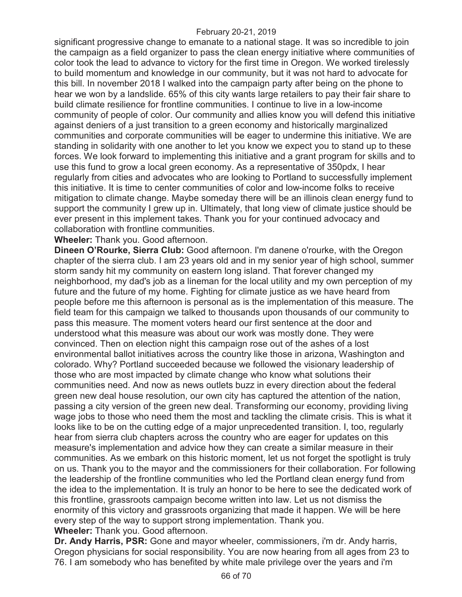significant progressive change to emanate to a national stage. It was so incredible to join the campaign as a field organizer to pass the clean energy initiative where communities of color took the lead to advance to victory for the first time in Oregon. We worked tirelessly to build momentum and knowledge in our community, but it was not hard to advocate for this bill. In november 2018 I walked into the campaign party after being on the phone to hear we won by a landslide. 65% of this city wants large retailers to pay their fair share to build climate resilience for frontline communities. I continue to live in a low-income community of people of color. Our community and allies know you will defend this initiative against deniers of a just transition to a green economy and historically marginalized communities and corporate communities will be eager to undermine this initiative. We are standing in solidarity with one another to let you know we expect you to stand up to these forces. We look forward to implementing this initiative and a grant program for skills and to use this fund to grow a local green economy. As a representative of 350pdx, I hear regularly from cities and advocates who are looking to Portland to successfully implement this initiative. It is time to center communities of color and low-income folks to receive mitigation to climate change. Maybe someday there will be an illinois clean energy fund to support the community I grew up in. Ultimately, that long view of climate justice should be ever present in this implement takes. Thank you for your continued advocacy and collaboration with frontline communities.

**Wheeler:** Thank you. Good afternoon.

**Dineen O'Rourke, Sierra Club:** Good afternoon. I'm danene o'rourke, with the Oregon chapter of the sierra club. I am 23 years old and in my senior year of high school, summer storm sandy hit my community on eastern long island. That forever changed my neighborhood, my dad's job as a lineman for the local utility and my own perception of my future and the future of my home. Fighting for climate justice as we have heard from people before me this afternoon is personal as is the implementation of this measure. The field team for this campaign we talked to thousands upon thousands of our community to pass this measure. The moment voters heard our first sentence at the door and understood what this measure was about our work was mostly done. They were convinced. Then on election night this campaign rose out of the ashes of a lost environmental ballot initiatives across the country like those in arizona, Washington and colorado. Why? Portland succeeded because we followed the visionary leadership of those who are most impacted by climate change who know what solutions their communities need. And now as news outlets buzz in every direction about the federal green new deal house resolution, our own city has captured the attention of the nation, passing a city version of the green new deal. Transforming our economy, providing living wage jobs to those who need them the most and tackling the climate crisis. This is what it looks like to be on the cutting edge of a major unprecedented transition. I, too, regularly hear from sierra club chapters across the country who are eager for updates on this measure's implementation and advice how they can create a similar measure in their communities. As we embark on this historic moment, let us not forget the spotlight is truly on us. Thank you to the mayor and the commissioners for their collaboration. For following the leadership of the frontline communities who led the Portland clean energy fund from the idea to the implementation. It is truly an honor to be here to see the dedicated work of this frontline, grassroots campaign become written into law. Let us not dismiss the enormity of this victory and grassroots organizing that made it happen. We will be here every step of the way to support strong implementation. Thank you. **Wheeler:** Thank you. Good afternoon.

**Dr. Andy Harris, PSR:** Gone and mayor wheeler, commissioners, i'm dr. Andy harris, Oregon physicians for social responsibility. You are now hearing from all ages from 23 to 76. I am somebody who has benefited by white male privilege over the years and i'm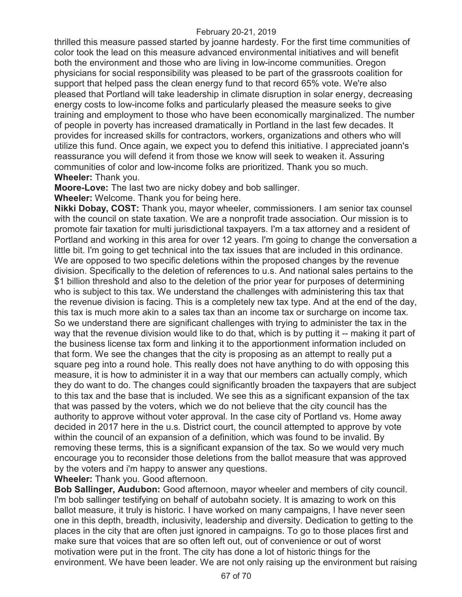thrilled this measure passed started by joanne hardesty. For the first time communities of color took the lead on this measure advanced environmental initiatives and will benefit both the environment and those who are living in low-income communities. Oregon physicians for social responsibility was pleased to be part of the grassroots coalition for support that helped pass the clean energy fund to that record 65% vote. We're also pleased that Portland will take leadership in climate disruption in solar energy, decreasing energy costs to low-income folks and particularly pleased the measure seeks to give training and employment to those who have been economically marginalized. The number of people in poverty has increased dramatically in Portland in the last few decades. It provides for increased skills for contractors, workers, organizations and others who will utilize this fund. Once again, we expect you to defend this initiative. I appreciated joann's reassurance you will defend it from those we know will seek to weaken it. Assuring communities of color and low-income folks are prioritized. Thank you so much. **Wheeler:** Thank you.

**Moore-Love:** The last two are nicky dobey and bob sallinger.

**Wheeler:** Welcome. Thank you for being here.

**Nikki Dobay, COST:** Thank you, mayor wheeler, commissioners. I am senior tax counsel with the council on state taxation. We are a nonprofit trade association. Our mission is to promote fair taxation for multi jurisdictional taxpayers. I'm a tax attorney and a resident of Portland and working in this area for over 12 years. I'm going to change the conversation a little bit. I'm going to get technical into the tax issues that are included in this ordinance. We are opposed to two specific deletions within the proposed changes by the revenue division. Specifically to the deletion of references to u.s. And national sales pertains to the \$1 billion threshold and also to the deletion of the prior year for purposes of determining who is subject to this tax. We understand the challenges with administering this tax that the revenue division is facing. This is a completely new tax type. And at the end of the day, this tax is much more akin to a sales tax than an income tax or surcharge on income tax. So we understand there are significant challenges with trying to administer the tax in the way that the revenue division would like to do that, which is by putting it -- making it part of the business license tax form and linking it to the apportionment information included on that form. We see the changes that the city is proposing as an attempt to really put a square peg into a round hole. This really does not have anything to do with opposing this measure, it is how to administer it in a way that our members can actually comply, which they do want to do. The changes could significantly broaden the taxpayers that are subject to this tax and the base that is included. We see this as a significant expansion of the tax that was passed by the voters, which we do not believe that the city council has the authority to approve without voter approval. In the case city of Portland vs. Home away decided in 2017 here in the u.s. District court, the council attempted to approve by vote within the council of an expansion of a definition, which was found to be invalid. By removing these terms, this is a significant expansion of the tax. So we would very much encourage you to reconsider those deletions from the ballot measure that was approved by the voters and i'm happy to answer any questions.

**Wheeler:** Thank you. Good afternoon.

**Bob Sallinger, Audubon:** Good afternoon, mayor wheeler and members of city council. I'm bob sallinger testifying on behalf of autobahn society. It is amazing to work on this ballot measure, it truly is historic. I have worked on many campaigns, I have never seen one in this depth, breadth, inclusivity, leadership and diversity. Dedication to getting to the places in the city that are often just ignored in campaigns. To go to those places first and make sure that voices that are so often left out, out of convenience or out of worst motivation were put in the front. The city has done a lot of historic things for the environment. We have been leader. We are not only raising up the environment but raising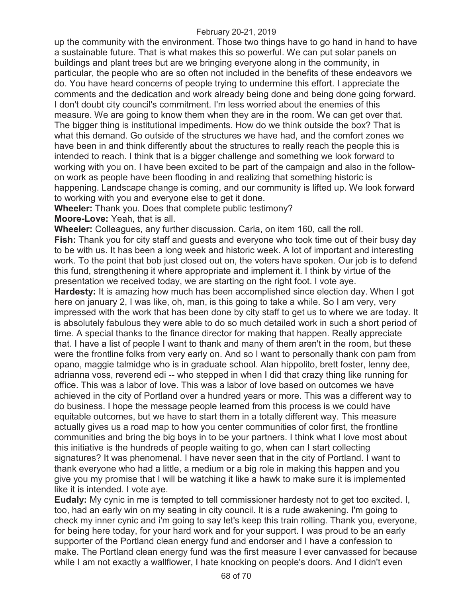up the community with the environment. Those two things have to go hand in hand to have a sustainable future. That is what makes this so powerful. We can put solar panels on buildings and plant trees but are we bringing everyone along in the community, in particular, the people who are so often not included in the benefits of these endeavors we do. You have heard concerns of people trying to undermine this effort. I appreciate the comments and the dedication and work already being done and being done going forward. I don't doubt city council's commitment. I'm less worried about the enemies of this measure. We are going to know them when they are in the room. We can get over that. The bigger thing is institutional impediments. How do we think outside the box? That is what this demand. Go outside of the structures we have had, and the comfort zones we have been in and think differently about the structures to really reach the people this is intended to reach. I think that is a bigger challenge and something we look forward to working with you on. I have been excited to be part of the campaign and also in the followon work as people have been flooding in and realizing that something historic is happening. Landscape change is coming, and our community is lifted up. We look forward to working with you and everyone else to get it done.

**Wheeler:** Thank you. Does that complete public testimony?

**Moore-Love:** Yeah, that is all.

**Wheeler:** Colleagues, any further discussion. Carla, on item 160, call the roll.

**Fish:** Thank you for city staff and guests and everyone who took time out of their busy day to be with us. It has been a long week and historic week. A lot of important and interesting work. To the point that bob just closed out on, the voters have spoken. Our job is to defend this fund, strengthening it where appropriate and implement it. I think by virtue of the presentation we received today, we are starting on the right foot. I vote aye.

**Hardesty:** It is amazing how much has been accomplished since election day. When I got here on january 2, I was like, oh, man, is this going to take a while. So I am very, very impressed with the work that has been done by city staff to get us to where we are today. It is absolutely fabulous they were able to do so much detailed work in such a short period of time. A special thanks to the finance director for making that happen. Really appreciate that. I have a list of people I want to thank and many of them aren't in the room, but these were the frontline folks from very early on. And so I want to personally thank con pam from opano, maggie talmidge who is in graduate school. Alan hippolito, brett foster, lenny dee, adrianna voss, reverend edi -- who stepped in when I did that crazy thing like running for office. This was a labor of love. This was a labor of love based on outcomes we have achieved in the city of Portland over a hundred years or more. This was a different way to do business. I hope the message people learned from this process is we could have equitable outcomes, but we have to start them in a totally different way. This measure actually gives us a road map to how you center communities of color first, the frontline communities and bring the big boys in to be your partners. I think what I love most about this initiative is the hundreds of people waiting to go, when can I start collecting signatures? It was phenomenal. I have never seen that in the city of Portland. I want to thank everyone who had a little, a medium or a big role in making this happen and you give you my promise that I will be watching it like a hawk to make sure it is implemented like it is intended. I vote aye.

**Eudaly:** My cynic in me is tempted to tell commissioner hardesty not to get too excited. I, too, had an early win on my seating in city council. It is a rude awakening. I'm going to check my inner cynic and i'm going to say let's keep this train rolling. Thank you, everyone, for being here today, for your hard work and for your support. I was proud to be an early supporter of the Portland clean energy fund and endorser and I have a confession to make. The Portland clean energy fund was the first measure I ever canvassed for because while I am not exactly a wallflower, I hate knocking on people's doors. And I didn't even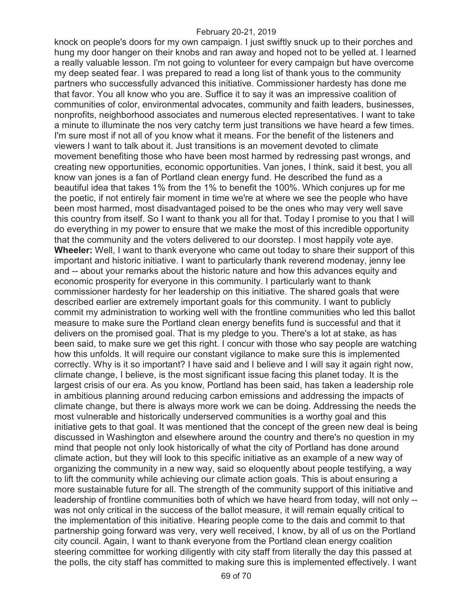knock on people's doors for my own campaign. I just swiftly snuck up to their porches and hung my door hanger on their knobs and ran away and hoped not to be yelled at. I learned a really valuable lesson. I'm not going to volunteer for every campaign but have overcome my deep seated fear. I was prepared to read a long list of thank yous to the community partners who successfully advanced this initiative. Commissioner hardesty has done me that favor. You all know who you are. Suffice it to say it was an impressive coalition of communities of color, environmental advocates, community and faith leaders, businesses, nonprofits, neighborhood associates and numerous elected representatives. I want to take a minute to illuminate the nos very catchy term just transitions we have heard a few times. I'm sure most if not all of you know what it means. For the benefit of the listeners and viewers I want to talk about it. Just transitions is an movement devoted to climate movement benefiting those who have been most harmed by redressing past wrongs, and creating new opportunities, economic opportunities. Van jones, I think, said it best, you all know van jones is a fan of Portland clean energy fund. He described the fund as a beautiful idea that takes 1% from the 1% to benefit the 100%. Which conjures up for me the poetic, if not entirely fair moment in time we're at where we see the people who have been most harmed, most disadvantaged poised to be the ones who may very well save this country from itself. So I want to thank you all for that. Today I promise to you that I will do everything in my power to ensure that we make the most of this incredible opportunity that the community and the voters delivered to our doorstep. I most happily vote aye. **Wheeler:** Well, I want to thank everyone who came out today to share their support of this important and historic initiative. I want to particularly thank reverend modenay, jenny lee and -- about your remarks about the historic nature and how this advances equity and economic prosperity for everyone in this community. I particularly want to thank commissioner hardesty for her leadership on this initiative. The shared goals that were described earlier are extremely important goals for this community. I want to publicly commit my administration to working well with the frontline communities who led this ballot measure to make sure the Portland clean energy benefits fund is successful and that it delivers on the promised goal. That is my pledge to you. There's a lot at stake, as has been said, to make sure we get this right. I concur with those who say people are watching how this unfolds. It will require our constant vigilance to make sure this is implemented correctly. Why is it so important? I have said and I believe and I will say it again right now, climate change, I believe, is the most significant issue facing this planet today. It is the largest crisis of our era. As you know, Portland has been said, has taken a leadership role in ambitious planning around reducing carbon emissions and addressing the impacts of climate change, but there is always more work we can be doing. Addressing the needs the most vulnerable and historically underserved communities is a worthy goal and this initiative gets to that goal. It was mentioned that the concept of the green new deal is being discussed in Washington and elsewhere around the country and there's no question in my mind that people not only look historically of what the city of Portland has done around climate action, but they will look to this specific initiative as an example of a new way of organizing the community in a new way, said so eloquently about people testifying, a way to lift the community while achieving our climate action goals. This is about ensuring a more sustainable future for all. The strength of the community support of this initiative and leadership of frontline communities both of which we have heard from today, will not only - was not only critical in the success of the ballot measure, it will remain equally critical to the implementation of this initiative. Hearing people come to the dais and commit to that partnership going forward was very, very well received, I know, by all of us on the Portland city council. Again, I want to thank everyone from the Portland clean energy coalition steering committee for working diligently with city staff from literally the day this passed at the polls, the city staff has committed to making sure this is implemented effectively. I want